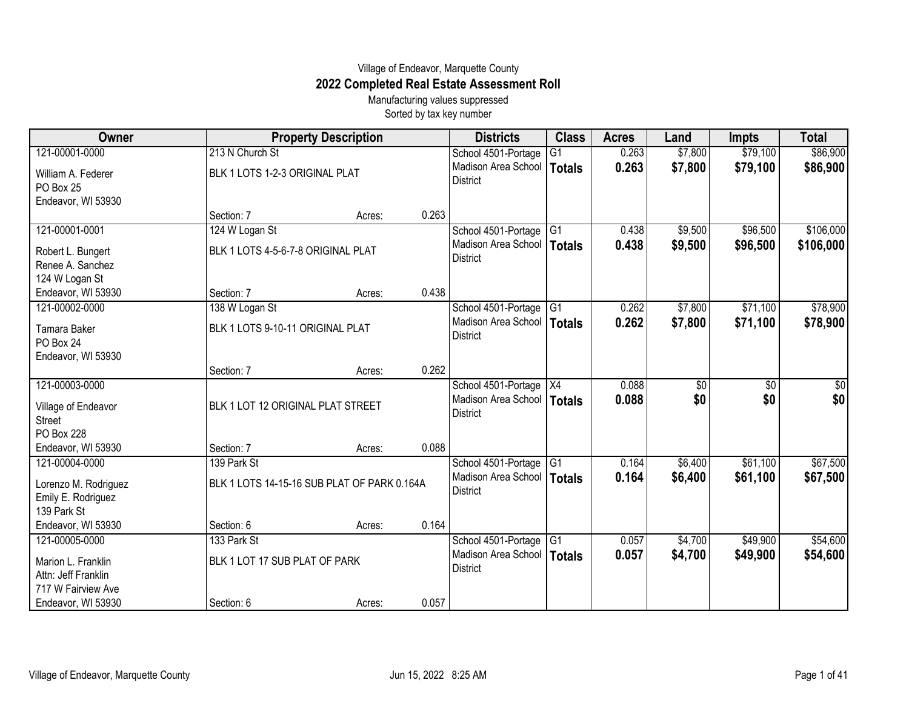## Village of Endeavor, Marquette County **2022 Completed Real Estate Assessment Roll**

Manufacturing values suppressed Sorted by tax key number

| Owner                                 |                                             | <b>Property Description</b> |       | <b>Districts</b>                       | <b>Class</b>    | <b>Acres</b> | Land    | <b>Impts</b> | <b>Total</b> |
|---------------------------------------|---------------------------------------------|-----------------------------|-------|----------------------------------------|-----------------|--------------|---------|--------------|--------------|
| 121-00001-0000                        | 213 N Church St                             |                             |       | School 4501-Portage                    | G1              | 0.263        | \$7,800 | \$79,100     | \$86,900     |
| William A. Federer<br>PO Box 25       | BLK 1 LOTS 1-2-3 ORIGINAL PLAT              |                             |       | Madison Area School<br><b>District</b> | Totals          | 0.263        | \$7,800 | \$79,100     | \$86,900     |
| Endeavor, WI 53930                    |                                             |                             |       |                                        |                 |              |         |              |              |
|                                       | Section: 7                                  | Acres:                      | 0.263 |                                        |                 |              |         |              |              |
| 121-00001-0001                        | 124 W Logan St                              |                             |       | School 4501-Portage                    | $\overline{G1}$ | 0.438        | \$9,500 | \$96,500     | \$106,000    |
| Robert L. Bungert<br>Renee A. Sanchez | BLK 1 LOTS 4-5-6-7-8 ORIGINAL PLAT          |                             |       | Madison Area School<br><b>District</b> | Totals          | 0.438        | \$9,500 | \$96,500     | \$106,000    |
| 124 W Logan St                        |                                             |                             |       |                                        |                 |              |         |              |              |
| Endeavor, WI 53930                    | Section: 7                                  | Acres:                      | 0.438 |                                        |                 |              |         |              |              |
| 121-00002-0000                        | 138 W Logan St                              |                             |       | School 4501-Portage                    | IG <sub>1</sub> | 0.262        | \$7,800 | \$71,100     | \$78,900     |
| <b>Tamara Baker</b><br>PO Box 24      | BLK 1 LOTS 9-10-11 ORIGINAL PLAT            |                             |       | Madison Area School<br><b>District</b> | Totals          | 0.262        | \$7,800 | \$71,100     | \$78,900     |
| Endeavor, WI 53930                    |                                             |                             |       |                                        |                 |              |         |              |              |
|                                       | Section: 7                                  | Acres:                      | 0.262 |                                        |                 |              |         |              |              |
| 121-00003-0000                        |                                             |                             |       | School 4501-Portage   X4               |                 | 0.088        | \$0     | \$0          | \$0          |
| Village of Endeavor<br><b>Street</b>  | BLK 1 LOT 12 ORIGINAL PLAT STREET           |                             |       | Madison Area School<br><b>District</b> | Totals          | 0.088        | \$0     | \$0          | \$0          |
| PO Box 228                            |                                             |                             |       |                                        |                 |              |         |              |              |
| Endeavor, WI 53930                    | Section: 7                                  | Acres:                      | 0.088 |                                        |                 |              |         |              |              |
| 121-00004-0000                        | 139 Park St                                 |                             |       | School 4501-Portage                    | IG <sub>1</sub> | 0.164        | \$6,400 | \$61,100     | \$67,500     |
| Lorenzo M. Rodriguez                  | BLK 1 LOTS 14-15-16 SUB PLAT OF PARK 0.164A |                             |       | Madison Area School<br><b>District</b> | Totals          | 0.164        | \$6,400 | \$61,100     | \$67,500     |
| Emily E. Rodriguez                    |                                             |                             |       |                                        |                 |              |         |              |              |
| 139 Park St                           |                                             |                             |       |                                        |                 |              |         |              |              |
| Endeavor, WI 53930                    | Section: 6                                  | Acres:                      | 0.164 |                                        |                 |              |         |              |              |
| 121-00005-0000                        | 133 Park St                                 |                             |       | School 4501-Portage                    | IG <sub>1</sub> | 0.057        | \$4,700 | \$49,900     | \$54,600     |
| Marion L. Franklin                    | BLK 1 LOT 17 SUB PLAT OF PARK               |                             |       | Madison Area School                    | Totals          | 0.057        | \$4,700 | \$49,900     | \$54,600     |
| Attn: Jeff Franklin                   |                                             |                             |       | <b>District</b>                        |                 |              |         |              |              |
| 717 W Fairview Ave                    |                                             |                             |       |                                        |                 |              |         |              |              |
| Endeavor, WI 53930                    | Section: 6                                  | Acres:                      | 0.057 |                                        |                 |              |         |              |              |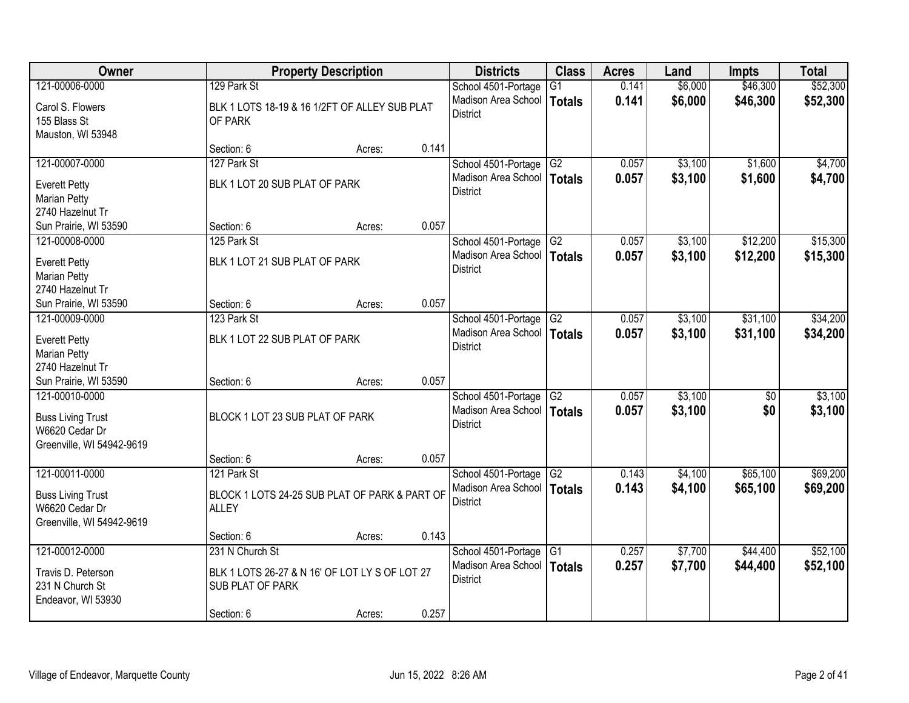| Owner                                                                                     |                                                                                                            | <b>Property Description</b> |       | <b>Districts</b>                                              | <b>Class</b>              | <b>Acres</b>   | Land               | <b>Impts</b>           | <b>Total</b>         |
|-------------------------------------------------------------------------------------------|------------------------------------------------------------------------------------------------------------|-----------------------------|-------|---------------------------------------------------------------|---------------------------|----------------|--------------------|------------------------|----------------------|
| 121-00006-0000                                                                            | 129 Park St                                                                                                |                             |       | School 4501-Portage                                           | G <sub>1</sub>            | 0.141          | \$6,000            | \$46,300               | \$52,300             |
| Carol S. Flowers<br>155 Blass St<br>Mauston, WI 53948                                     | BLK 1 LOTS 18-19 & 16 1/2FT OF ALLEY SUB PLAT<br>OF PARK                                                   |                             |       | Madison Area School<br><b>District</b>                        | Totals                    | 0.141          | \$6,000            | \$46,300               | \$52,300             |
|                                                                                           | Section: 6                                                                                                 | Acres:                      | 0.141 |                                                               |                           |                |                    |                        |                      |
| 121-00007-0000                                                                            | 127 Park St                                                                                                |                             |       | School 4501-Portage                                           | G2                        | 0.057          | \$3,100            | \$1,600                | \$4,700              |
| <b>Everett Petty</b><br>Marian Petty<br>2740 Hazelnut Tr                                  | BLK 1 LOT 20 SUB PLAT OF PARK                                                                              |                             |       | Madison Area School<br><b>District</b>                        | Totals                    | 0.057          | \$3,100            | \$1,600                | \$4,700              |
| Sun Prairie, WI 53590                                                                     | Section: 6                                                                                                 | Acres:                      | 0.057 |                                                               |                           |                |                    |                        |                      |
| 121-00008-0000                                                                            | 125 Park St                                                                                                |                             |       | School 4501-Portage                                           | G2                        | 0.057          | \$3,100            | \$12,200               | \$15,300             |
| <b>Everett Petty</b><br><b>Marian Petty</b><br>2740 Hazelnut Tr                           | BLK 1 LOT 21 SUB PLAT OF PARK                                                                              |                             |       | Madison Area School<br><b>District</b>                        | Totals                    | 0.057          | \$3,100            | \$12,200               | \$15,300             |
| Sun Prairie, WI 53590                                                                     | Section: 6                                                                                                 | Acres:                      | 0.057 |                                                               |                           |                |                    |                        |                      |
| 121-00009-0000                                                                            | 123 Park St                                                                                                |                             |       | School 4501-Portage                                           | G2                        | 0.057          | \$3,100            | \$31,100               | \$34,200             |
| <b>Everett Petty</b><br><b>Marian Petty</b><br>2740 Hazelnut Tr                           | BLK 1 LOT 22 SUB PLAT OF PARK                                                                              |                             |       | Madison Area School<br><b>District</b>                        | <b>Totals</b>             | 0.057          | \$3,100            | \$31,100               | \$34,200             |
| Sun Prairie, WI 53590                                                                     | Section: 6                                                                                                 | Acres:                      | 0.057 |                                                               |                           |                |                    |                        |                      |
| 121-00010-0000<br><b>Buss Living Trust</b><br>W6620 Cedar Dr<br>Greenville, WI 54942-9619 | BLOCK 1 LOT 23 SUB PLAT OF PARK                                                                            |                             |       | School 4501-Portage<br>Madison Area School<br><b>District</b> | $\overline{G2}$<br>Totals | 0.057<br>0.057 | \$3,100<br>\$3,100 | $\overline{30}$<br>\$0 | \$3,100<br>\$3,100   |
|                                                                                           | Section: 6                                                                                                 | Acres:                      | 0.057 |                                                               |                           |                |                    |                        |                      |
| 121-00011-0000<br><b>Buss Living Trust</b><br>W6620 Cedar Dr<br>Greenville, WI 54942-9619 | 121 Park St<br>BLOCK 1 LOTS 24-25 SUB PLAT OF PARK & PART OF<br><b>ALLEY</b>                               |                             |       | School 4501-Portage<br>Madison Area School<br><b>District</b> | G2<br>Totals              | 0.143<br>0.143 | \$4,100<br>\$4,100 | \$65,100<br>\$65,100   | \$69,200<br>\$69,200 |
|                                                                                           | Section: 6                                                                                                 | Acres:                      | 0.143 |                                                               |                           |                |                    |                        |                      |
| 121-00012-0000<br>Travis D. Peterson<br>231 N Church St<br>Endeavor, WI 53930             | 231 N Church St<br>BLK 1 LOTS 26-27 & N 16' OF LOT LY S OF LOT 27<br><b>SUB PLAT OF PARK</b><br>Section: 6 | Acres:                      | 0.257 | School 4501-Portage<br>Madison Area School<br><b>District</b> | $\overline{G1}$<br>Totals | 0.257<br>0.257 | \$7,700<br>\$7,700 | \$44,400<br>\$44,400   | \$52,100<br>\$52,100 |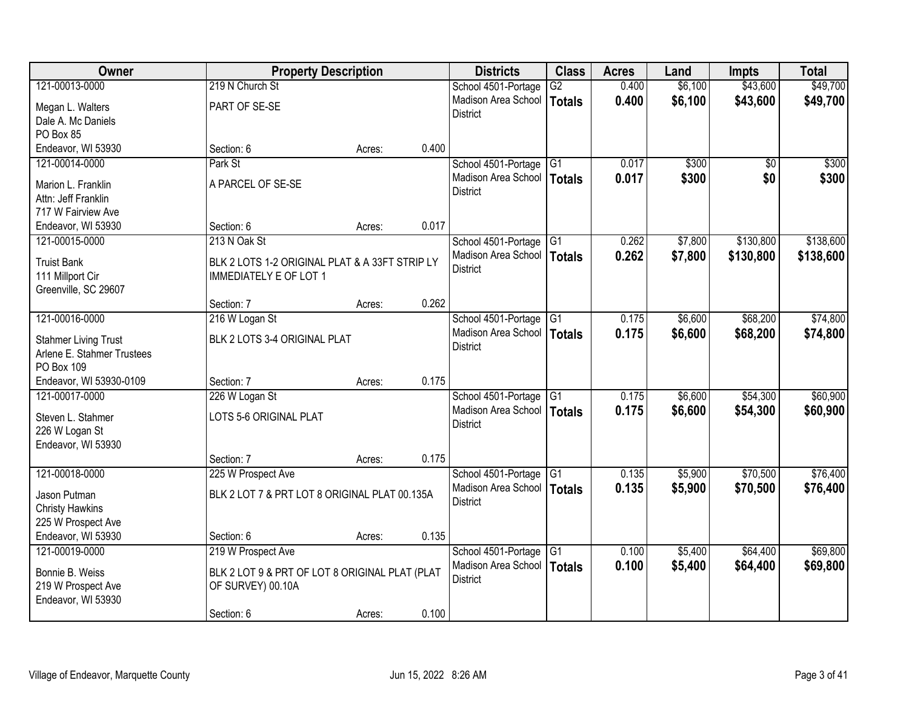| Owner                       | <b>Property Description</b>                    |        |       | <b>Districts</b>       | <b>Class</b>    | <b>Acres</b> | Land    | <b>Impts</b>    | <b>Total</b> |
|-----------------------------|------------------------------------------------|--------|-------|------------------------|-----------------|--------------|---------|-----------------|--------------|
| 121-00013-0000              | 219 N Church St                                |        |       | School 4501-Portage    | $\overline{G2}$ | 0.400        | \$6,100 | \$43,600        | \$49,700     |
| Megan L. Walters            | PART OF SE-SE                                  |        |       | Madison Area School    | <b>Totals</b>   | 0.400        | \$6,100 | \$43,600        | \$49,700     |
| Dale A. Mc Daniels          |                                                |        |       | <b>District</b>        |                 |              |         |                 |              |
| PO Box 85                   |                                                |        |       |                        |                 |              |         |                 |              |
| Endeavor, WI 53930          | Section: 6                                     | Acres: | 0.400 |                        |                 |              |         |                 |              |
| 121-00014-0000              | Park St                                        |        |       | School 4501-Portage    | G1              | 0.017        | \$300   | $\overline{50}$ | \$300        |
| Marion L. Franklin          | A PARCEL OF SE-SE                              |        |       | Madison Area School    | Totals          | 0.017        | \$300   | \$0             | \$300        |
| Attn: Jeff Franklin         |                                                |        |       | <b>District</b>        |                 |              |         |                 |              |
| 717 W Fairview Ave          |                                                |        |       |                        |                 |              |         |                 |              |
| Endeavor, WI 53930          | Section: 6                                     | Acres: | 0.017 |                        |                 |              |         |                 |              |
| 121-00015-0000              | 213 N Oak St                                   |        |       | School 4501-Portage G1 |                 | 0.262        | \$7,800 | \$130,800       | \$138,600    |
| <b>Truist Bank</b>          | BLK 2 LOTS 1-2 ORIGINAL PLAT & A 33FT STRIP LY |        |       | Madison Area School    | Totals          | 0.262        | \$7,800 | \$130,800       | \$138,600    |
| 111 Millport Cir            | <b>IMMEDIATELY E OF LOT 1</b>                  |        |       | <b>District</b>        |                 |              |         |                 |              |
| Greenville, SC 29607        |                                                |        |       |                        |                 |              |         |                 |              |
|                             | Section: 7                                     | Acres: | 0.262 |                        |                 |              |         |                 |              |
| 121-00016-0000              | 216 W Logan St                                 |        |       | School 4501-Portage    | G1              | 0.175        | \$6,600 | \$68,200        | \$74,800     |
| <b>Stahmer Living Trust</b> | BLK 2 LOTS 3-4 ORIGINAL PLAT                   |        |       | Madison Area School    | Totals          | 0.175        | \$6,600 | \$68,200        | \$74,800     |
| Arlene E. Stahmer Trustees  |                                                |        |       | <b>District</b>        |                 |              |         |                 |              |
| PO Box 109                  |                                                |        |       |                        |                 |              |         |                 |              |
| Endeavor, WI 53930-0109     | Section: 7                                     | Acres: | 0.175 |                        |                 |              |         |                 |              |
| 121-00017-0000              | 226 W Logan St                                 |        |       | School 4501-Portage    | G1              | 0.175        | \$6,600 | \$54,300        | \$60,900     |
| Steven L. Stahmer           | LOTS 5-6 ORIGINAL PLAT                         |        |       | Madison Area School    | <b>Totals</b>   | 0.175        | \$6,600 | \$54,300        | \$60,900     |
| 226 W Logan St              |                                                |        |       | <b>District</b>        |                 |              |         |                 |              |
| Endeavor, WI 53930          |                                                |        |       |                        |                 |              |         |                 |              |
|                             | Section: 7                                     | Acres: | 0.175 |                        |                 |              |         |                 |              |
| 121-00018-0000              | 225 W Prospect Ave                             |        |       | School 4501-Portage    | G <sub>1</sub>  | 0.135        | \$5,900 | \$70,500        | \$76,400     |
| Jason Putman                | BLK 2 LOT 7 & PRT LOT 8 ORIGINAL PLAT 00.135A  |        |       | Madison Area School    | <b>Totals</b>   | 0.135        | \$5,900 | \$70,500        | \$76,400     |
| <b>Christy Hawkins</b>      |                                                |        |       | <b>District</b>        |                 |              |         |                 |              |
| 225 W Prospect Ave          |                                                |        |       |                        |                 |              |         |                 |              |
| Endeavor, WI 53930          | Section: 6                                     | Acres: | 0.135 |                        |                 |              |         |                 |              |
| 121-00019-0000              | 219 W Prospect Ave                             |        |       | School 4501-Portage    | $\overline{G1}$ | 0.100        | \$5,400 | \$64,400        | \$69,800     |
| Bonnie B. Weiss             | BLK 2 LOT 9 & PRT OF LOT 8 ORIGINAL PLAT (PLAT |        |       | Madison Area School    | Totals          | 0.100        | \$5,400 | \$64,400        | \$69,800     |
| 219 W Prospect Ave          | OF SURVEY) 00.10A                              |        |       | <b>District</b>        |                 |              |         |                 |              |
| Endeavor, WI 53930          |                                                |        |       |                        |                 |              |         |                 |              |
|                             | Section: 6                                     | Acres: | 0.100 |                        |                 |              |         |                 |              |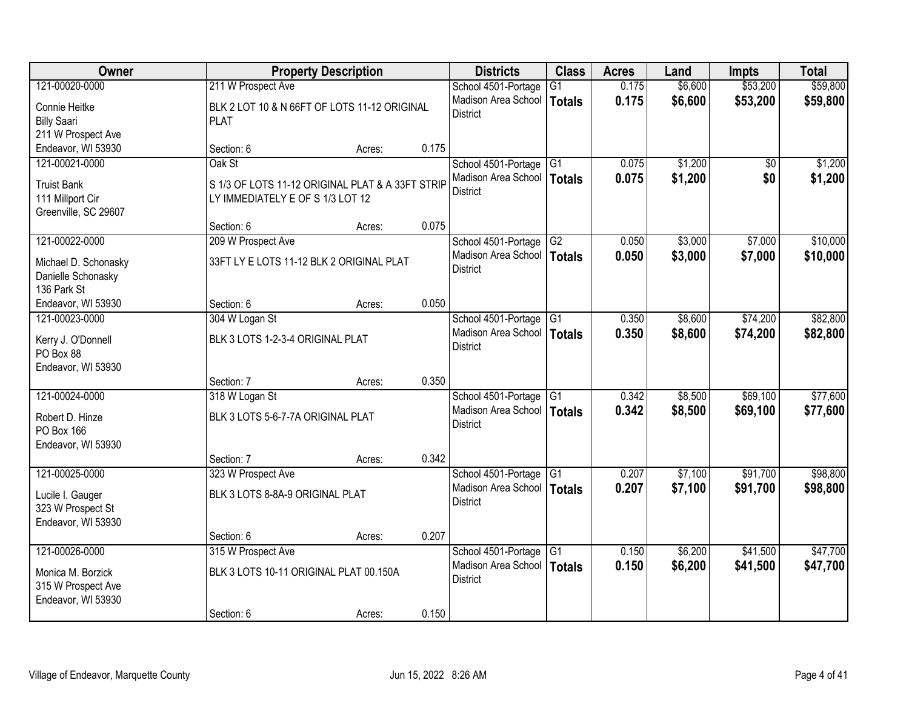| Owner                                   |                                                  | <b>Property Description</b> |       | <b>Districts</b>             | <b>Class</b>    | <b>Acres</b> | Land    | <b>Impts</b>    | <b>Total</b> |
|-----------------------------------------|--------------------------------------------------|-----------------------------|-------|------------------------------|-----------------|--------------|---------|-----------------|--------------|
| 121-00020-0000                          | 211 W Prospect Ave                               |                             |       | School 4501-Portage          | $\overline{G1}$ | 0.175        | \$6,600 | \$53,200        | \$59,800     |
| Connie Heitke                           | BLK 2 LOT 10 & N 66FT OF LOTS 11-12 ORIGINAL     |                             |       | Madison Area School          | <b>Totals</b>   | 0.175        | \$6,600 | \$53,200        | \$59,800     |
| <b>Billy Saari</b>                      | <b>PLAT</b>                                      |                             |       | <b>District</b>              |                 |              |         |                 |              |
| 211 W Prospect Ave                      |                                                  |                             |       |                              |                 |              |         |                 |              |
| Endeavor, WI 53930                      | Section: 6                                       | Acres:                      | 0.175 |                              |                 |              |         |                 |              |
| 121-00021-0000                          | Oak St                                           |                             |       | School 4501-Portage          | G1              | 0.075        | \$1,200 | $\overline{50}$ | \$1,200      |
| <b>Truist Bank</b>                      | S 1/3 OF LOTS 11-12 ORIGINAL PLAT & A 33FT STRIP |                             |       | Madison Area School          | Totals          | 0.075        | \$1,200 | \$0             | \$1,200      |
| 111 Millport Cir                        | LY IMMEDIATELY E OF S 1/3 LOT 12                 |                             |       | <b>District</b>              |                 |              |         |                 |              |
| Greenville, SC 29607                    |                                                  |                             |       |                              |                 |              |         |                 |              |
|                                         | Section: 6                                       | Acres:                      | 0.075 |                              |                 |              |         |                 |              |
| 121-00022-0000                          | 209 W Prospect Ave                               |                             |       | School 4501-Portage          | G2              | 0.050        | \$3,000 | \$7,000         | \$10,000     |
| Michael D. Schonasky                    | 33FT LY E LOTS 11-12 BLK 2 ORIGINAL PLAT         |                             |       | Madison Area School          | Totals          | 0.050        | \$3,000 | \$7,000         | \$10,000     |
| Danielle Schonasky                      |                                                  |                             |       | <b>District</b>              |                 |              |         |                 |              |
| 136 Park St                             |                                                  |                             |       |                              |                 |              |         |                 |              |
| Endeavor, WI 53930                      | Section: 6                                       | Acres:                      | 0.050 |                              |                 |              |         |                 |              |
| 121-00023-0000                          | 304 W Logan St                                   |                             |       | School 4501-Portage          | G1              | 0.350        | \$8,600 | \$74,200        | \$82,800     |
| Kerry J. O'Donnell                      | BLK 3 LOTS 1-2-3-4 ORIGINAL PLAT                 |                             |       | Madison Area School          | <b>Totals</b>   | 0.350        | \$8,600 | \$74,200        | \$82,800     |
| PO Box 88                               |                                                  |                             |       | <b>District</b>              |                 |              |         |                 |              |
| Endeavor, WI 53930                      |                                                  |                             |       |                              |                 |              |         |                 |              |
|                                         | Section: 7                                       | Acres:                      | 0.350 |                              |                 |              |         |                 |              |
| 121-00024-0000                          | 318 W Logan St                                   |                             |       | School 4501-Portage          | G1              | 0.342        | \$8,500 | \$69,100        | \$77,600     |
| Robert D. Hinze                         | BLK 3 LOTS 5-6-7-7A ORIGINAL PLAT                |                             |       | Madison Area School   Totals |                 | 0.342        | \$8,500 | \$69,100        | \$77,600     |
| PO Box 166                              |                                                  |                             |       | <b>District</b>              |                 |              |         |                 |              |
| Endeavor, WI 53930                      |                                                  |                             |       |                              |                 |              |         |                 |              |
|                                         | Section: 7                                       | Acres:                      | 0.342 |                              |                 |              |         |                 |              |
| 121-00025-0000                          | 323 W Prospect Ave                               |                             |       | School 4501-Portage          | G <sub>1</sub>  | 0.207        | \$7,100 | \$91,700        | \$98,800     |
| Lucile I. Gauger                        | BLK 3 LOTS 8-8A-9 ORIGINAL PLAT                  |                             |       | Madison Area School          | Totals          | 0.207        | \$7,100 | \$91,700        | \$98,800     |
| 323 W Prospect St                       |                                                  |                             |       | <b>District</b>              |                 |              |         |                 |              |
| Endeavor, WI 53930                      |                                                  |                             |       |                              |                 |              |         |                 |              |
|                                         | Section: 6                                       | Acres:                      | 0.207 |                              |                 |              |         |                 |              |
| 121-00026-0000                          | 315 W Prospect Ave                               |                             |       | School 4501-Portage          | G1              | 0.150        | \$6,200 | \$41,500        | \$47,700     |
|                                         | BLK 3 LOTS 10-11 ORIGINAL PLAT 00.150A           |                             |       | Madison Area School          | Totals          | 0.150        | \$6,200 | \$41,500        | \$47,700     |
| Monica M. Borzick<br>315 W Prospect Ave |                                                  |                             |       | <b>District</b>              |                 |              |         |                 |              |
| Endeavor, WI 53930                      |                                                  |                             |       |                              |                 |              |         |                 |              |
|                                         | Section: 6                                       | Acres:                      | 0.150 |                              |                 |              |         |                 |              |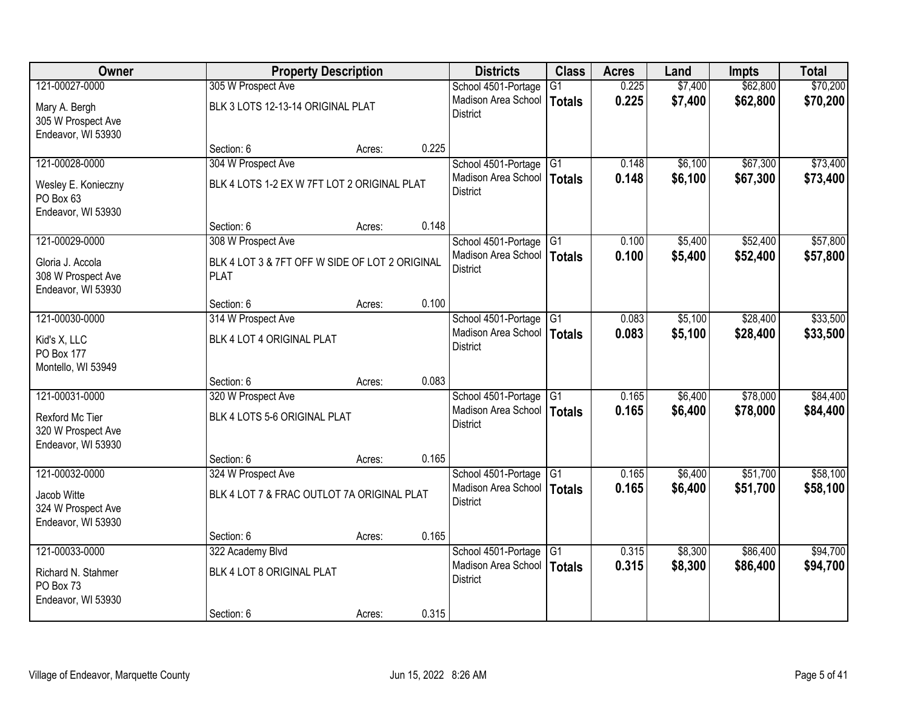| Owner                                 |                                                | <b>Property Description</b> |       | <b>Districts</b>                              | <b>Class</b>    | <b>Acres</b> | Land    | <b>Impts</b> | <b>Total</b> |
|---------------------------------------|------------------------------------------------|-----------------------------|-------|-----------------------------------------------|-----------------|--------------|---------|--------------|--------------|
| 121-00027-0000                        | 305 W Prospect Ave                             |                             |       | School 4501-Portage                           | $\overline{G1}$ | 0.225        | \$7,400 | \$62,800     | \$70,200     |
| Mary A. Bergh                         | BLK 3 LOTS 12-13-14 ORIGINAL PLAT              |                             |       | Madison Area School                           | <b>Totals</b>   | 0.225        | \$7,400 | \$62,800     | \$70,200     |
| 305 W Prospect Ave                    |                                                |                             |       | <b>District</b>                               |                 |              |         |              |              |
| Endeavor, WI 53930                    |                                                |                             |       |                                               |                 |              |         |              |              |
|                                       | Section: 6                                     | Acres:                      | 0.225 |                                               |                 |              |         |              |              |
| 121-00028-0000                        | 304 W Prospect Ave                             |                             |       | School 4501-Portage                           | G1              | 0.148        | \$6,100 | \$67,300     | \$73,400     |
| Wesley E. Konieczny                   | BLK 4 LOTS 1-2 EX W 7FT LOT 2 ORIGINAL PLAT    |                             |       | Madison Area School<br><b>District</b>        | <b>Totals</b>   | 0.148        | \$6,100 | \$67,300     | \$73,400     |
| PO Box 63                             |                                                |                             |       |                                               |                 |              |         |              |              |
| Endeavor, WI 53930                    |                                                |                             |       |                                               |                 |              |         |              |              |
|                                       | Section: 6                                     | Acres:                      | 0.148 |                                               |                 |              |         |              |              |
| 121-00029-0000                        | 308 W Prospect Ave                             |                             |       | School 4501-Portage G1<br>Madison Area School |                 | 0.100        | \$5,400 | \$52,400     | \$57,800     |
| Gloria J. Accola                      | BLK 4 LOT 3 & 7FT OFF W SIDE OF LOT 2 ORIGINAL |                             |       | <b>District</b>                               | Totals          | 0.100        | \$5,400 | \$52,400     | \$57,800     |
| 308 W Prospect Ave                    | <b>PLAT</b>                                    |                             |       |                                               |                 |              |         |              |              |
| Endeavor, WI 53930                    | Section: 6                                     |                             | 0.100 |                                               |                 |              |         |              |              |
| 121-00030-0000                        | 314 W Prospect Ave                             | Acres:                      |       | School 4501-Portage                           | G1              | 0.083        | \$5,100 | \$28,400     | \$33,500     |
|                                       |                                                |                             |       | Madison Area School                           | Totals          | 0.083        | \$5,100 | \$28,400     | \$33,500     |
| Kid's X, LLC                          | BLK 4 LOT 4 ORIGINAL PLAT                      |                             |       | <b>District</b>                               |                 |              |         |              |              |
| PO Box 177<br>Montello, WI 53949      |                                                |                             |       |                                               |                 |              |         |              |              |
|                                       | Section: 6                                     | Acres:                      | 0.083 |                                               |                 |              |         |              |              |
| 121-00031-0000                        | 320 W Prospect Ave                             |                             |       | School 4501-Portage                           | TG1             | 0.165        | \$6,400 | \$78,000     | \$84,400     |
|                                       |                                                |                             |       | Madison Area School   Totals                  |                 | 0.165        | \$6,400 | \$78,000     | \$84,400     |
| Rexford Mc Tier<br>320 W Prospect Ave | BLK 4 LOTS 5-6 ORIGINAL PLAT                   |                             |       | <b>District</b>                               |                 |              |         |              |              |
| Endeavor, WI 53930                    |                                                |                             |       |                                               |                 |              |         |              |              |
|                                       | Section: 6                                     | Acres:                      | 0.165 |                                               |                 |              |         |              |              |
| 121-00032-0000                        | 324 W Prospect Ave                             |                             |       | School 4501-Portage                           | G1              | 0.165        | \$6,400 | \$51,700     | \$58,100     |
| Jacob Witte                           | BLK 4 LOT 7 & FRAC OUTLOT 7A ORIGINAL PLAT     |                             |       | Madison Area School                           | <b>Totals</b>   | 0.165        | \$6,400 | \$51,700     | \$58,100     |
| 324 W Prospect Ave                    |                                                |                             |       | <b>District</b>                               |                 |              |         |              |              |
| Endeavor, WI 53930                    |                                                |                             |       |                                               |                 |              |         |              |              |
|                                       | Section: 6                                     | Acres:                      | 0.165 |                                               |                 |              |         |              |              |
| 121-00033-0000                        | 322 Academy Blvd                               |                             |       | School 4501-Portage                           | G1              | 0.315        | \$8,300 | \$86,400     | \$94,700     |
| Richard N. Stahmer                    | BLK 4 LOT 8 ORIGINAL PLAT                      |                             |       | Madison Area School                           | <b>Totals</b>   | 0.315        | \$8,300 | \$86,400     | \$94,700     |
| PO Box 73                             |                                                |                             |       | <b>District</b>                               |                 |              |         |              |              |
| Endeavor, WI 53930                    |                                                |                             |       |                                               |                 |              |         |              |              |
|                                       | Section: 6                                     | Acres:                      | 0.315 |                                               |                 |              |         |              |              |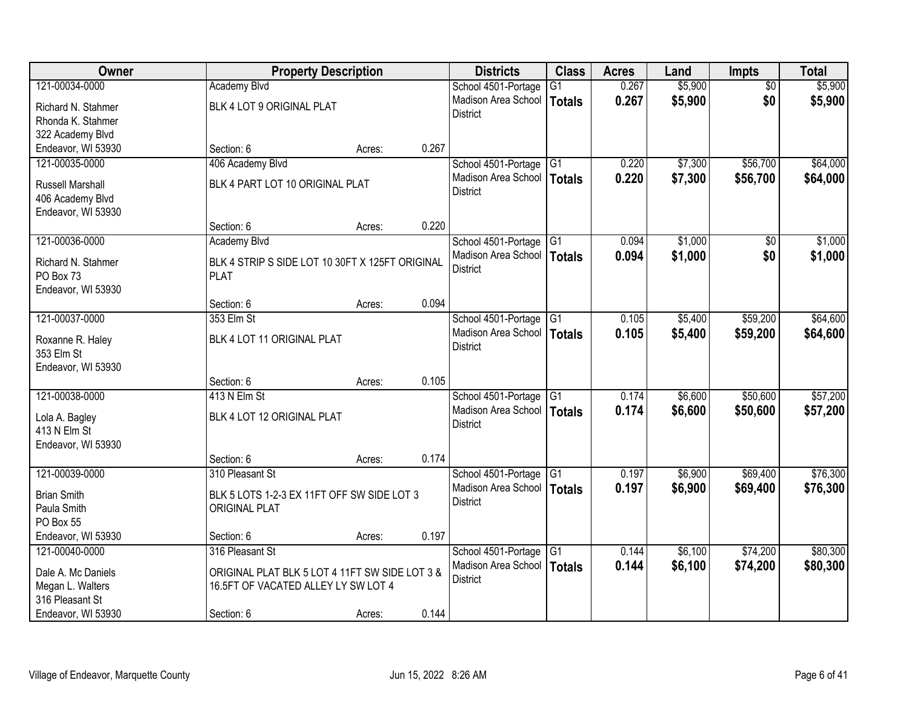| Owner                   | <b>Property Description</b>                     |        |       | <b>Districts</b>             | <b>Class</b>    | <b>Acres</b> | Land    | <b>Impts</b>    | <b>Total</b> |
|-------------------------|-------------------------------------------------|--------|-------|------------------------------|-----------------|--------------|---------|-----------------|--------------|
| 121-00034-0000          | <b>Academy Blvd</b>                             |        |       | School 4501-Portage          | $\overline{G1}$ | 0.267        | \$5,900 | $\overline{50}$ | \$5,900      |
| Richard N. Stahmer      | BLK 4 LOT 9 ORIGINAL PLAT                       |        |       | Madison Area School          | Totals          | 0.267        | \$5,900 | \$0             | \$5,900      |
| Rhonda K. Stahmer       |                                                 |        |       | <b>District</b>              |                 |              |         |                 |              |
| 322 Academy Blvd        |                                                 |        |       |                              |                 |              |         |                 |              |
| Endeavor, WI 53930      | Section: 6                                      | Acres: | 0.267 |                              |                 |              |         |                 |              |
| 121-00035-0000          | 406 Academy Blvd                                |        |       | School 4501-Portage          | G1              | 0.220        | \$7,300 | \$56,700        | \$64,000     |
| <b>Russell Marshall</b> | BLK 4 PART LOT 10 ORIGINAL PLAT                 |        |       | Madison Area School          | Totals          | 0.220        | \$7,300 | \$56,700        | \$64,000     |
| 406 Academy Blvd        |                                                 |        |       | <b>District</b>              |                 |              |         |                 |              |
| Endeavor, WI 53930      |                                                 |        |       |                              |                 |              |         |                 |              |
|                         | Section: 6                                      | Acres: | 0.220 |                              |                 |              |         |                 |              |
| 121-00036-0000          | <b>Academy Blvd</b>                             |        |       | School 4501-Portage          | $\overline{G1}$ | 0.094        | \$1,000 | \$0             | \$1,000      |
| Richard N. Stahmer      | BLK 4 STRIP S SIDE LOT 10 30FT X 125FT ORIGINAL |        |       | Madison Area School          | Totals          | 0.094        | \$1,000 | \$0             | \$1,000      |
| PO Box 73               | <b>PLAT</b>                                     |        |       | <b>District</b>              |                 |              |         |                 |              |
| Endeavor, WI 53930      |                                                 |        |       |                              |                 |              |         |                 |              |
|                         | Section: 6                                      | Acres: | 0.094 |                              |                 |              |         |                 |              |
| 121-00037-0000          | 353 Elm St                                      |        |       | School 4501-Portage          | G <sub>1</sub>  | 0.105        | \$5,400 | \$59,200        | \$64,600     |
| Roxanne R. Haley        | BLK 4 LOT 11 ORIGINAL PLAT                      |        |       | Madison Area School          | Totals          | 0.105        | \$5,400 | \$59,200        | \$64,600     |
| 353 Elm St              |                                                 |        |       | <b>District</b>              |                 |              |         |                 |              |
| Endeavor, WI 53930      |                                                 |        |       |                              |                 |              |         |                 |              |
|                         | Section: 6                                      | Acres: | 0.105 |                              |                 |              |         |                 |              |
| 121-00038-0000          | 413 N Elm St                                    |        |       | School 4501-Portage          | G1              | 0.174        | \$6,600 | \$50,600        | \$57,200     |
| Lola A. Bagley          | BLK 4 LOT 12 ORIGINAL PLAT                      |        |       | Madison Area School   Totals |                 | 0.174        | \$6,600 | \$50,600        | \$57,200     |
| 413 N Elm St            |                                                 |        |       | <b>District</b>              |                 |              |         |                 |              |
| Endeavor, WI 53930      |                                                 |        |       |                              |                 |              |         |                 |              |
|                         | Section: 6                                      | Acres: | 0.174 |                              |                 |              |         |                 |              |
| 121-00039-0000          | 310 Pleasant St                                 |        |       | School 4501-Portage          | G1              | 0.197        | \$6,900 | \$69,400        | \$76,300     |
| <b>Brian Smith</b>      | BLK 5 LOTS 1-2-3 EX 11FT OFF SW SIDE LOT 3      |        |       | Madison Area School          | Totals          | 0.197        | \$6,900 | \$69,400        | \$76,300     |
| Paula Smith             | <b>ORIGINAL PLAT</b>                            |        |       | <b>District</b>              |                 |              |         |                 |              |
| PO Box 55               |                                                 |        |       |                              |                 |              |         |                 |              |
| Endeavor, WI 53930      | Section: 6                                      | Acres: | 0.197 |                              |                 |              |         |                 |              |
| 121-00040-0000          | 316 Pleasant St                                 |        |       | School 4501-Portage          | G <sub>1</sub>  | 0.144        | \$6,100 | \$74,200        | \$80,300     |
| Dale A. Mc Daniels      | ORIGINAL PLAT BLK 5 LOT 4 11FT SW SIDE LOT 3 &  |        |       | Madison Area School          | Totals          | 0.144        | \$6,100 | \$74,200        | \$80,300     |
| Megan L. Walters        | 16.5FT OF VACATED ALLEY LY SW LOT 4             |        |       | <b>District</b>              |                 |              |         |                 |              |
| 316 Pleasant St         |                                                 |        |       |                              |                 |              |         |                 |              |
| Endeavor, WI 53930      | Section: 6                                      | Acres: | 0.144 |                              |                 |              |         |                 |              |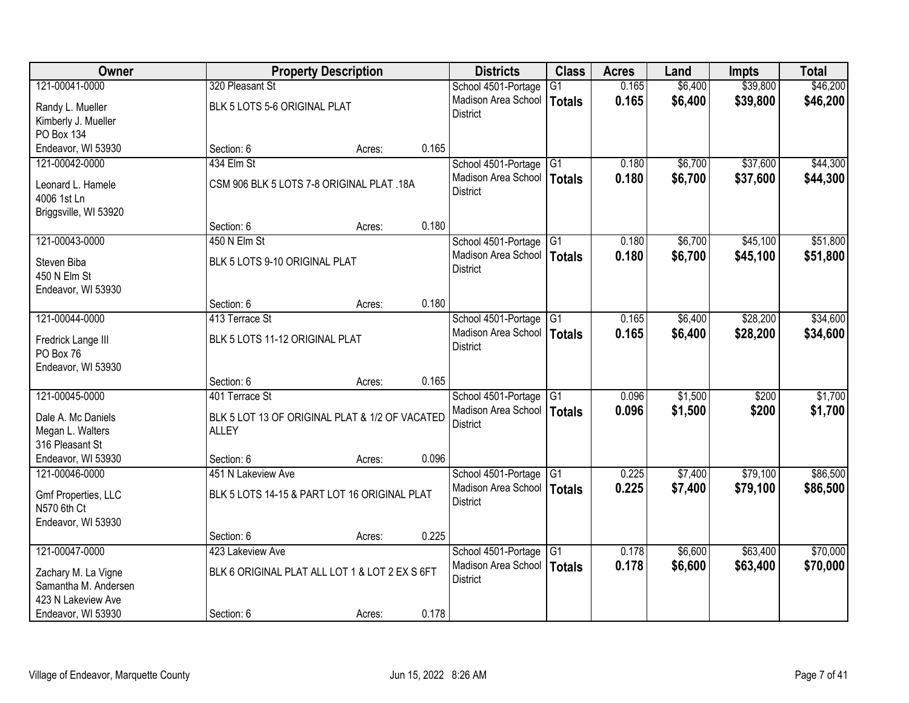| Owner                 |                                                | <b>Property Description</b> |       | <b>Districts</b>             | <b>Class</b>    | <b>Acres</b> | Land    | <b>Impts</b> | <b>Total</b> |
|-----------------------|------------------------------------------------|-----------------------------|-------|------------------------------|-----------------|--------------|---------|--------------|--------------|
| 121-00041-0000        | 320 Pleasant St                                |                             |       | School 4501-Portage          | $\overline{G1}$ | 0.165        | \$6,400 | \$39,800     | \$46,200     |
| Randy L. Mueller      | BLK 5 LOTS 5-6 ORIGINAL PLAT                   |                             |       | Madison Area School          | <b>Totals</b>   | 0.165        | \$6,400 | \$39,800     | \$46,200     |
| Kimberly J. Mueller   |                                                |                             |       | <b>District</b>              |                 |              |         |              |              |
| PO Box 134            |                                                |                             |       |                              |                 |              |         |              |              |
| Endeavor, WI 53930    | Section: 6                                     | Acres:                      | 0.165 |                              |                 |              |         |              |              |
| 121-00042-0000        | 434 Elm St                                     |                             |       | School 4501-Portage          | G1              | 0.180        | \$6,700 | \$37,600     | \$44,300     |
| Leonard L. Hamele     | CSM 906 BLK 5 LOTS 7-8 ORIGINAL PLAT .18A      |                             |       | Madison Area School          | <b>Totals</b>   | 0.180        | \$6,700 | \$37,600     | \$44,300     |
| 4006 1st Ln           |                                                |                             |       | <b>District</b>              |                 |              |         |              |              |
| Briggsville, WI 53920 |                                                |                             |       |                              |                 |              |         |              |              |
|                       | Section: 6                                     | Acres:                      | 0.180 |                              |                 |              |         |              |              |
| 121-00043-0000        | 450 N Elm St                                   |                             |       | School 4501-Portage G1       |                 | 0.180        | \$6,700 | \$45,100     | \$51,800     |
| Steven Biba           | BLK 5 LOTS 9-10 ORIGINAL PLAT                  |                             |       | Madison Area School          | <b>Totals</b>   | 0.180        | \$6,700 | \$45,100     | \$51,800     |
| 450 N Elm St          |                                                |                             |       | <b>District</b>              |                 |              |         |              |              |
| Endeavor, WI 53930    |                                                |                             |       |                              |                 |              |         |              |              |
|                       | Section: 6                                     | Acres:                      | 0.180 |                              |                 |              |         |              |              |
| 121-00044-0000        | 413 Terrace St                                 |                             |       | School 4501-Portage          | $\overline{G1}$ | 0.165        | \$6,400 | \$28,200     | \$34,600     |
| Fredrick Lange III    | BLK 5 LOTS 11-12 ORIGINAL PLAT                 |                             |       | Madison Area School          | <b>Totals</b>   | 0.165        | \$6,400 | \$28,200     | \$34,600     |
| PO Box 76             |                                                |                             |       | <b>District</b>              |                 |              |         |              |              |
| Endeavor, WI 53930    |                                                |                             |       |                              |                 |              |         |              |              |
|                       | Section: 6                                     | Acres:                      | 0.165 |                              |                 |              |         |              |              |
| 121-00045-0000        | 401 Terrace St                                 |                             |       | School 4501-Portage G1       |                 | 0.096        | \$1,500 | \$200        | \$1,700      |
| Dale A. Mc Daniels    | BLK 5 LOT 13 OF ORIGINAL PLAT & 1/2 OF VACATED |                             |       | Madison Area School   Totals |                 | 0.096        | \$1,500 | \$200        | \$1,700      |
| Megan L. Walters      | <b>ALLEY</b>                                   |                             |       | <b>District</b>              |                 |              |         |              |              |
| 316 Pleasant St       |                                                |                             |       |                              |                 |              |         |              |              |
| Endeavor, WI 53930    | Section: 6                                     | Acres:                      | 0.096 |                              |                 |              |         |              |              |
| 121-00046-0000        | 451 N Lakeview Ave                             |                             |       | School 4501-Portage          | $\overline{G1}$ | 0.225        | \$7,400 | \$79,100     | \$86,500     |
| Gmf Properties, LLC   | BLK 5 LOTS 14-15 & PART LOT 16 ORIGINAL PLAT   |                             |       | Madison Area School          | <b>Totals</b>   | 0.225        | \$7,400 | \$79,100     | \$86,500     |
| N570 6th Ct           |                                                |                             |       | <b>District</b>              |                 |              |         |              |              |
| Endeavor, WI 53930    |                                                |                             |       |                              |                 |              |         |              |              |
|                       | Section: 6                                     | Acres:                      | 0.225 |                              |                 |              |         |              |              |
| 121-00047-0000        | 423 Lakeview Ave                               |                             |       | School 4501-Portage          | $\overline{G1}$ | 0.178        | \$6,600 | \$63,400     | \$70,000     |
| Zachary M. La Vigne   | BLK 6 ORIGINAL PLAT ALL LOT 1 & LOT 2 EX S 6FT |                             |       | Madison Area School          | <b>Totals</b>   | 0.178        | \$6,600 | \$63,400     | \$70,000     |
| Samantha M. Andersen  |                                                |                             |       | <b>District</b>              |                 |              |         |              |              |
| 423 N Lakeview Ave    |                                                |                             |       |                              |                 |              |         |              |              |
| Endeavor, WI 53930    | Section: 6                                     | Acres:                      | 0.178 |                              |                 |              |         |              |              |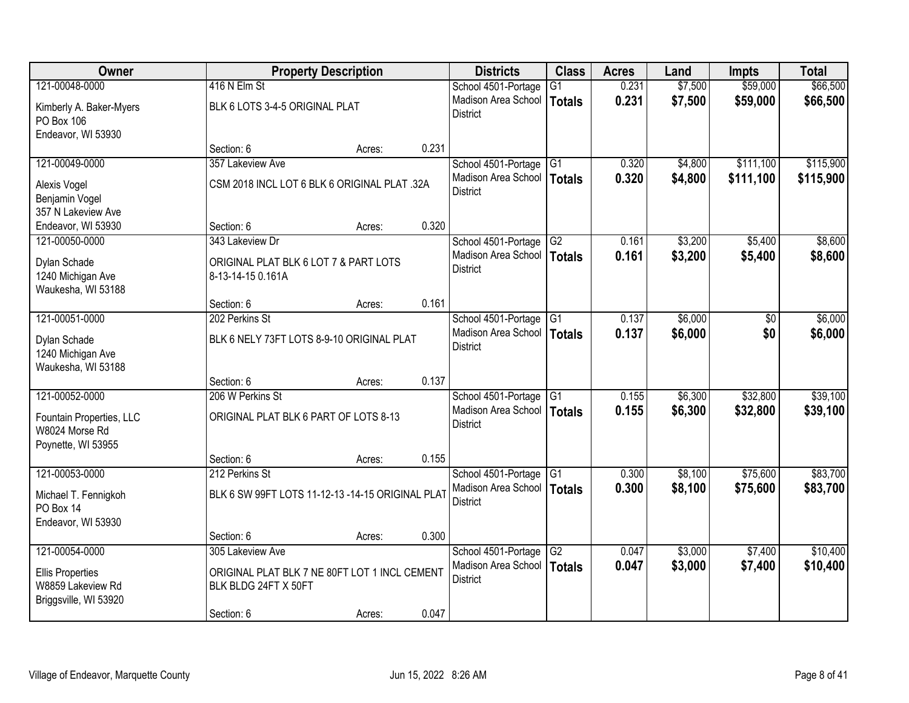| Owner                                        |                                                                       | <b>Property Description</b> |       | <b>Districts</b>                                | <b>Class</b>        | <b>Acres</b>   | Land               | <b>Impts</b>         | <b>Total</b>         |
|----------------------------------------------|-----------------------------------------------------------------------|-----------------------------|-------|-------------------------------------------------|---------------------|----------------|--------------------|----------------------|----------------------|
| 121-00048-0000                               | 416 N Elm St                                                          |                             |       | School 4501-Portage                             | G1                  | 0.231          | \$7,500            | \$59,000             | \$66,500             |
| Kimberly A. Baker-Myers                      | BLK 6 LOTS 3-4-5 ORIGINAL PLAT                                        |                             |       | Madison Area School<br><b>District</b>          | Totals              | 0.231          | \$7,500            | \$59,000             | \$66,500             |
| PO Box 106<br>Endeavor, WI 53930             |                                                                       |                             |       |                                                 |                     |                |                    |                      |                      |
|                                              | Section: 6                                                            | Acres:                      | 0.231 |                                                 |                     |                |                    |                      |                      |
| 121-00049-0000                               | 357 Lakeview Ave                                                      |                             |       | School 4501-Portage                             | IG1                 | 0.320          | \$4,800            | \$111,100            | \$115,900            |
|                                              |                                                                       |                             |       | Madison Area School                             | <b>Totals</b>       | 0.320          | \$4,800            | \$111,100            | \$115,900            |
| Alexis Vogel                                 | CSM 2018 INCL LOT 6 BLK 6 ORIGINAL PLAT .32A                          |                             |       | <b>District</b>                                 |                     |                |                    |                      |                      |
| Benjamin Vogel<br>357 N Lakeview Ave         |                                                                       |                             |       |                                                 |                     |                |                    |                      |                      |
| Endeavor, WI 53930                           | Section: 6                                                            | Acres:                      | 0.320 |                                                 |                     |                |                    |                      |                      |
| 121-00050-0000                               | 343 Lakeview Dr                                                       |                             |       | School 4501-Portage G2                          |                     | 0.161          | \$3,200            | \$5,400              | \$8,600              |
| Dylan Schade                                 | ORIGINAL PLAT BLK 6 LOT 7 & PART LOTS                                 |                             |       | Madison Area School                             | <b>Totals</b>       | 0.161          | \$3,200            | \$5,400              | \$8,600              |
| 1240 Michigan Ave                            | 8-13-14-15 0.161A                                                     |                             |       | <b>District</b>                                 |                     |                |                    |                      |                      |
| Waukesha, WI 53188                           |                                                                       |                             |       |                                                 |                     |                |                    |                      |                      |
|                                              | Section: 6                                                            | Acres:                      | 0.161 |                                                 |                     |                |                    |                      |                      |
| 121-00051-0000                               | 202 Perkins St                                                        |                             |       | School 4501-Portage                             | G1                  | 0.137          | \$6,000            | \$0                  | \$6,000              |
| Dylan Schade                                 | BLK 6 NELY 73FT LOTS 8-9-10 ORIGINAL PLAT                             |                             |       | Madison Area School                             | <b>Totals</b>       | 0.137          | \$6,000            | \$0                  | \$6,000              |
| 1240 Michigan Ave                            |                                                                       |                             |       | <b>District</b>                                 |                     |                |                    |                      |                      |
| Waukesha, WI 53188                           |                                                                       |                             |       |                                                 |                     |                |                    |                      |                      |
|                                              | Section: 6                                                            | Acres:                      | 0.137 |                                                 |                     |                |                    |                      |                      |
| 121-00052-0000                               | 206 W Perkins St                                                      |                             |       | School 4501-Portage                             | $\overline{G1}$     | 0.155          | \$6,300            | \$32,800             | \$39,100             |
| Fountain Properties, LLC                     | ORIGINAL PLAT BLK 6 PART OF LOTS 8-13                                 |                             |       | Madison Area School   Totals<br><b>District</b> |                     | 0.155          | \$6,300            | \$32,800             | \$39,100             |
| W8024 Morse Rd                               |                                                                       |                             |       |                                                 |                     |                |                    |                      |                      |
| Poynette, WI 53955                           |                                                                       |                             |       |                                                 |                     |                |                    |                      |                      |
|                                              | Section: 6                                                            | Acres:                      | 0.155 |                                                 |                     |                |                    |                      |                      |
| 121-00053-0000                               | 212 Perkins St                                                        |                             |       | School 4501-Portage<br>Madison Area School      | G1<br><b>Totals</b> | 0.300<br>0.300 | \$8,100<br>\$8,100 | \$75,600<br>\$75,600 | \$83,700<br>\$83,700 |
| Michael T. Fennigkoh                         | BLK 6 SW 99FT LOTS 11-12-13 -14-15 ORIGINAL PLAT                      |                             |       | <b>District</b>                                 |                     |                |                    |                      |                      |
| PO Box 14                                    |                                                                       |                             |       |                                                 |                     |                |                    |                      |                      |
| Endeavor, WI 53930                           | Section: 6                                                            | Acres:                      | 0.300 |                                                 |                     |                |                    |                      |                      |
| 121-00054-0000                               | 305 Lakeview Ave                                                      |                             |       | School 4501-Portage                             | G2                  | 0.047          | \$3,000            | \$7,400              | \$10,400             |
|                                              |                                                                       |                             |       | Madison Area School                             | <b>Totals</b>       | 0.047          | \$3,000            | \$7,400              | \$10,400             |
| <b>Ellis Properties</b><br>W8859 Lakeview Rd | ORIGINAL PLAT BLK 7 NE 80FT LOT 1 INCL CEMENT<br>BLK BLDG 24FT X 50FT |                             |       | <b>District</b>                                 |                     |                |                    |                      |                      |
| Briggsville, WI 53920                        |                                                                       |                             |       |                                                 |                     |                |                    |                      |                      |
|                                              | Section: 6                                                            | Acres:                      | 0.047 |                                                 |                     |                |                    |                      |                      |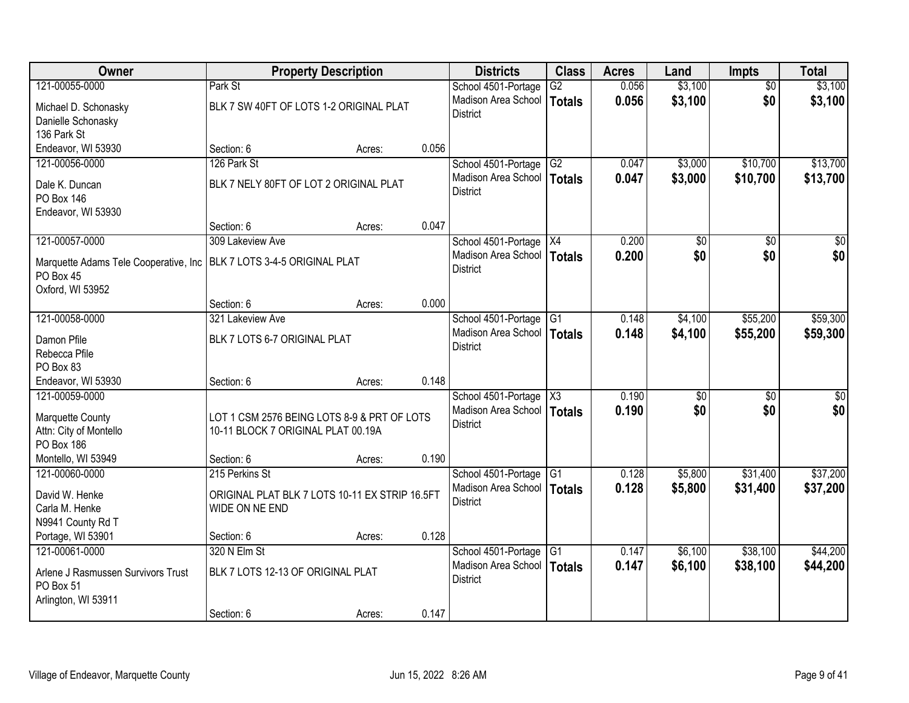| Owner                                  |                                                | <b>Property Description</b> |       | <b>Districts</b>                           | <b>Class</b>    | <b>Acres</b> | Land            | <b>Impts</b> | <b>Total</b> |
|----------------------------------------|------------------------------------------------|-----------------------------|-------|--------------------------------------------|-----------------|--------------|-----------------|--------------|--------------|
| 121-00055-0000                         | Park St                                        |                             |       | School 4501-Portage                        | $\overline{G2}$ | 0.056        | \$3,100         | \$0          | \$3,100      |
| Michael D. Schonasky                   | BLK 7 SW 40FT OF LOTS 1-2 ORIGINAL PLAT        |                             |       | Madison Area School                        | <b>Totals</b>   | 0.056        | \$3,100         | \$0          | \$3,100      |
| Danielle Schonasky                     |                                                |                             |       | <b>District</b>                            |                 |              |                 |              |              |
| 136 Park St                            |                                                |                             |       |                                            |                 |              |                 |              |              |
| Endeavor, WI 53930                     | Section: 6                                     | Acres:                      | 0.056 |                                            |                 |              |                 |              |              |
| 121-00056-0000                         | 126 Park St                                    |                             |       | School 4501-Portage                        | G2              | 0.047        | \$3,000         | \$10,700     | \$13,700     |
| Dale K. Duncan                         | BLK 7 NELY 80FT OF LOT 2 ORIGINAL PLAT         |                             |       | Madison Area School                        | Totals          | 0.047        | \$3,000         | \$10,700     | \$13,700     |
| <b>PO Box 146</b>                      |                                                |                             |       | <b>District</b>                            |                 |              |                 |              |              |
| Endeavor, WI 53930                     |                                                |                             |       |                                            |                 |              |                 |              |              |
|                                        | Section: 6                                     | Acres:                      | 0.047 |                                            |                 |              |                 |              |              |
| 121-00057-0000                         | 309 Lakeview Ave                               |                             |       | School 4501-Portage   X4                   |                 | 0.200        | $\overline{50}$ | \$0          | $\sqrt{50}$  |
| Marquette Adams Tele Cooperative, Inc. | BLK 7 LOTS 3-4-5 ORIGINAL PLAT                 |                             |       | Madison Area School                        | <b>Totals</b>   | 0.200        | \$0             | \$0          | \$0          |
| PO Box 45                              |                                                |                             |       | <b>District</b>                            |                 |              |                 |              |              |
| Oxford, WI 53952                       |                                                |                             |       |                                            |                 |              |                 |              |              |
|                                        | Section: 6                                     | Acres:                      | 0.000 |                                            |                 |              |                 |              |              |
| 121-00058-0000                         | 321 Lakeview Ave                               |                             |       | School 4501-Portage                        | G1              | 0.148        | \$4,100         | \$55,200     | \$59,300     |
|                                        |                                                |                             |       | Madison Area School                        | Totals          | 0.148        | \$4,100         | \$55,200     | \$59,300     |
| Damon Pfile<br>Rebecca Pfile           | BLK 7 LOTS 6-7 ORIGINAL PLAT                   |                             |       | <b>District</b>                            |                 |              |                 |              |              |
| PO Box 83                              |                                                |                             |       |                                            |                 |              |                 |              |              |
| Endeavor, WI 53930                     | Section: 6                                     | Acres:                      | 0.148 |                                            |                 |              |                 |              |              |
| 121-00059-0000                         |                                                |                             |       | School 4501-Portage                        | X3              | 0.190        | \$0             | \$0          | \$0          |
|                                        |                                                |                             |       | Madison Area School   Totals               |                 | 0.190        | \$0             | \$0          | \$0          |
| Marquette County                       | LOT 1 CSM 2576 BEING LOTS 8-9 & PRT OF LOTS    |                             |       | <b>District</b>                            |                 |              |                 |              |              |
| Attn: City of Montello                 | 10-11 BLOCK 7 ORIGINAL PLAT 00.19A             |                             |       |                                            |                 |              |                 |              |              |
| PO Box 186<br>Montello, WI 53949       | Section: 6                                     |                             | 0.190 |                                            |                 |              |                 |              |              |
| 121-00060-0000                         | 215 Perkins St                                 | Acres:                      |       | School 4501-Portage                        | G <sub>1</sub>  | 0.128        | \$5,800         | \$31,400     | \$37,200     |
|                                        |                                                |                             |       | Madison Area School                        | Totals          | 0.128        | \$5,800         | \$31,400     | \$37,200     |
| David W. Henke                         | ORIGINAL PLAT BLK 7 LOTS 10-11 EX STRIP 16.5FT |                             |       | <b>District</b>                            |                 |              |                 |              |              |
| Carla M. Henke                         | WIDE ON NE END                                 |                             |       |                                            |                 |              |                 |              |              |
| N9941 County Rd T                      |                                                |                             |       |                                            |                 |              |                 |              |              |
| Portage, WI 53901                      | Section: 6                                     | Acres:                      | 0.128 |                                            |                 |              |                 |              |              |
| 121-00061-0000                         | 320 N Elm St                                   |                             |       | School 4501-Portage<br>Madison Area School | G1              | 0.147        | \$6,100         | \$38,100     | \$44,200     |
| Arlene J Rasmussen Survivors Trust     | BLK 7 LOTS 12-13 OF ORIGINAL PLAT              |                             |       | <b>District</b>                            | Totals          | 0.147        | \$6,100         | \$38,100     | \$44,200     |
| PO Box 51                              |                                                |                             |       |                                            |                 |              |                 |              |              |
| Arlington, WI 53911                    |                                                |                             |       |                                            |                 |              |                 |              |              |
|                                        | Section: 6                                     | Acres:                      | 0.147 |                                            |                 |              |                 |              |              |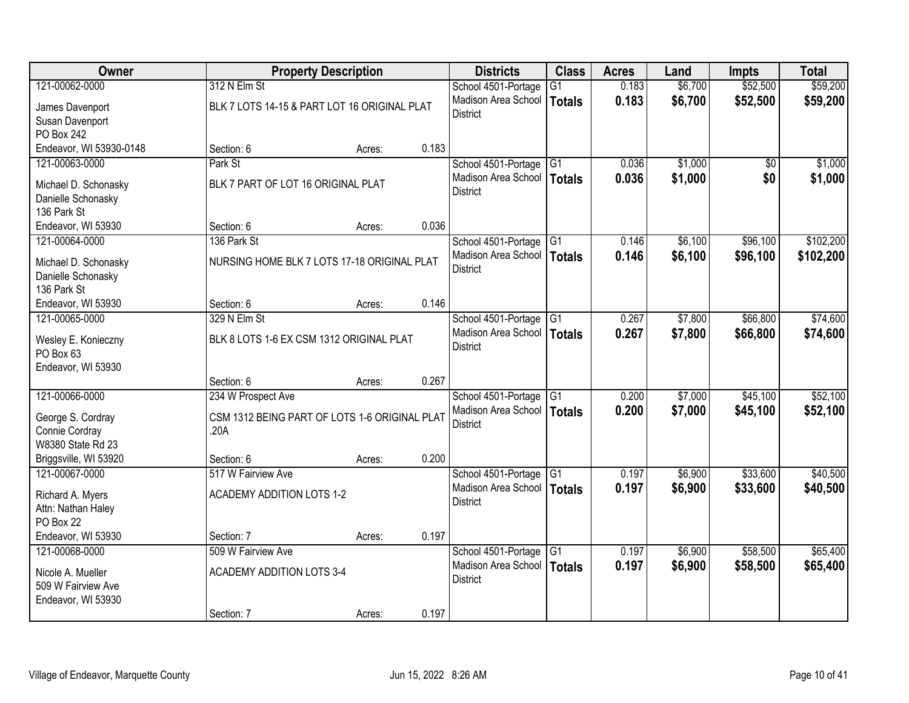| Owner                               | <b>Property Description</b>                   |                 | <b>Districts</b>                       | <b>Class</b>    | <b>Acres</b> | Land    | <b>Impts</b>    | <b>Total</b> |
|-------------------------------------|-----------------------------------------------|-----------------|----------------------------------------|-----------------|--------------|---------|-----------------|--------------|
| 121-00062-0000                      | 312 N Elm St                                  |                 | School 4501-Portage                    | G1              | 0.183        | \$6,700 | \$52,500        | \$59,200     |
| James Davenport                     | BLK 7 LOTS 14-15 & PART LOT 16 ORIGINAL PLAT  |                 | Madison Area School<br><b>District</b> | Totals          | 0.183        | \$6,700 | \$52,500        | \$59,200     |
| Susan Davenport                     |                                               |                 |                                        |                 |              |         |                 |              |
| PO Box 242                          |                                               |                 |                                        |                 |              |         |                 |              |
| Endeavor, WI 53930-0148             | Section: 6                                    | 0.183<br>Acres: |                                        |                 |              |         |                 |              |
| 121-00063-0000                      | Park St                                       |                 | School 4501-Portage                    | IG1             | 0.036        | \$1,000 | $\overline{50}$ | \$1,000      |
| Michael D. Schonasky                | BLK 7 PART OF LOT 16 ORIGINAL PLAT            |                 | Madison Area School<br><b>District</b> | <b>Totals</b>   | 0.036        | \$1,000 | \$0             | \$1,000      |
| Danielle Schonasky                  |                                               |                 |                                        |                 |              |         |                 |              |
| 136 Park St                         |                                               |                 |                                        |                 |              |         |                 |              |
| Endeavor, WI 53930                  | Section: 6                                    | 0.036<br>Acres: |                                        |                 |              |         |                 |              |
| 121-00064-0000                      | 136 Park St                                   |                 | School 4501-Portage G1                 |                 | 0.146        | \$6,100 | \$96,100        | \$102,200    |
| Michael D. Schonasky                | NURSING HOME BLK 7 LOTS 17-18 ORIGINAL PLAT   |                 | Madison Area School   Totals           |                 | 0.146        | \$6,100 | \$96,100        | \$102,200    |
| Danielle Schonasky                  |                                               |                 | <b>District</b>                        |                 |              |         |                 |              |
| 136 Park St                         |                                               |                 |                                        |                 |              |         |                 |              |
| Endeavor, WI 53930                  | Section: 6                                    | 0.146<br>Acres: |                                        |                 |              |         |                 |              |
| 121-00065-0000                      | 329 N Elm St                                  |                 | School 4501-Portage                    | G1              | 0.267        | \$7,800 | \$66,800        | \$74,600     |
| Wesley E. Konieczny                 | BLK 8 LOTS 1-6 EX CSM 1312 ORIGINAL PLAT      |                 | Madison Area School                    | <b>Totals</b>   | 0.267        | \$7,800 | \$66,800        | \$74,600     |
| PO Box 63                           |                                               |                 | <b>District</b>                        |                 |              |         |                 |              |
| Endeavor, WI 53930                  |                                               |                 |                                        |                 |              |         |                 |              |
|                                     | Section: 6                                    | 0.267<br>Acres: |                                        |                 |              |         |                 |              |
| 121-00066-0000                      | 234 W Prospect Ave                            |                 | School 4501-Portage                    | $\overline{G1}$ | 0.200        | \$7,000 | \$45,100        | \$52,100     |
|                                     | CSM 1312 BEING PART OF LOTS 1-6 ORIGINAL PLAT |                 | Madison Area School   Totals           |                 | 0.200        | \$7,000 | \$45,100        | \$52,100     |
| George S. Cordray<br>Connie Cordray | .20A                                          |                 | <b>District</b>                        |                 |              |         |                 |              |
| W8380 State Rd 23                   |                                               |                 |                                        |                 |              |         |                 |              |
| Briggsville, WI 53920               | Section: 6                                    | 0.200<br>Acres: |                                        |                 |              |         |                 |              |
| 121-00067-0000                      | 517 W Fairview Ave                            |                 | School 4501-Portage                    | $\overline{G1}$ | 0.197        | \$6,900 | \$33,600        | \$40,500     |
|                                     |                                               |                 | Madison Area School                    | <b>Totals</b>   | 0.197        | \$6,900 | \$33,600        | \$40,500     |
| Richard A. Myers                    | <b>ACADEMY ADDITION LOTS 1-2</b>              |                 | <b>District</b>                        |                 |              |         |                 |              |
| Attn: Nathan Haley<br>PO Box 22     |                                               |                 |                                        |                 |              |         |                 |              |
| Endeavor, WI 53930                  | Section: 7                                    | 0.197<br>Acres: |                                        |                 |              |         |                 |              |
| 121-00068-0000                      | 509 W Fairview Ave                            |                 | School 4501-Portage                    | IG <sub>1</sub> | 0.197        | \$6,900 | \$58,500        | \$65,400     |
|                                     |                                               |                 | Madison Area School                    | <b>Totals</b>   | 0.197        | \$6,900 | \$58,500        | \$65,400     |
| Nicole A. Mueller                   | <b>ACADEMY ADDITION LOTS 3-4</b>              |                 | <b>District</b>                        |                 |              |         |                 |              |
| 509 W Fairview Ave                  |                                               |                 |                                        |                 |              |         |                 |              |
| Endeavor, WI 53930                  |                                               |                 |                                        |                 |              |         |                 |              |
|                                     | Section: 7                                    | 0.197<br>Acres: |                                        |                 |              |         |                 |              |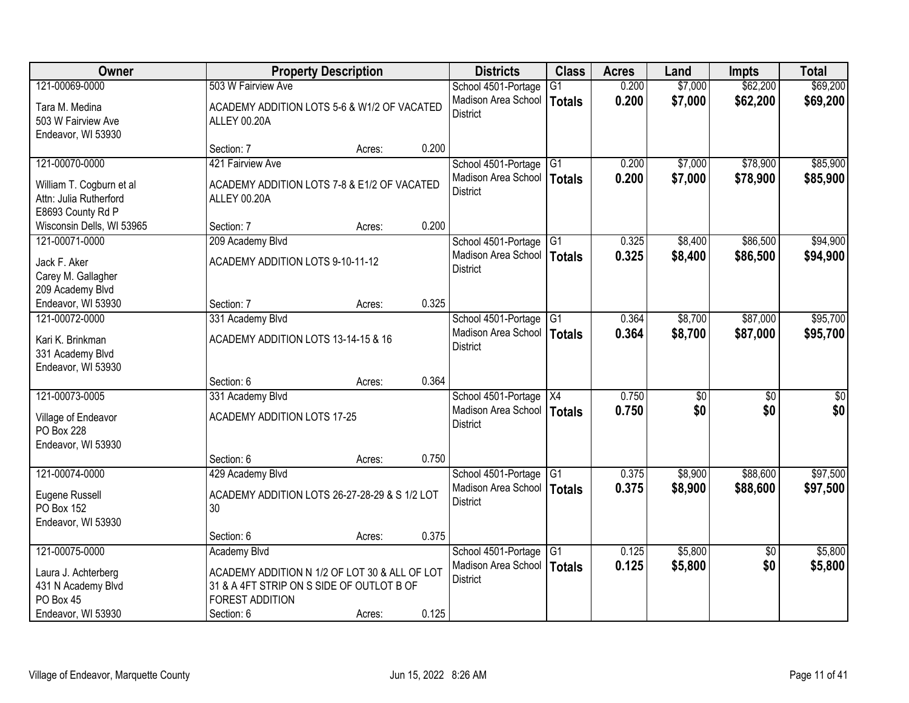| Owner                                                                   |                                                                                                                      | <b>Property Description</b> |       | <b>Districts</b>                                | <b>Class</b>    | <b>Acres</b> | Land    | <b>Impts</b>    | <b>Total</b> |
|-------------------------------------------------------------------------|----------------------------------------------------------------------------------------------------------------------|-----------------------------|-------|-------------------------------------------------|-----------------|--------------|---------|-----------------|--------------|
| 121-00069-0000                                                          | 503 W Fairview Ave                                                                                                   |                             |       | School 4501-Portage                             | $\overline{G1}$ | 0.200        | \$7,000 | \$62,200        | \$69,200     |
| Tara M. Medina<br>503 W Fairview Ave<br>Endeavor, WI 53930              | ACADEMY ADDITION LOTS 5-6 & W1/2 OF VACATED<br>ALLEY 00.20A                                                          |                             |       | Madison Area School<br><b>District</b>          | <b>Totals</b>   | 0.200        | \$7,000 | \$62,200        | \$69,200     |
|                                                                         | Section: 7                                                                                                           | Acres:                      | 0.200 |                                                 |                 |              |         |                 |              |
| 121-00070-0000                                                          | 421 Fairview Ave                                                                                                     |                             |       | School 4501-Portage                             | G1              | 0.200        | \$7,000 | \$78,900        | \$85,900     |
| William T. Cogburn et al<br>Attn: Julia Rutherford<br>E8693 County Rd P | ACADEMY ADDITION LOTS 7-8 & E1/2 OF VACATED<br><b>ALLEY 00.20A</b>                                                   |                             |       | Madison Area School<br><b>District</b>          | Totals          | 0.200        | \$7,000 | \$78,900        | \$85,900     |
| Wisconsin Dells, WI 53965                                               | Section: 7                                                                                                           | Acres:                      | 0.200 |                                                 |                 |              |         |                 |              |
| 121-00071-0000                                                          | 209 Academy Blvd                                                                                                     |                             |       | School 4501-Portage G1                          |                 | 0.325        | \$8,400 | \$86,500        | \$94,900     |
| Jack F. Aker<br>Carey M. Gallagher<br>209 Academy Blvd                  | ACADEMY ADDITION LOTS 9-10-11-12                                                                                     |                             |       | Madison Area School<br><b>District</b>          | Totals          | 0.325        | \$8,400 | \$86,500        | \$94,900     |
| Endeavor, WI 53930                                                      | Section: 7                                                                                                           | Acres:                      | 0.325 |                                                 |                 |              |         |                 |              |
| 121-00072-0000                                                          | 331 Academy Blvd                                                                                                     |                             |       | School 4501-Portage                             | G1              | 0.364        | \$8,700 | \$87,000        | \$95,700     |
| Kari K. Brinkman<br>331 Academy Blvd<br>Endeavor, WI 53930              | ACADEMY ADDITION LOTS 13-14-15 & 16                                                                                  |                             |       | Madison Area School<br><b>District</b>          | <b>Totals</b>   | 0.364        | \$8,700 | \$87,000        | \$95,700     |
|                                                                         | Section: 6                                                                                                           | Acres:                      | 0.364 |                                                 |                 |              |         |                 |              |
| 121-00073-0005                                                          | 331 Academy Blvd                                                                                                     |                             |       | School 4501-Portage   X4                        |                 | 0.750        | \$0     | $\overline{50}$ | \$0          |
| Village of Endeavor<br>PO Box 228<br>Endeavor, WI 53930                 | <b>ACADEMY ADDITION LOTS 17-25</b>                                                                                   |                             |       | Madison Area School   Totals<br><b>District</b> |                 | 0.750        | \$0     | \$0             | \$0          |
|                                                                         | Section: 6                                                                                                           | Acres:                      | 0.750 |                                                 |                 |              |         |                 |              |
| 121-00074-0000                                                          | 429 Academy Blvd                                                                                                     |                             |       | School 4501-Portage                             | $\overline{G1}$ | 0.375        | \$8,900 | \$88,600        | \$97,500     |
| Eugene Russell<br>PO Box 152<br>Endeavor, WI 53930                      | ACADEMY ADDITION LOTS 26-27-28-29 & S 1/2 LOT<br>30                                                                  |                             |       | Madison Area School<br><b>District</b>          | Totals          | 0.375        | \$8,900 | \$88,600        | \$97,500     |
|                                                                         | Section: 6                                                                                                           | Acres:                      | 0.375 |                                                 |                 |              |         |                 |              |
| 121-00075-0000                                                          | <b>Academy Blvd</b>                                                                                                  |                             |       | School 4501-Portage                             | G1              | 0.125        | \$5,800 | $\overline{30}$ | \$5,800      |
| Laura J. Achterberg<br>431 N Academy Blvd<br>PO Box 45                  | ACADEMY ADDITION N 1/2 OF LOT 30 & ALL OF LOT<br>31 & A 4FT STRIP ON S SIDE OF OUTLOT B OF<br><b>FOREST ADDITION</b> |                             |       | Madison Area School<br><b>District</b>          | Totals          | 0.125        | \$5,800 | \$0             | \$5,800      |
| Endeavor, WI 53930                                                      | Section: 6                                                                                                           | Acres:                      | 0.125 |                                                 |                 |              |         |                 |              |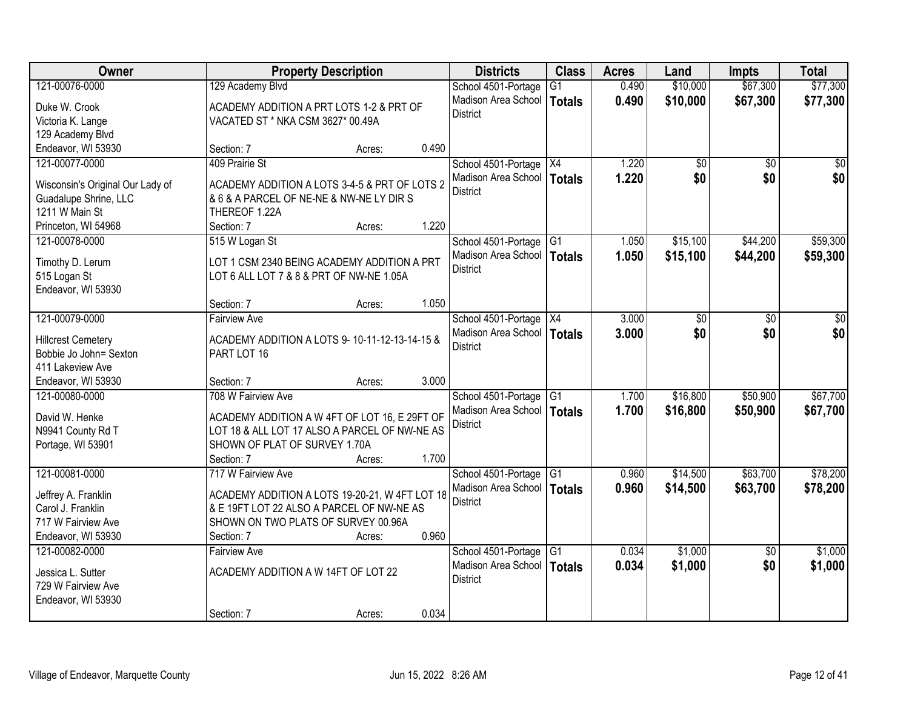| Owner                            |                                                | <b>Property Description</b> |       | <b>Districts</b>             | <b>Class</b>    | <b>Acres</b> | Land       | <b>Impts</b>    | <b>Total</b>    |
|----------------------------------|------------------------------------------------|-----------------------------|-------|------------------------------|-----------------|--------------|------------|-----------------|-----------------|
| 121-00076-0000                   | 129 Academy Blvd                               |                             |       | School 4501-Portage          | $\overline{G1}$ | 0.490        | \$10,000   | \$67,300        | \$77,300        |
| Duke W. Crook                    | ACADEMY ADDITION A PRT LOTS 1-2 & PRT OF       |                             |       | Madison Area School          | <b>Totals</b>   | 0.490        | \$10,000   | \$67,300        | \$77,300        |
| Victoria K. Lange                | VACATED ST * NKA CSM 3627* 00.49A              |                             |       | <b>District</b>              |                 |              |            |                 |                 |
| 129 Academy Blvd                 |                                                |                             |       |                              |                 |              |            |                 |                 |
| Endeavor, WI 53930               | Section: 7                                     | Acres:                      | 0.490 |                              |                 |              |            |                 |                 |
| 121-00077-0000                   | 409 Prairie St                                 |                             |       | School 4501-Portage          | $\overline{X4}$ | 1.220        | $\sqrt{6}$ | $\overline{30}$ | $\overline{50}$ |
| Wisconsin's Original Our Lady of | ACADEMY ADDITION A LOTS 3-4-5 & PRT OF LOTS 2  |                             |       | Madison Area School          | <b>Totals</b>   | 1.220        | \$0        | \$0             | \$0             |
| Guadalupe Shrine, LLC            | & 6 & A PARCEL OF NE-NE & NW-NE LY DIR S       |                             |       | <b>District</b>              |                 |              |            |                 |                 |
| 1211 W Main St                   | THEREOF 1.22A                                  |                             |       |                              |                 |              |            |                 |                 |
| Princeton, WI 54968              | Section: 7                                     | Acres:                      | 1.220 |                              |                 |              |            |                 |                 |
| 121-00078-0000                   | 515 W Logan St                                 |                             |       | School 4501-Portage G1       |                 | 1.050        | \$15,100   | \$44,200        | \$59,300        |
|                                  |                                                |                             |       | Madison Area School          | <b>Totals</b>   | 1.050        | \$15,100   | \$44,200        | \$59,300        |
| Timothy D. Lerum                 | LOT 1 CSM 2340 BEING ACADEMY ADDITION A PRT    |                             |       | <b>District</b>              |                 |              |            |                 |                 |
| 515 Logan St                     | LOT 6 ALL LOT 7 & 8 & PRT OF NW-NE 1.05A       |                             |       |                              |                 |              |            |                 |                 |
| Endeavor, WI 53930               | Section: 7                                     | Acres:                      | 1.050 |                              |                 |              |            |                 |                 |
| 121-00079-0000                   | <b>Fairview Ave</b>                            |                             |       | School 4501-Portage          | X4              | 3.000        | \$0        | \$0             | \$0             |
|                                  |                                                |                             |       | Madison Area School          | <b>Totals</b>   | 3.000        | \$0        | \$0             | \$0             |
| <b>Hillcrest Cemetery</b>        | ACADEMY ADDITION A LOTS 9-10-11-12-13-14-15 &  |                             |       | <b>District</b>              |                 |              |            |                 |                 |
| Bobbie Jo John= Sexton           | PART LOT 16                                    |                             |       |                              |                 |              |            |                 |                 |
| 411 Lakeview Ave                 |                                                |                             |       |                              |                 |              |            |                 |                 |
| Endeavor, WI 53930               | Section: 7                                     | Acres:                      | 3.000 |                              |                 |              |            |                 |                 |
| 121-00080-0000                   | 708 W Fairview Ave                             |                             |       | School 4501-Portage          | $\overline{G1}$ | 1.700        | \$16,800   | \$50,900        | \$67,700        |
| David W. Henke                   | ACADEMY ADDITION A W 4FT OF LOT 16, E 29FT OF  |                             |       | Madison Area School   Totals |                 | 1.700        | \$16,800   | \$50,900        | \$67,700        |
| N9941 County Rd T                | LOT 18 & ALL LOT 17 ALSO A PARCEL OF NW-NE AS  |                             |       | District                     |                 |              |            |                 |                 |
| Portage, WI 53901                | SHOWN OF PLAT OF SURVEY 1.70A                  |                             |       |                              |                 |              |            |                 |                 |
|                                  | Section: 7                                     | Acres:                      | 1.700 |                              |                 |              |            |                 |                 |
| 121-00081-0000                   | 717 W Fairview Ave                             |                             |       | School 4501-Portage          | G1              | 0.960        | \$14,500   | \$63,700        | \$78,200        |
| Jeffrey A. Franklin              | ACADEMY ADDITION A LOTS 19-20-21, W 4FT LOT 18 |                             |       | Madison Area School          | <b>Totals</b>   | 0.960        | \$14,500   | \$63,700        | \$78,200        |
| Carol J. Franklin                | & E 19FT LOT 22 ALSO A PARCEL OF NW-NE AS      |                             |       | <b>District</b>              |                 |              |            |                 |                 |
| 717 W Fairview Ave               | SHOWN ON TWO PLATS OF SURVEY 00.96A            |                             |       |                              |                 |              |            |                 |                 |
| Endeavor, WI 53930               | Section: 7                                     | Acres:                      | 0.960 |                              |                 |              |            |                 |                 |
| 121-00082-0000                   | <b>Fairview Ave</b>                            |                             |       | School 4501-Portage          | IG1             | 0.034        | \$1,000    | $\overline{50}$ | \$1,000         |
| Jessica L. Sutter                | ACADEMY ADDITION A W 14FT OF LOT 22            |                             |       | Madison Area School          | <b>Totals</b>   | 0.034        | \$1,000    | \$0             | \$1,000         |
| 729 W Fairview Ave               |                                                |                             |       | <b>District</b>              |                 |              |            |                 |                 |
| Endeavor, WI 53930               |                                                |                             |       |                              |                 |              |            |                 |                 |
|                                  | Section: 7                                     | Acres:                      | 0.034 |                              |                 |              |            |                 |                 |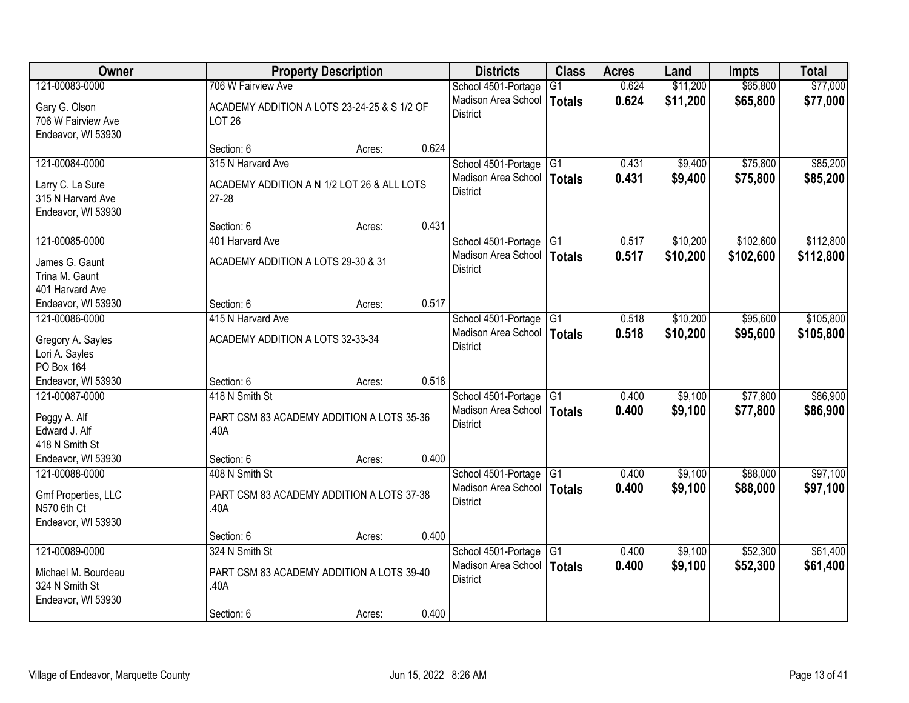| Owner                                                                         | <b>Property Description</b>                                                  | <b>Districts</b>                                              | <b>Class</b>              | <b>Acres</b>   | Land               | <b>Impts</b>         | <b>Total</b>         |
|-------------------------------------------------------------------------------|------------------------------------------------------------------------------|---------------------------------------------------------------|---------------------------|----------------|--------------------|----------------------|----------------------|
| 121-00083-0000                                                                | 706 W Fairview Ave                                                           | School 4501-Portage                                           | $\overline{G1}$           | 0.624          | \$11,200           | \$65,800             | \$77,000             |
| Gary G. Olson<br>706 W Fairview Ave<br>Endeavor, WI 53930                     | ACADEMY ADDITION A LOTS 23-24-25 & S 1/2 OF<br><b>LOT 26</b>                 | Madison Area School<br><b>District</b>                        | Totals                    | 0.624          | \$11,200           | \$65,800             | \$77,000             |
|                                                                               | 0.624<br>Section: 6<br>Acres:                                                |                                                               |                           |                |                    |                      |                      |
| 121-00084-0000                                                                | 315 N Harvard Ave                                                            | School 4501-Portage                                           | G1                        | 0.431          | \$9,400            | \$75,800             | \$85,200             |
| Larry C. La Sure<br>315 N Harvard Ave<br>Endeavor, WI 53930                   | ACADEMY ADDITION A N 1/2 LOT 26 & ALL LOTS<br>$27 - 28$                      | Madison Area School<br><b>District</b>                        | Totals                    | 0.431          | \$9,400            | \$75,800             | \$85,200             |
|                                                                               | 0.431<br>Section: 6<br>Acres:                                                |                                                               |                           |                |                    |                      |                      |
| 121-00085-0000                                                                | 401 Harvard Ave                                                              | School 4501-Portage                                           | G <sub>1</sub>            | 0.517          | \$10,200           | \$102,600            | \$112,800            |
| James G. Gaunt<br>Trina M. Gaunt<br>401 Harvard Ave                           | ACADEMY ADDITION A LOTS 29-30 & 31                                           | Madison Area School<br><b>District</b>                        | Totals                    | 0.517          | \$10,200           | \$102,600            | \$112,800            |
| Endeavor, WI 53930                                                            | 0.517<br>Section: 6<br>Acres:                                                |                                                               |                           |                |                    |                      |                      |
| 121-00086-0000                                                                | 415 N Harvard Ave                                                            | School 4501-Portage                                           | G1                        | 0.518          | \$10,200           | \$95,600             | \$105,800            |
| Gregory A. Sayles<br>Lori A. Sayles<br>PO Box 164                             | ACADEMY ADDITION A LOTS 32-33-34                                             | Madison Area School<br><b>District</b>                        | <b>Totals</b>             | 0.518          | \$10,200           | \$95,600             | \$105,800            |
| Endeavor, WI 53930                                                            | 0.518<br>Section: 6<br>Acres:                                                |                                                               |                           |                |                    |                      |                      |
| 121-00087-0000                                                                | 418 N Smith St                                                               | School 4501-Portage                                           | G1                        | 0.400          | \$9,100            | \$77,800             | \$86,900             |
| Peggy A. Alf<br>Edward J. Alf<br>418 N Smith St                               | PART CSM 83 ACADEMY ADDITION A LOTS 35-36<br>.40A                            | Madison Area School   Totals<br><b>District</b>               |                           | 0.400          | \$9,100            | \$77,800             | \$86,900             |
| Endeavor, WI 53930                                                            | 0.400<br>Section: 6<br>Acres:                                                |                                                               |                           |                |                    |                      |                      |
| 121-00088-0000<br>Gmf Properties, LLC<br>N570 6th Ct<br>Endeavor, WI 53930    | 408 N Smith St<br>PART CSM 83 ACADEMY ADDITION A LOTS 37-38<br>.40A          | School 4501-Portage<br>Madison Area School<br><b>District</b> | $\overline{G1}$<br>Totals | 0.400<br>0.400 | \$9,100<br>\$9,100 | \$88,000<br>\$88,000 | \$97,100<br>\$97,100 |
|                                                                               | 0.400<br>Section: 6<br>Acres:                                                |                                                               |                           |                |                    |                      |                      |
| 121-00089-0000<br>Michael M. Bourdeau<br>324 N Smith St<br>Endeavor, WI 53930 | 324 N Smith St<br>PART CSM 83 ACADEMY ADDITION A LOTS 39-40<br>.40A<br>0.400 | School 4501-Portage<br>Madison Area School<br><b>District</b> | $\overline{G1}$<br>Totals | 0.400<br>0.400 | \$9,100<br>\$9,100 | \$52,300<br>\$52,300 | \$61,400<br>\$61,400 |
|                                                                               | Section: 6<br>Acres:                                                         |                                                               |                           |                |                    |                      |                      |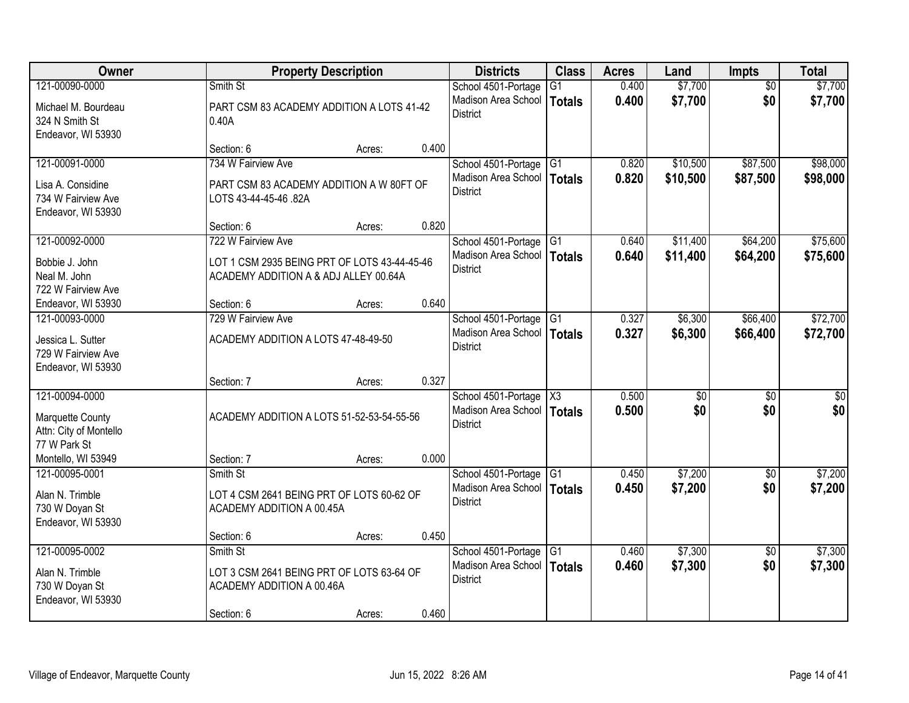| Owner                                                         | <b>Property Description</b>                                                           |                 | <b>Districts</b>                                                       | <b>Class</b>    | <b>Acres</b>   | Land       | <b>Impts</b>    | <b>Total</b>           |
|---------------------------------------------------------------|---------------------------------------------------------------------------------------|-----------------|------------------------------------------------------------------------|-----------------|----------------|------------|-----------------|------------------------|
| 121-00090-0000                                                | Smith St                                                                              |                 | School 4501-Portage                                                    | G1              | 0.400          | \$7,700    | $\overline{50}$ | \$7,700                |
| Michael M. Bourdeau<br>324 N Smith St<br>Endeavor, WI 53930   | PART CSM 83 ACADEMY ADDITION A LOTS 41-42<br>0.40A                                    |                 | Madison Area School<br><b>District</b>                                 | Totals          | 0.400          | \$7,700    | \$0             | \$7,700                |
|                                                               | Section: 6                                                                            | 0.400<br>Acres: |                                                                        |                 |                |            |                 |                        |
| 121-00091-0000                                                | 734 W Fairview Ave                                                                    |                 | School 4501-Portage                                                    | G1              | 0.820          | \$10,500   | \$87,500        | \$98,000               |
| Lisa A. Considine<br>734 W Fairview Ave<br>Endeavor, WI 53930 | PART CSM 83 ACADEMY ADDITION A W 80FT OF<br>LOTS 43-44-45-46 .82A                     |                 | Madison Area School<br><b>District</b>                                 | Totals          | 0.820          | \$10,500   | \$87,500        | \$98,000               |
|                                                               | Section: 6                                                                            | 0.820<br>Acres: |                                                                        |                 |                |            |                 |                        |
| 121-00092-0000                                                | 722 W Fairview Ave                                                                    |                 | School 4501-Portage                                                    | G <sub>1</sub>  | 0.640          | \$11,400   | \$64,200        | \$75,600               |
| Bobbie J. John<br>Neal M. John<br>722 W Fairview Ave          | LOT 1 CSM 2935 BEING PRT OF LOTS 43-44-45-46<br>ACADEMY ADDITION A & ADJ ALLEY 00.64A |                 | Madison Area School<br><b>District</b>                                 | Totals          | 0.640          | \$11,400   | \$64,200        | \$75,600               |
| Endeavor, WI 53930                                            | Section: 6                                                                            | 0.640<br>Acres: |                                                                        |                 |                |            |                 |                        |
| 121-00093-0000                                                | 729 W Fairview Ave                                                                    |                 | School 4501-Portage                                                    | G1              | 0.327          | \$6,300    | \$66,400        | \$72,700               |
| Jessica L. Sutter<br>729 W Fairview Ave<br>Endeavor, WI 53930 | ACADEMY ADDITION A LOTS 47-48-49-50                                                   |                 | Madison Area School<br><b>District</b>                                 | Totals          | 0.327          | \$6,300    | \$66,400        | \$72,700               |
|                                                               | Section: 7                                                                            | 0.327<br>Acres: |                                                                        |                 |                |            |                 |                        |
| 121-00094-0000<br>Marquette County                            | ACADEMY ADDITION A LOTS 51-52-53-54-55-56                                             |                 | School 4501-Portage<br>Madison Area School   Totals<br><b>District</b> | X3              | 0.500<br>0.500 | \$0<br>\$0 | \$0<br>\$0      | $\overline{50}$<br>\$0 |
| Attn: City of Montello<br>77 W Park St                        |                                                                                       |                 |                                                                        |                 |                |            |                 |                        |
| Montello, WI 53949                                            | Section: 7                                                                            | 0.000<br>Acres: |                                                                        |                 |                |            |                 |                        |
| 121-00095-0001                                                | Smith St                                                                              |                 | School 4501-Portage                                                    | G <sub>1</sub>  | 0.450          | \$7,200    | \$0             | \$7,200                |
| Alan N. Trimble<br>730 W Doyan St<br>Endeavor, WI 53930       | LOT 4 CSM 2641 BEING PRT OF LOTS 60-62 OF<br>ACADEMY ADDITION A 00.45A                |                 | Madison Area School<br><b>District</b>                                 | Totals          | 0.450          | \$7,200    | \$0             | \$7,200                |
|                                                               | Section: 6                                                                            | 0.450<br>Acres: |                                                                        |                 |                |            |                 |                        |
| 121-00095-0002                                                | Smith St                                                                              |                 | School 4501-Portage                                                    | $\overline{G1}$ | 0.460          | \$7,300    | $\overline{50}$ | \$7,300                |
| Alan N. Trimble<br>730 W Doyan St<br>Endeavor, WI 53930       | LOT 3 CSM 2641 BEING PRT OF LOTS 63-64 OF<br>ACADEMY ADDITION A 00.46A                |                 | Madison Area School<br><b>District</b>                                 | Totals          | 0.460          | \$7,300    | \$0             | \$7,300                |
|                                                               | Section: 6                                                                            | 0.460<br>Acres: |                                                                        |                 |                |            |                 |                        |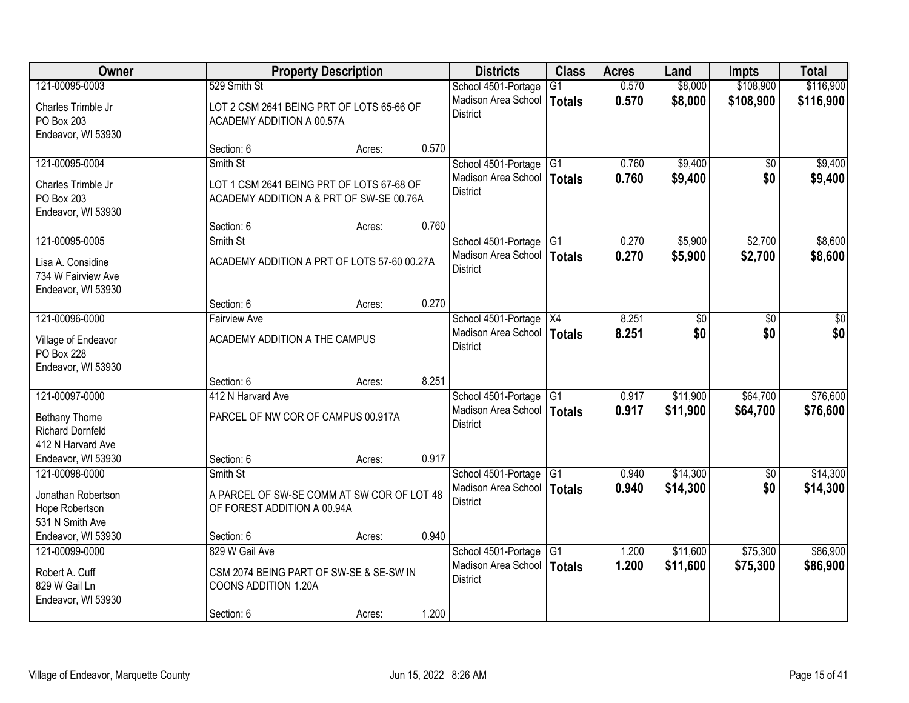| Owner                                                         | <b>Property Description</b>                                                           |        | <b>Districts</b>                                | <b>Class</b>    | <b>Acres</b> | Land     | <b>Impts</b>    | <b>Total</b> |
|---------------------------------------------------------------|---------------------------------------------------------------------------------------|--------|-------------------------------------------------|-----------------|--------------|----------|-----------------|--------------|
| 121-00095-0003                                                | 529 Smith St                                                                          |        | School 4501-Portage                             | G1              | 0.570        | \$8,000  | \$108,900       | \$116,900    |
| Charles Trimble Jr<br>PO Box 203<br>Endeavor, WI 53930        | LOT 2 CSM 2641 BEING PRT OF LOTS 65-66 OF<br>ACADEMY ADDITION A 00.57A                |        | Madison Area School<br><b>District</b>          | Totals          | 0.570        | \$8,000  | \$108,900       | \$116,900    |
|                                                               | Section: 6                                                                            | Acres: | 0.570                                           |                 |              |          |                 |              |
| 121-00095-0004                                                | Smith St                                                                              |        | School 4501-Portage                             | IG1             | 0.760        | \$9,400  | $\overline{30}$ | \$9,400      |
| Charles Trimble Jr<br>PO Box 203<br>Endeavor, WI 53930        | LOT 1 CSM 2641 BEING PRT OF LOTS 67-68 OF<br>ACADEMY ADDITION A & PRT OF SW-SE 00.76A |        | Madison Area School<br>District                 | Totals          | 0.760        | \$9,400  | \$0             | \$9,400      |
|                                                               | Section: 6                                                                            | Acres: | 0.760                                           |                 |              |          |                 |              |
| 121-00095-0005                                                | Smith St                                                                              |        | School 4501-Portage G1                          |                 | 0.270        | \$5,900  | \$2,700         | \$8,600      |
| Lisa A. Considine<br>734 W Fairview Ave<br>Endeavor, WI 53930 | ACADEMY ADDITION A PRT OF LOTS 57-60 00.27A                                           |        | Madison Area School<br><b>District</b>          | <b>Totals</b>   | 0.270        | \$5,900  | \$2,700         | \$8,600      |
|                                                               | Section: 6                                                                            | Acres: | 0.270                                           |                 |              |          |                 |              |
| 121-00096-0000                                                | <b>Fairview Ave</b>                                                                   |        | School 4501-Portage                             | $\overline{X4}$ | 8.251        | \$0      | \$0             | \$0          |
| Village of Endeavor<br>PO Box 228<br>Endeavor, WI 53930       | ACADEMY ADDITION A THE CAMPUS                                                         |        | Madison Area School<br><b>District</b>          | <b>Totals</b>   | 8.251        | \$0      | \$0             | \$0          |
|                                                               | Section: 6                                                                            | Acres: | 8.251                                           |                 |              |          |                 |              |
| 121-00097-0000                                                | 412 N Harvard Ave                                                                     |        | School 4501-Portage G1                          |                 | 0.917        | \$11,900 | \$64,700        | \$76,600     |
| Bethany Thome<br><b>Richard Dornfeld</b><br>412 N Harvard Ave | PARCEL OF NW COR OF CAMPUS 00.917A                                                    |        | Madison Area School   Totals<br><b>District</b> |                 | 0.917        | \$11,900 | \$64,700        | \$76,600     |
| Endeavor, WI 53930                                            | Section: 6                                                                            | Acres: | 0.917                                           |                 |              |          |                 |              |
| 121-00098-0000                                                | Smith St                                                                              |        | School 4501-Portage                             | G <sub>1</sub>  | 0.940        | \$14,300 | \$0             | \$14,300     |
| Jonathan Robertson<br>Hope Robertson<br>531 N Smith Ave       | A PARCEL OF SW-SE COMM AT SW COR OF LOT 48<br>OF FOREST ADDITION A 00.94A             |        | Madison Area School<br><b>District</b>          | Totals          | 0.940        | \$14,300 | \$0             | \$14,300     |
| Endeavor, WI 53930                                            | Section: 6                                                                            | Acres: | 0.940                                           |                 |              |          |                 |              |
| 121-00099-0000                                                | 829 W Gail Ave                                                                        |        | School 4501-Portage                             | $\overline{G1}$ | 1.200        | \$11,600 | \$75,300        | \$86,900     |
| Robert A. Cuff<br>829 W Gail Ln<br>Endeavor, WI 53930         | CSM 2074 BEING PART OF SW-SE & SE-SW IN<br>COONS ADDITION 1.20A                       |        | Madison Area School<br><b>District</b>          | <b>Totals</b>   | 1.200        | \$11,600 | \$75,300        | \$86,900     |
|                                                               | Section: 6                                                                            | Acres: | 1.200                                           |                 |              |          |                 |              |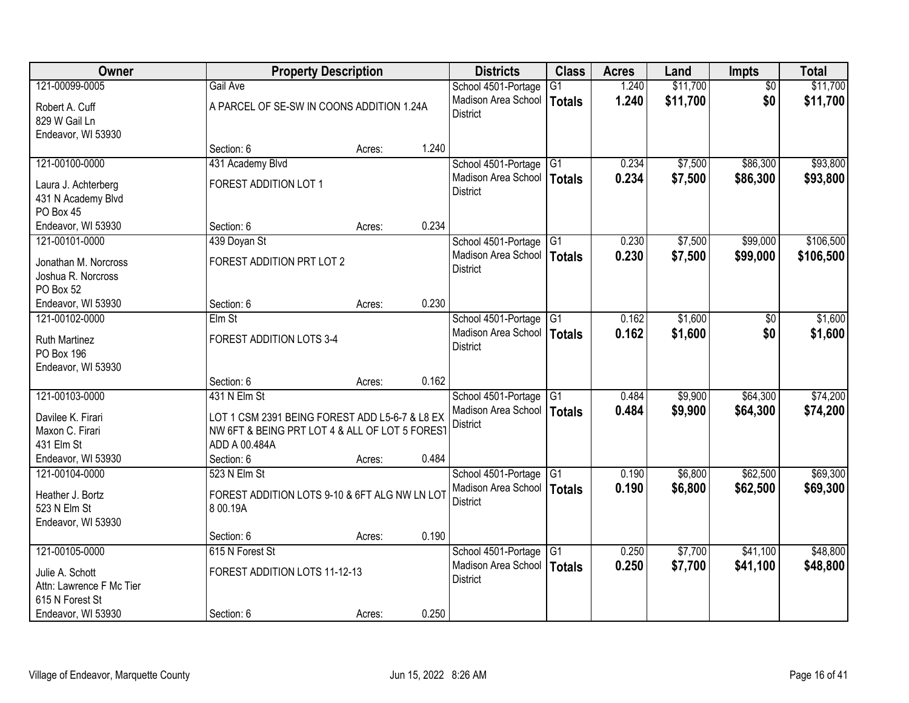| Owner                                      |                                                | <b>Property Description</b> |       | <b>Districts</b>                       | <b>Class</b>    | <b>Acres</b> | Land     | <b>Impts</b>    | <b>Total</b> |
|--------------------------------------------|------------------------------------------------|-----------------------------|-------|----------------------------------------|-----------------|--------------|----------|-----------------|--------------|
| 121-00099-0005                             | Gail Ave                                       |                             |       | School 4501-Portage                    | $\overline{G1}$ | 1.240        | \$11,700 | $\overline{50}$ | \$11,700     |
| Robert A. Cuff<br>829 W Gail Ln            | A PARCEL OF SE-SW IN COONS ADDITION 1.24A      |                             |       | Madison Area School<br><b>District</b> | <b>Totals</b>   | 1.240        | \$11,700 | \$0             | \$11,700     |
| Endeavor, WI 53930                         |                                                |                             |       |                                        |                 |              |          |                 |              |
|                                            | Section: 6                                     | Acres:                      | 1.240 |                                        |                 |              |          |                 |              |
| 121-00100-0000                             | 431 Academy Blvd                               |                             |       | School 4501-Portage                    | G <sub>1</sub>  | 0.234        | \$7,500  | \$86,300        | \$93,800     |
|                                            | FOREST ADDITION LOT 1                          |                             |       | Madison Area School                    | Totals          | 0.234        | \$7,500  | \$86,300        | \$93,800     |
| Laura J. Achterberg<br>431 N Academy Blvd  |                                                |                             |       | <b>District</b>                        |                 |              |          |                 |              |
| PO Box 45                                  |                                                |                             |       |                                        |                 |              |          |                 |              |
| Endeavor, WI 53930                         | Section: 6                                     | Acres:                      | 0.234 |                                        |                 |              |          |                 |              |
| 121-00101-0000                             | 439 Doyan St                                   |                             |       | School 4501-Portage                    | IG <sub>1</sub> | 0.230        | \$7,500  | \$99,000        | \$106,500    |
|                                            |                                                |                             |       | Madison Area School                    | Totals          | 0.230        | \$7,500  | \$99,000        | \$106,500    |
| Jonathan M. Norcross<br>Joshua R. Norcross | FOREST ADDITION PRT LOT 2                      |                             |       | <b>District</b>                        |                 |              |          |                 |              |
| PO Box 52                                  |                                                |                             |       |                                        |                 |              |          |                 |              |
| Endeavor, WI 53930                         | Section: 6                                     | Acres:                      | 0.230 |                                        |                 |              |          |                 |              |
| 121-00102-0000                             | Elm St                                         |                             |       | School 4501-Portage                    | G1              | 0.162        | \$1,600  | $\overline{50}$ | \$1,600      |
|                                            |                                                |                             |       | Madison Area School                    | Totals          | 0.162        | \$1,600  | \$0             | \$1,600      |
| <b>Ruth Martinez</b>                       | FOREST ADDITION LOTS 3-4                       |                             |       | <b>District</b>                        |                 |              |          |                 |              |
| PO Box 196                                 |                                                |                             |       |                                        |                 |              |          |                 |              |
| Endeavor, WI 53930                         | Section: 6                                     | Acres:                      | 0.162 |                                        |                 |              |          |                 |              |
| 121-00103-0000                             | 431 N Elm St                                   |                             |       | School 4501-Portage                    | $\overline{G1}$ | 0.484        | \$9,900  | \$64,300        | \$74,200     |
|                                            |                                                |                             |       | Madison Area School   Totals           |                 | 0.484        | \$9,900  | \$64,300        | \$74,200     |
| Davilee K. Firari                          | LOT 1 CSM 2391 BEING FOREST ADD L5-6-7 & L8 EX |                             |       | <b>District</b>                        |                 |              |          |                 |              |
| Maxon C. Firari                            | NW 6FT & BEING PRT LOT 4 & ALL OF LOT 5 FOREST |                             |       |                                        |                 |              |          |                 |              |
| 431 Elm St                                 | ADD A 00.484A                                  |                             |       |                                        |                 |              |          |                 |              |
| Endeavor, WI 53930                         | Section: 6                                     | Acres:                      | 0.484 |                                        |                 |              |          |                 |              |
| 121-00104-0000                             | 523 N Elm St                                   |                             |       | School 4501-Portage                    | $\overline{G1}$ | 0.190        | \$6,800  | \$62,500        | \$69,300     |
| Heather J. Bortz                           | FOREST ADDITION LOTS 9-10 & 6FT ALG NW LN LOT  |                             |       | Madison Area School<br><b>District</b> | Totals          | 0.190        | \$6,800  | \$62,500        | \$69,300     |
| 523 N Elm St                               | 8 00.19A                                       |                             |       |                                        |                 |              |          |                 |              |
| Endeavor, WI 53930                         |                                                |                             |       |                                        |                 |              |          |                 |              |
|                                            | Section: 6                                     | Acres:                      | 0.190 |                                        |                 |              |          |                 |              |
| 121-00105-0000                             | 615 N Forest St                                |                             |       | School 4501-Portage                    | G1              | 0.250        | \$7,700  | \$41,100        | \$48,800     |
| Julie A. Schott                            | FOREST ADDITION LOTS 11-12-13                  |                             |       | Madison Area School                    | <b>Totals</b>   | 0.250        | \$7,700  | \$41,100        | \$48,800     |
| Attn: Lawrence F Mc Tier                   |                                                |                             |       | <b>District</b>                        |                 |              |          |                 |              |
| 615 N Forest St                            |                                                |                             |       |                                        |                 |              |          |                 |              |
| Endeavor, WI 53930                         | Section: 6                                     | Acres:                      | 0.250 |                                        |                 |              |          |                 |              |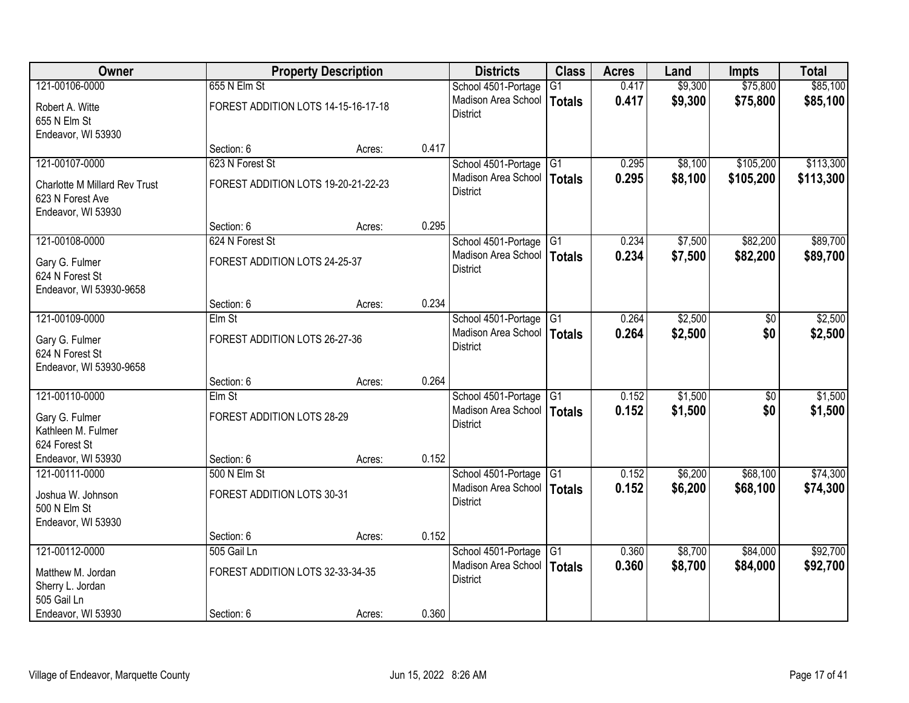| Owner                                                                   |                                     | <b>Property Description</b> |       | <b>Districts</b>                                | <b>Class</b>    | <b>Acres</b> | Land    | <b>Impts</b>    | <b>Total</b> |
|-------------------------------------------------------------------------|-------------------------------------|-----------------------------|-------|-------------------------------------------------|-----------------|--------------|---------|-----------------|--------------|
| 121-00106-0000                                                          | 655 N Elm St                        |                             |       | School 4501-Portage                             | G1              | 0.417        | \$9,300 | \$75,800        | \$85,100     |
| Robert A. Witte<br>655 N Elm St                                         | FOREST ADDITION LOTS 14-15-16-17-18 |                             |       | Madison Area School<br><b>District</b>          | <b>Totals</b>   | 0.417        | \$9,300 | \$75,800        | \$85,100     |
| Endeavor, WI 53930                                                      |                                     |                             |       |                                                 |                 |              |         |                 |              |
|                                                                         | Section: 6                          | Acres:                      | 0.417 |                                                 |                 |              |         |                 |              |
| 121-00107-0000                                                          | 623 N Forest St                     |                             |       | School 4501-Portage                             | G1              | 0.295        | \$8,100 | \$105,200       | \$113,300    |
| Charlotte M Millard Rev Trust<br>623 N Forest Ave<br>Endeavor, WI 53930 | FOREST ADDITION LOTS 19-20-21-22-23 |                             |       | Madison Area School<br><b>District</b>          | <b>Totals</b>   | 0.295        | \$8,100 | \$105,200       | \$113,300    |
|                                                                         | Section: 6                          | Acres:                      | 0.295 |                                                 |                 |              |         |                 |              |
| 121-00108-0000                                                          | 624 N Forest St                     |                             |       | School 4501-Portage G1                          |                 | 0.234        | \$7,500 | \$82,200        | \$89,700     |
| Gary G. Fulmer<br>624 N Forest St                                       | FOREST ADDITION LOTS 24-25-37       |                             |       | Madison Area School<br><b>District</b>          | <b>Totals</b>   | 0.234        | \$7,500 | \$82,200        | \$89,700     |
| Endeavor, WI 53930-9658                                                 |                                     |                             | 0.234 |                                                 |                 |              |         |                 |              |
| 121-00109-0000                                                          | Section: 6<br>Elm St                | Acres:                      |       | School 4501-Portage                             | $\overline{G1}$ | 0.264        | \$2,500 | \$0             | \$2,500      |
|                                                                         |                                     |                             |       | Madison Area School                             |                 | 0.264        |         | \$0             | \$2,500      |
| Gary G. Fulmer                                                          | FOREST ADDITION LOTS 26-27-36       |                             |       | <b>District</b>                                 | <b>Totals</b>   |              | \$2,500 |                 |              |
| 624 N Forest St                                                         |                                     |                             |       |                                                 |                 |              |         |                 |              |
| Endeavor, WI 53930-9658                                                 |                                     |                             |       |                                                 |                 |              |         |                 |              |
|                                                                         | Section: 6                          | Acres:                      | 0.264 |                                                 |                 |              |         |                 |              |
| 121-00110-0000                                                          | $E$ Im St                           |                             |       | School 4501-Portage G1                          |                 | 0.152        | \$1,500 | $\overline{50}$ | \$1,500      |
| Gary G. Fulmer                                                          | FOREST ADDITION LOTS 28-29          |                             |       | Madison Area School   Totals<br><b>District</b> |                 | 0.152        | \$1,500 | \$0             | \$1,500      |
| Kathleen M. Fulmer                                                      |                                     |                             |       |                                                 |                 |              |         |                 |              |
| 624 Forest St                                                           |                                     |                             |       |                                                 |                 |              |         |                 |              |
| Endeavor, WI 53930                                                      | Section: 6                          | Acres:                      | 0.152 |                                                 |                 |              |         |                 |              |
| 121-00111-0000                                                          | 500 N Elm St                        |                             |       | School 4501-Portage                             | $\overline{G1}$ | 0.152        | \$6,200 | \$68,100        | \$74,300     |
| Joshua W. Johnson<br>500 N Elm St                                       | FOREST ADDITION LOTS 30-31          |                             |       | Madison Area School<br><b>District</b>          | <b>Totals</b>   | 0.152        | \$6,200 | \$68,100        | \$74,300     |
| Endeavor, WI 53930                                                      |                                     |                             |       |                                                 |                 |              |         |                 |              |
|                                                                         | Section: 6                          | Acres:                      | 0.152 |                                                 |                 |              |         |                 |              |
| 121-00112-0000                                                          | 505 Gail Ln                         |                             |       | School 4501-Portage                             | G <sub>1</sub>  | 0.360        | \$8,700 | \$84,000        | \$92,700     |
|                                                                         | FOREST ADDITION LOTS 32-33-34-35    |                             |       | Madison Area School                             | <b>Totals</b>   | 0.360        | \$8,700 | \$84,000        | \$92,700     |
| Matthew M. Jordan<br>Sherry L. Jordan                                   |                                     |                             |       | <b>District</b>                                 |                 |              |         |                 |              |
| 505 Gail Ln                                                             |                                     |                             |       |                                                 |                 |              |         |                 |              |
| Endeavor, WI 53930                                                      | Section: 6                          | Acres:                      | 0.360 |                                                 |                 |              |         |                 |              |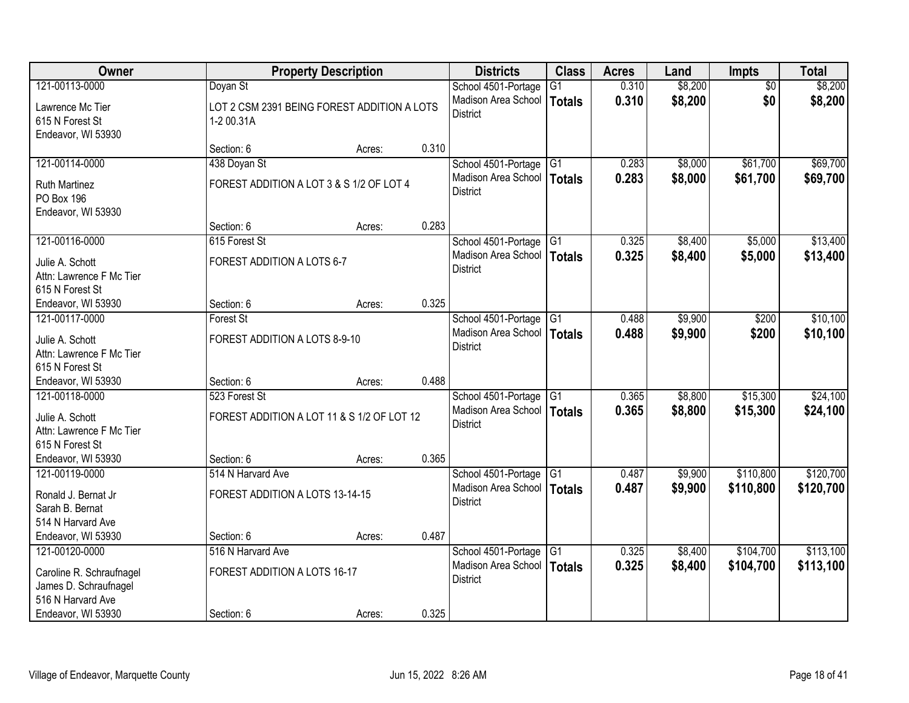| Owner                                                                  |                                                           | <b>Property Description</b> |       | <b>Districts</b>                                | <b>Class</b>    | <b>Acres</b> | Land    | <b>Impts</b>    | <b>Total</b> |
|------------------------------------------------------------------------|-----------------------------------------------------------|-----------------------------|-------|-------------------------------------------------|-----------------|--------------|---------|-----------------|--------------|
| 121-00113-0000                                                         | Doyan St                                                  |                             |       | School 4501-Portage                             | $\overline{G1}$ | 0.310        | \$8,200 | $\overline{50}$ | \$8,200      |
| Lawrence Mc Tier<br>615 N Forest St<br>Endeavor, WI 53930              | LOT 2 CSM 2391 BEING FOREST ADDITION A LOTS<br>1-2 00.31A |                             |       | Madison Area School<br><b>District</b>          | <b>Totals</b>   | 0.310        | \$8,200 | \$0             | \$8,200      |
|                                                                        | Section: 6                                                | Acres:                      | 0.310 |                                                 |                 |              |         |                 |              |
| 121-00114-0000                                                         | 438 Doyan St                                              |                             |       | School 4501-Portage                             | G <sub>1</sub>  | 0.283        | \$8,000 | \$61,700        | \$69,700     |
| <b>Ruth Martinez</b><br><b>PO Box 196</b><br>Endeavor, WI 53930        | FOREST ADDITION A LOT 3 & S 1/2 OF LOT 4                  |                             |       | Madison Area School<br><b>District</b>          | Totals          | 0.283        | \$8,000 | \$61,700        | \$69,700     |
|                                                                        | Section: 6                                                | Acres:                      | 0.283 |                                                 |                 |              |         |                 |              |
| 121-00116-0000                                                         | 615 Forest St                                             |                             |       | School 4501-Portage                             | G <sub>1</sub>  | 0.325        | \$8,400 | \$5,000         | \$13,400     |
| Julie A. Schott<br>Attn: Lawrence F Mc Tier<br>615 N Forest St         | FOREST ADDITION A LOTS 6-7                                |                             |       | Madison Area School<br><b>District</b>          | Totals          | 0.325        | \$8,400 | \$5,000         | \$13,400     |
| Endeavor, WI 53930                                                     | Section: 6                                                | Acres:                      | 0.325 |                                                 |                 |              |         |                 |              |
| 121-00117-0000                                                         | <b>Forest St</b>                                          |                             |       | School 4501-Portage                             | G1              | 0.488        | \$9,900 | \$200           | \$10,100     |
| Julie A. Schott<br>Attn: Lawrence F Mc Tier<br>615 N Forest St         | FOREST ADDITION A LOTS 8-9-10                             |                             |       | Madison Area School<br><b>District</b>          | <b>Totals</b>   | 0.488        | \$9,900 | \$200           | \$10,100     |
| Endeavor, WI 53930                                                     | Section: 6                                                | Acres:                      | 0.488 |                                                 |                 |              |         |                 |              |
| 121-00118-0000                                                         | 523 Forest St                                             |                             |       | School 4501-Portage                             | $\overline{G1}$ | 0.365        | \$8,800 | \$15,300        | \$24,100     |
| Julie A. Schott<br>Attn: Lawrence F Mc Tier<br>615 N Forest St         | FOREST ADDITION A LOT 11 & S 1/2 OF LOT 12                |                             |       | Madison Area School   Totals<br><b>District</b> |                 | 0.365        | \$8,800 | \$15,300        | \$24,100     |
| Endeavor, WI 53930                                                     | Section: 6                                                | Acres:                      | 0.365 |                                                 |                 |              |         |                 |              |
| 121-00119-0000                                                         | 514 N Harvard Ave                                         |                             |       | School 4501-Portage                             | $\overline{G1}$ | 0.487        | \$9,900 | \$110,800       | \$120,700    |
| Ronald J. Bernat Jr<br>Sarah B. Bernat<br>514 N Harvard Ave            | FOREST ADDITION A LOTS 13-14-15                           |                             |       | Madison Area School<br><b>District</b>          | Totals          | 0.487        | \$9,900 | \$110,800       | \$120,700    |
| Endeavor, WI 53930                                                     | Section: 6                                                | Acres:                      | 0.487 |                                                 |                 |              |         |                 |              |
| 121-00120-0000                                                         | 516 N Harvard Ave                                         |                             |       | School 4501-Portage                             | G1              | 0.325        | \$8,400 | \$104,700       | \$113,100    |
| Caroline R. Schraufnagel<br>James D. Schraufnagel<br>516 N Harvard Ave | FOREST ADDITION A LOTS 16-17                              |                             |       | Madison Area School<br><b>District</b>          | <b>Totals</b>   | 0.325        | \$8,400 | \$104,700       | \$113,100    |
| Endeavor, WI 53930                                                     | Section: 6                                                | Acres:                      | 0.325 |                                                 |                 |              |         |                 |              |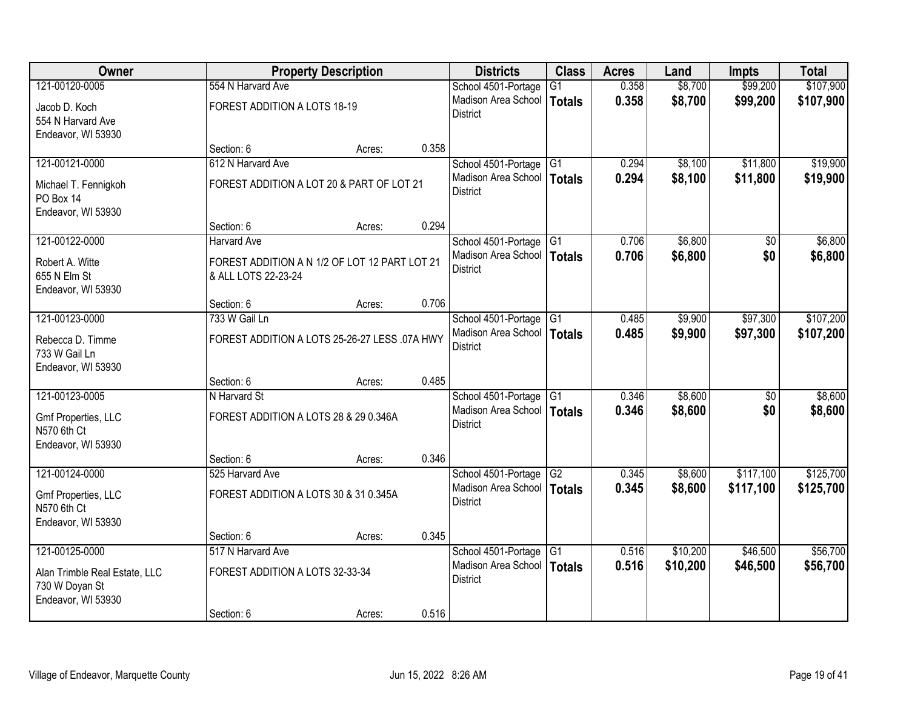| Owner                         |                                               | <b>Property Description</b> |       | <b>Districts</b>             | <b>Class</b>    | <b>Acres</b> | Land     | <b>Impts</b>    | <b>Total</b> |
|-------------------------------|-----------------------------------------------|-----------------------------|-------|------------------------------|-----------------|--------------|----------|-----------------|--------------|
| 121-00120-0005                | 554 N Harvard Ave                             |                             |       | School 4501-Portage          | G1              | 0.358        | \$8,700  | \$99,200        | \$107,900    |
| Jacob D. Koch                 | FOREST ADDITION A LOTS 18-19                  |                             |       | Madison Area School          | <b>Totals</b>   | 0.358        | \$8,700  | \$99,200        | \$107,900    |
| 554 N Harvard Ave             |                                               |                             |       | <b>District</b>              |                 |              |          |                 |              |
| Endeavor, WI 53930            |                                               |                             |       |                              |                 |              |          |                 |              |
|                               | Section: 6                                    | Acres:                      | 0.358 |                              |                 |              |          |                 |              |
| 121-00121-0000                | 612 N Harvard Ave                             |                             |       | School 4501-Portage          | G1              | 0.294        | \$8,100  | \$11,800        | \$19,900     |
| Michael T. Fennigkoh          | FOREST ADDITION A LOT 20 & PART OF LOT 21     |                             |       | Madison Area School          | <b>Totals</b>   | 0.294        | \$8,100  | \$11,800        | \$19,900     |
| PO Box 14                     |                                               |                             |       | <b>District</b>              |                 |              |          |                 |              |
| Endeavor, WI 53930            |                                               |                             |       |                              |                 |              |          |                 |              |
|                               | Section: 6                                    | Acres:                      | 0.294 |                              |                 |              |          |                 |              |
| 121-00122-0000                | Harvard Ave                                   |                             |       | School 4501-Portage G1       |                 | 0.706        | \$6,800  | $\overline{50}$ | \$6,800      |
| Robert A. Witte               | FOREST ADDITION A N 1/2 OF LOT 12 PART LOT 21 |                             |       | Madison Area School          | <b>Totals</b>   | 0.706        | \$6,800  | \$0             | \$6,800      |
| 655 N Elm St                  | & ALL LOTS 22-23-24                           |                             |       | <b>District</b>              |                 |              |          |                 |              |
| Endeavor, WI 53930            |                                               |                             |       |                              |                 |              |          |                 |              |
|                               | Section: 6                                    | Acres:                      | 0.706 |                              |                 |              |          |                 |              |
| 121-00123-0000                | 733 W Gail Ln                                 |                             |       | School 4501-Portage          | G1              | 0.485        | \$9,900  | \$97,300        | \$107,200    |
| Rebecca D. Timme              | FOREST ADDITION A LOTS 25-26-27 LESS .07A HWY |                             |       | Madison Area School          | <b>Totals</b>   | 0.485        | \$9,900  | \$97,300        | \$107,200    |
| 733 W Gail Ln                 |                                               |                             |       | <b>District</b>              |                 |              |          |                 |              |
| Endeavor, WI 53930            |                                               |                             |       |                              |                 |              |          |                 |              |
|                               | Section: 6                                    | Acres:                      | 0.485 |                              |                 |              |          |                 |              |
| 121-00123-0005                | N Harvard St                                  |                             |       | School 4501-Portage          | $\overline{G1}$ | 0.346        | \$8,600  | $\overline{50}$ | \$8,600      |
| Gmf Properties, LLC           | FOREST ADDITION A LOTS 28 & 29 0.346A         |                             |       | Madison Area School   Totals |                 | 0.346        | \$8,600  | \$0             | \$8,600      |
| N570 6th Ct                   |                                               |                             |       | <b>District</b>              |                 |              |          |                 |              |
| Endeavor, WI 53930            |                                               |                             |       |                              |                 |              |          |                 |              |
|                               | Section: 6                                    | Acres:                      | 0.346 |                              |                 |              |          |                 |              |
| 121-00124-0000                | 525 Harvard Ave                               |                             |       | School 4501-Portage          | G2              | 0.345        | \$8,600  | \$117,100       | \$125,700    |
| Gmf Properties, LLC           | FOREST ADDITION A LOTS 30 & 31 0.345A         |                             |       | Madison Area School          | <b>Totals</b>   | 0.345        | \$8,600  | \$117,100       | \$125,700    |
| N570 6th Ct                   |                                               |                             |       | <b>District</b>              |                 |              |          |                 |              |
| Endeavor, WI 53930            |                                               |                             |       |                              |                 |              |          |                 |              |
|                               | Section: 6                                    | Acres:                      | 0.345 |                              |                 |              |          |                 |              |
| 121-00125-0000                | 517 N Harvard Ave                             |                             |       | School 4501-Portage          | G1              | 0.516        | \$10,200 | \$46,500        | \$56,700     |
| Alan Trimble Real Estate, LLC | FOREST ADDITION A LOTS 32-33-34               |                             |       | Madison Area School          | <b>Totals</b>   | 0.516        | \$10,200 | \$46,500        | \$56,700     |
| 730 W Doyan St                |                                               |                             |       | <b>District</b>              |                 |              |          |                 |              |
| Endeavor, WI 53930            |                                               |                             |       |                              |                 |              |          |                 |              |
|                               | Section: 6                                    | Acres:                      | 0.516 |                              |                 |              |          |                 |              |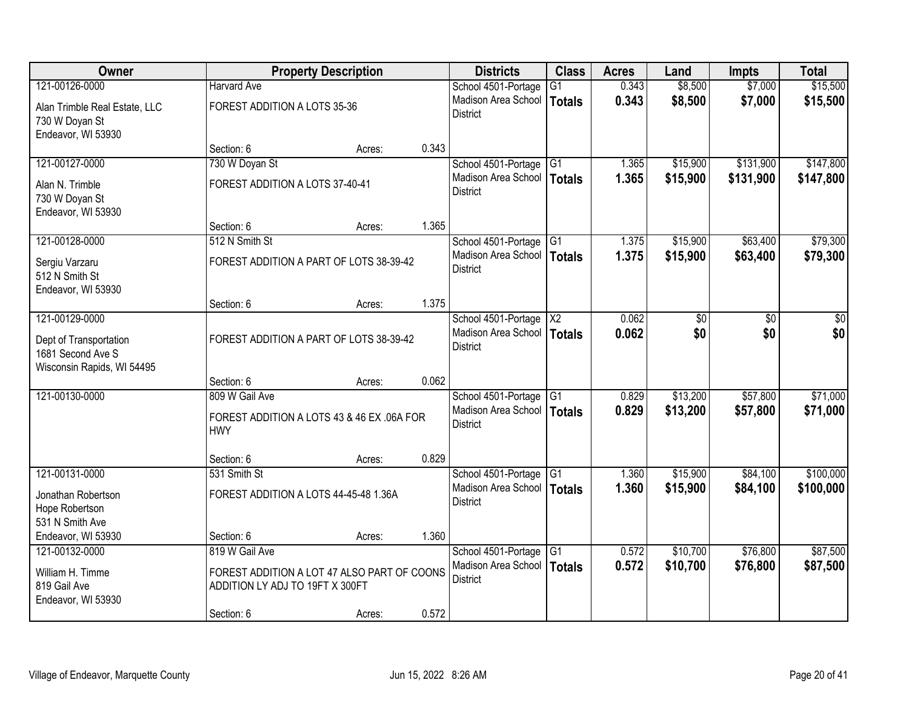| Owner                                                                     |                                                                                | <b>Property Description</b> |       | <b>Districts</b>                                | <b>Class</b>    | <b>Acres</b> | Land     | Impts     | <b>Total</b> |
|---------------------------------------------------------------------------|--------------------------------------------------------------------------------|-----------------------------|-------|-------------------------------------------------|-----------------|--------------|----------|-----------|--------------|
| 121-00126-0000                                                            | <b>Harvard Ave</b>                                                             |                             |       | School 4501-Portage                             | $\overline{G1}$ | 0.343        | \$8,500  | \$7,000   | \$15,500     |
| Alan Trimble Real Estate, LLC<br>730 W Doyan St<br>Endeavor, WI 53930     | FOREST ADDITION A LOTS 35-36                                                   |                             |       | Madison Area School<br><b>District</b>          | <b>Totals</b>   | 0.343        | \$8,500  | \$7,000   | \$15,500     |
|                                                                           | Section: 6                                                                     | Acres:                      | 0.343 |                                                 |                 |              |          |           |              |
| 121-00127-0000                                                            | 730 W Doyan St                                                                 |                             |       | School 4501-Portage                             | G1              | 1.365        | \$15,900 | \$131,900 | \$147,800    |
| Alan N. Trimble<br>730 W Doyan St<br>Endeavor, WI 53930                   | FOREST ADDITION A LOTS 37-40-41                                                |                             |       | Madison Area School<br><b>District</b>          | Totals          | 1.365        | \$15,900 | \$131,900 | \$147,800    |
|                                                                           | Section: 6                                                                     | Acres:                      | 1.365 |                                                 |                 |              |          |           |              |
| 121-00128-0000                                                            | 512 N Smith St                                                                 |                             |       | School 4501-Portage                             | G <sub>1</sub>  | 1.375        | \$15,900 | \$63,400  | \$79,300     |
| Sergiu Varzaru<br>512 N Smith St<br>Endeavor, WI 53930                    | FOREST ADDITION A PART OF LOTS 38-39-42                                        |                             |       | Madison Area School<br><b>District</b>          | Totals          | 1.375        | \$15,900 | \$63,400  | \$79,300     |
|                                                                           | Section: 6                                                                     | Acres:                      | 1.375 |                                                 |                 |              |          |           |              |
| 121-00129-0000                                                            |                                                                                |                             |       | School 4501-Portage                             | X <sup>2</sup>  | 0.062        | \$0      | \$0       | \$0          |
| Dept of Transportation<br>1681 Second Ave S<br>Wisconsin Rapids, WI 54495 | FOREST ADDITION A PART OF LOTS 38-39-42                                        |                             |       | Madison Area School<br><b>District</b>          | Totals          | 0.062        | \$0      | \$0       | \$0          |
|                                                                           | Section: 6                                                                     | Acres:                      | 0.062 |                                                 |                 |              |          |           |              |
| 121-00130-0000                                                            | 809 W Gail Ave                                                                 |                             |       | School 4501-Portage                             | TG1             | 0.829        | \$13,200 | \$57,800  | \$71,000     |
|                                                                           | FOREST ADDITION A LOTS 43 & 46 EX .06A FOR<br><b>HWY</b>                       |                             |       | Madison Area School   Totals<br><b>District</b> |                 | 0.829        | \$13,200 | \$57,800  | \$71,000     |
|                                                                           | Section: 6                                                                     | Acres:                      | 0.829 |                                                 |                 |              |          |           |              |
| 121-00131-0000                                                            | 531 Smith St                                                                   |                             |       | School 4501-Portage                             | $\overline{G1}$ | 1.360        | \$15,900 | \$84,100  | \$100,000    |
| Jonathan Robertson<br>Hope Robertson                                      | FOREST ADDITION A LOTS 44-45-48 1.36A                                          |                             |       | Madison Area School<br><b>District</b>          | <b>Totals</b>   | 1.360        | \$15,900 | \$84,100  | \$100,000    |
| 531 N Smith Ave                                                           |                                                                                |                             | 1.360 |                                                 |                 |              |          |           |              |
| Endeavor, WI 53930<br>121-00132-0000                                      | Section: 6<br>819 W Gail Ave                                                   | Acres:                      |       | School 4501-Portage                             | G1              | 0.572        | \$10,700 | \$76,800  | \$87,500     |
| William H. Timme<br>819 Gail Ave<br>Endeavor, WI 53930                    | FOREST ADDITION A LOT 47 ALSO PART OF COONS<br>ADDITION LY ADJ TO 19FT X 300FT |                             |       | Madison Area School<br><b>District</b>          | <b>Totals</b>   | 0.572        | \$10,700 | \$76,800  | \$87,500     |
|                                                                           | Section: 6                                                                     | Acres:                      | 0.572 |                                                 |                 |              |          |           |              |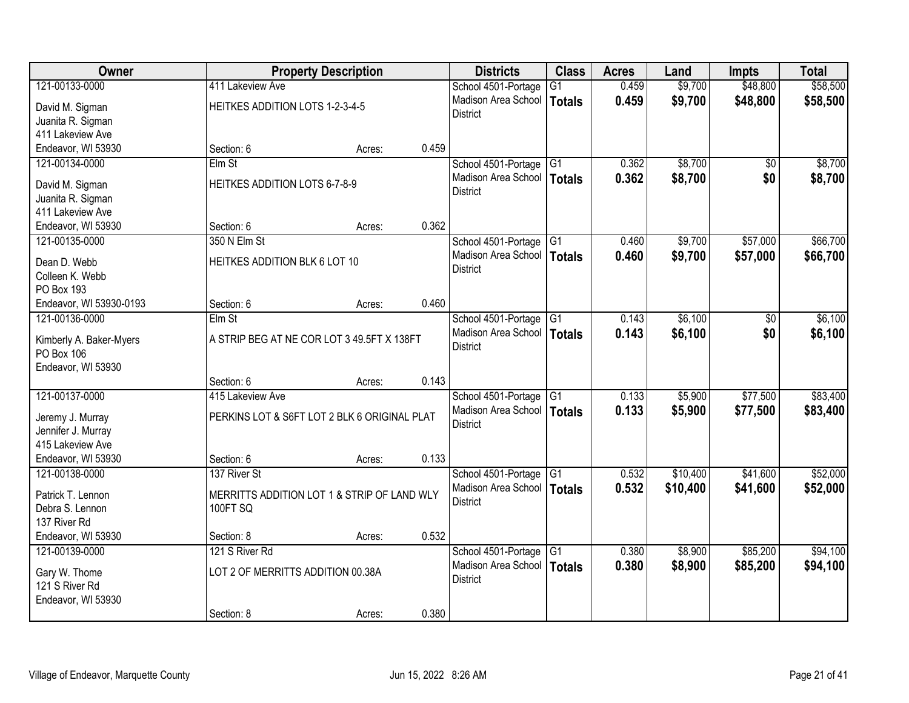| <b>Owner</b>                          |                                                                | <b>Property Description</b> |       | <b>Districts</b>             | <b>Class</b>    | <b>Acres</b> | Land     | <b>Impts</b>    | <b>Total</b> |
|---------------------------------------|----------------------------------------------------------------|-----------------------------|-------|------------------------------|-----------------|--------------|----------|-----------------|--------------|
| 121-00133-0000                        | 411 Lakeview Ave                                               |                             |       | School 4501-Portage          | $\overline{G1}$ | 0.459        | \$9,700  | \$48,800        | \$58,500     |
| David M. Sigman                       | HEITKES ADDITION LOTS 1-2-3-4-5                                |                             |       | Madison Area School          | Totals          | 0.459        | \$9,700  | \$48,800        | \$58,500     |
| Juanita R. Sigman                     |                                                                |                             |       | <b>District</b>              |                 |              |          |                 |              |
| 411 Lakeview Ave                      |                                                                |                             |       |                              |                 |              |          |                 |              |
| Endeavor, WI 53930                    | Section: 6                                                     | Acres:                      | 0.459 |                              |                 |              |          |                 |              |
| 121-00134-0000                        | Elm St                                                         |                             |       | School 4501-Portage          | G1              | 0.362        | \$8,700  | $\overline{50}$ | \$8,700      |
|                                       |                                                                |                             |       | Madison Area School          | Totals          | 0.362        | \$8,700  | \$0             | \$8,700      |
| David M. Sigman                       | HEITKES ADDITION LOTS 6-7-8-9                                  |                             |       | <b>District</b>              |                 |              |          |                 |              |
| Juanita R. Sigman<br>411 Lakeview Ave |                                                                |                             |       |                              |                 |              |          |                 |              |
| Endeavor, WI 53930                    | Section: 6                                                     | Acres:                      | 0.362 |                              |                 |              |          |                 |              |
| 121-00135-0000                        | 350 N Elm St                                                   |                             |       | School 4501-Portage          | G <sub>1</sub>  | 0.460        | \$9,700  | \$57,000        | \$66,700     |
|                                       |                                                                |                             |       | Madison Area School          | Totals          | 0.460        | \$9,700  | \$57,000        | \$66,700     |
| Dean D. Webb                          | HEITKES ADDITION BLK 6 LOT 10                                  |                             |       | <b>District</b>              |                 |              |          |                 |              |
| Colleen K. Webb                       |                                                                |                             |       |                              |                 |              |          |                 |              |
| PO Box 193                            |                                                                |                             |       |                              |                 |              |          |                 |              |
| Endeavor, WI 53930-0193               | Section: 6                                                     | Acres:                      | 0.460 |                              |                 |              |          |                 |              |
| 121-00136-0000                        | Elm St                                                         |                             |       | School 4501-Portage          | G1              | 0.143        | \$6,100  | $\sqrt[6]{}$    | \$6,100      |
| Kimberly A. Baker-Myers               | A STRIP BEG AT NE COR LOT 3 49.5FT X 138FT                     |                             |       | Madison Area School          | <b>Totals</b>   | 0.143        | \$6,100  | \$0             | \$6,100      |
| PO Box 106                            |                                                                |                             |       | <b>District</b>              |                 |              |          |                 |              |
| Endeavor, WI 53930                    |                                                                |                             |       |                              |                 |              |          |                 |              |
|                                       | Section: 6                                                     | Acres:                      | 0.143 |                              |                 |              |          |                 |              |
| 121-00137-0000                        | 415 Lakeview Ave                                               |                             |       | School 4501-Portage          | G1              | 0.133        | \$5,900  | \$77,500        | \$83,400     |
| Jeremy J. Murray                      | PERKINS LOT & S6FT LOT 2 BLK 6 ORIGINAL PLAT                   |                             |       | Madison Area School   Totals |                 | 0.133        | \$5,900  | \$77,500        | \$83,400     |
| Jennifer J. Murray                    |                                                                |                             |       | <b>District</b>              |                 |              |          |                 |              |
| 415 Lakeview Ave                      |                                                                |                             |       |                              |                 |              |          |                 |              |
| Endeavor, WI 53930                    | Section: 6                                                     | Acres:                      | 0.133 |                              |                 |              |          |                 |              |
| 121-00138-0000                        | 137 River St                                                   |                             |       | School 4501-Portage          | $\overline{G1}$ | 0.532        | \$10,400 | \$41,600        | \$52,000     |
|                                       |                                                                |                             |       | Madison Area School          | Totals          | 0.532        | \$10,400 | \$41,600        | \$52,000     |
| Patrick T. Lennon<br>Debra S. Lennon  | MERRITTS ADDITION LOT 1 & STRIP OF LAND WLY<br><b>100FT SQ</b> |                             |       | <b>District</b>              |                 |              |          |                 |              |
| 137 River Rd                          |                                                                |                             |       |                              |                 |              |          |                 |              |
| Endeavor, WI 53930                    | Section: 8                                                     | Acres:                      | 0.532 |                              |                 |              |          |                 |              |
| 121-00139-0000                        | 121 S River Rd                                                 |                             |       | School 4501-Portage          | $\overline{G1}$ | 0.380        | \$8,900  | \$85,200        | \$94,100     |
|                                       |                                                                |                             |       | Madison Area School          | Totals          | 0.380        | \$8,900  | \$85,200        | \$94,100     |
| Gary W. Thome                         | LOT 2 OF MERRITTS ADDITION 00.38A                              |                             |       | <b>District</b>              |                 |              |          |                 |              |
| 121 S River Rd                        |                                                                |                             |       |                              |                 |              |          |                 |              |
| Endeavor, WI 53930                    |                                                                |                             |       |                              |                 |              |          |                 |              |
|                                       | Section: 8                                                     | Acres:                      | 0.380 |                              |                 |              |          |                 |              |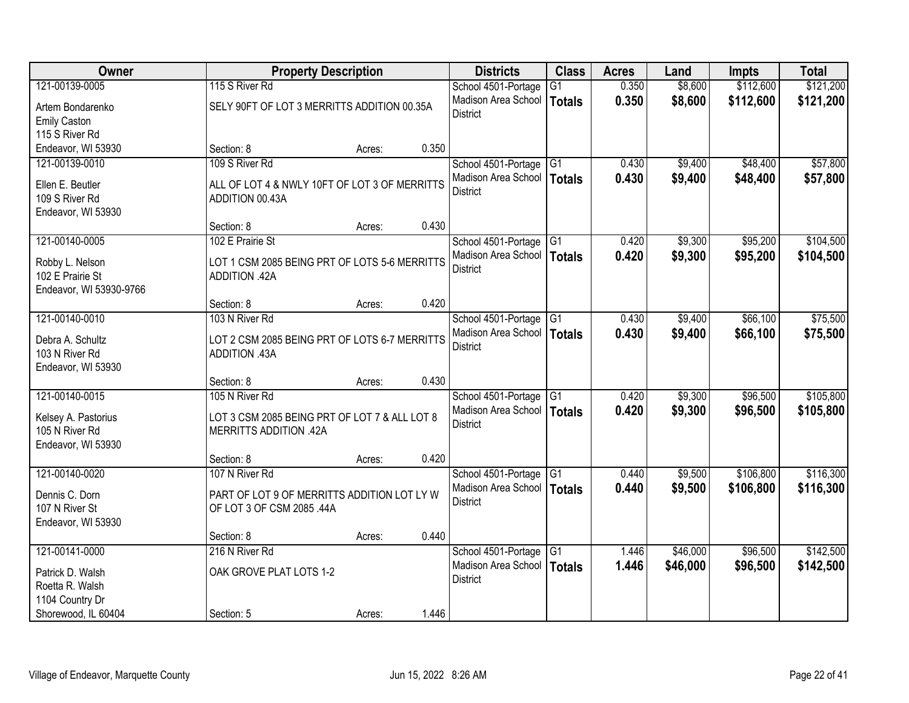| Owner                                 |                                               | <b>Property Description</b> |       | <b>Districts</b>             | <b>Class</b>    | <b>Acres</b> | Land     | <b>Impts</b> | <b>Total</b> |
|---------------------------------------|-----------------------------------------------|-----------------------------|-------|------------------------------|-----------------|--------------|----------|--------------|--------------|
| 121-00139-0005                        | 115 S River Rd                                |                             |       | School 4501-Portage          | $\overline{G1}$ | 0.350        | \$8,600  | \$112,600    | \$121,200    |
| Artem Bondarenko                      | SELY 90FT OF LOT 3 MERRITTS ADDITION 00.35A   |                             |       | Madison Area School          | <b>Totals</b>   | 0.350        | \$8,600  | \$112,600    | \$121,200    |
| <b>Emily Caston</b>                   |                                               |                             |       | <b>District</b>              |                 |              |          |              |              |
| 115 S River Rd                        |                                               |                             |       |                              |                 |              |          |              |              |
| Endeavor, WI 53930                    | Section: 8                                    | Acres:                      | 0.350 |                              |                 |              |          |              |              |
| 121-00139-0010                        | 109 S River Rd                                |                             |       | School 4501-Portage          | G1              | 0.430        | \$9,400  | \$48,400     | \$57,800     |
| Ellen E. Beutler                      | ALL OF LOT 4 & NWLY 10FT OF LOT 3 OF MERRITTS |                             |       | Madison Area School          | <b>Totals</b>   | 0.430        | \$9,400  | \$48,400     | \$57,800     |
| 109 S River Rd                        | ADDITION 00.43A                               |                             |       | <b>District</b>              |                 |              |          |              |              |
| Endeavor, WI 53930                    |                                               |                             |       |                              |                 |              |          |              |              |
|                                       | Section: 8                                    | Acres:                      | 0.430 |                              |                 |              |          |              |              |
| 121-00140-0005                        | 102 E Prairie St                              |                             |       | School 4501-Portage G1       |                 | 0.420        | \$9,300  | \$95,200     | \$104,500    |
| Robby L. Nelson                       | LOT 1 CSM 2085 BEING PRT OF LOTS 5-6 MERRITTS |                             |       | Madison Area School          | <b>Totals</b>   | 0.420        | \$9,300  | \$95,200     | \$104,500    |
| 102 E Prairie St                      | ADDITION .42A                                 |                             |       | <b>District</b>              |                 |              |          |              |              |
| Endeavor, WI 53930-9766               |                                               |                             |       |                              |                 |              |          |              |              |
|                                       | Section: 8                                    | Acres:                      | 0.420 |                              |                 |              |          |              |              |
| 121-00140-0010                        | 103 N River Rd                                |                             |       | School 4501-Portage          | G1              | 0.430        | \$9,400  | \$66,100     | \$75,500     |
| Debra A. Schultz                      | LOT 2 CSM 2085 BEING PRT OF LOTS 6-7 MERRITTS |                             |       | Madison Area School          | <b>Totals</b>   | 0.430        | \$9,400  | \$66,100     | \$75,500     |
| 103 N River Rd                        | ADDITION .43A                                 |                             |       | <b>District</b>              |                 |              |          |              |              |
| Endeavor, WI 53930                    |                                               |                             |       |                              |                 |              |          |              |              |
|                                       | Section: 8                                    | Acres:                      | 0.430 |                              |                 |              |          |              |              |
| 121-00140-0015                        | 105 N River Rd                                |                             |       | School 4501-Portage G1       |                 | 0.420        | \$9,300  | \$96,500     | \$105,800    |
|                                       | LOT 3 CSM 2085 BEING PRT OF LOT 7 & ALL LOT 8 |                             |       | Madison Area School   Totals |                 | 0.420        | \$9,300  | \$96,500     | \$105,800    |
| Kelsey A. Pastorius<br>105 N River Rd | <b>MERRITTS ADDITION .42A</b>                 |                             |       | <b>District</b>              |                 |              |          |              |              |
| Endeavor, WI 53930                    |                                               |                             |       |                              |                 |              |          |              |              |
|                                       | Section: 8                                    | Acres:                      | 0.420 |                              |                 |              |          |              |              |
| 121-00140-0020                        | 107 N River Rd                                |                             |       | School 4501-Portage          | $\overline{G1}$ | 0.440        | \$9,500  | \$106,800    | \$116,300    |
| Dennis C. Dorn                        | PART OF LOT 9 OF MERRITTS ADDITION LOT LY W   |                             |       | Madison Area School          | <b>Totals</b>   | 0.440        | \$9,500  | \$106,800    | \$116,300    |
| 107 N River St                        | OF LOT 3 OF CSM 2085 .44A                     |                             |       | <b>District</b>              |                 |              |          |              |              |
| Endeavor, WI 53930                    |                                               |                             |       |                              |                 |              |          |              |              |
|                                       | Section: 8                                    | Acres:                      | 0.440 |                              |                 |              |          |              |              |
| 121-00141-0000                        | 216 N River Rd                                |                             |       | School 4501-Portage          | $\overline{G1}$ | 1.446        | \$46,000 | \$96,500     | \$142,500    |
| Patrick D. Walsh                      | OAK GROVE PLAT LOTS 1-2                       |                             |       | Madison Area School          | <b>Totals</b>   | 1.446        | \$46,000 | \$96,500     | \$142,500    |
| Roetta R. Walsh                       |                                               |                             |       | <b>District</b>              |                 |              |          |              |              |
| 1104 Country Dr                       |                                               |                             |       |                              |                 |              |          |              |              |
| Shorewood, IL 60404                   | Section: 5                                    | Acres:                      | 1.446 |                              |                 |              |          |              |              |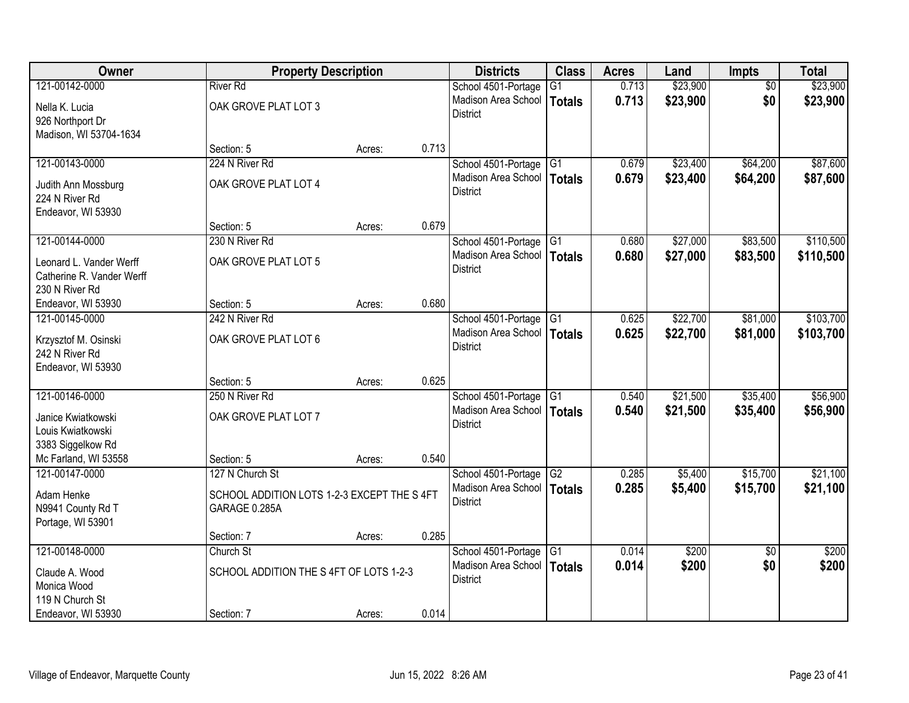| 121-00142-0000<br>\$23,900<br><b>River Rd</b><br>0.713<br>School 4501-Portage<br>$\overline{G1}$<br>$\overline{50}$<br>0.713<br>\$23,900<br>\$0<br>Madison Area School<br>Totals<br>OAK GROVE PLAT LOT 3<br>Nella K. Lucia<br><b>District</b><br>926 Northport Dr<br>Madison, WI 53704-1634<br>0.713<br>Section: 5<br>Acres:<br>224 N River Rd<br>\$23,400<br>\$64,200<br>121-00143-0000<br>School 4501-Portage<br>0.679<br>G1<br>Madison Area School<br>0.679<br>\$23,400<br>\$64,200<br>Totals<br>OAK GROVE PLAT LOT 4<br>Judith Ann Mossburg<br><b>District</b><br>224 N River Rd<br>Endeavor, WI 53930<br>0.679<br>Section: 5<br>Acres:<br>\$27,000<br>\$83,500<br>121-00144-0000<br>230 N River Rd<br>$\overline{G1}$<br>0.680<br>School 4501-Portage<br>Madison Area School<br>\$27,000<br>Totals<br>0.680<br>\$83,500<br>OAK GROVE PLAT LOT 5<br>Leonard L. Vander Werff<br><b>District</b><br>Catherine R. Vander Werff<br>230 N River Rd | Owner | <b>Property Description</b> |  | <b>Districts</b> | <b>Class</b> | <b>Acres</b> | Land | <b>Impts</b> | <b>Total</b> |
|---------------------------------------------------------------------------------------------------------------------------------------------------------------------------------------------------------------------------------------------------------------------------------------------------------------------------------------------------------------------------------------------------------------------------------------------------------------------------------------------------------------------------------------------------------------------------------------------------------------------------------------------------------------------------------------------------------------------------------------------------------------------------------------------------------------------------------------------------------------------------------------------------------------------------------------------------|-------|-----------------------------|--|------------------|--------------|--------------|------|--------------|--------------|
|                                                                                                                                                                                                                                                                                                                                                                                                                                                                                                                                                                                                                                                                                                                                                                                                                                                                                                                                                   |       |                             |  |                  |              |              |      |              | \$23,900     |
|                                                                                                                                                                                                                                                                                                                                                                                                                                                                                                                                                                                                                                                                                                                                                                                                                                                                                                                                                   |       |                             |  |                  |              |              |      |              | \$23,900     |
|                                                                                                                                                                                                                                                                                                                                                                                                                                                                                                                                                                                                                                                                                                                                                                                                                                                                                                                                                   |       |                             |  |                  |              |              |      |              |              |
|                                                                                                                                                                                                                                                                                                                                                                                                                                                                                                                                                                                                                                                                                                                                                                                                                                                                                                                                                   |       |                             |  |                  |              |              |      |              |              |
|                                                                                                                                                                                                                                                                                                                                                                                                                                                                                                                                                                                                                                                                                                                                                                                                                                                                                                                                                   |       |                             |  |                  |              |              |      |              |              |
|                                                                                                                                                                                                                                                                                                                                                                                                                                                                                                                                                                                                                                                                                                                                                                                                                                                                                                                                                   |       |                             |  |                  |              |              |      |              | \$87,600     |
|                                                                                                                                                                                                                                                                                                                                                                                                                                                                                                                                                                                                                                                                                                                                                                                                                                                                                                                                                   |       |                             |  |                  |              |              |      |              | \$87,600     |
|                                                                                                                                                                                                                                                                                                                                                                                                                                                                                                                                                                                                                                                                                                                                                                                                                                                                                                                                                   |       |                             |  |                  |              |              |      |              |              |
|                                                                                                                                                                                                                                                                                                                                                                                                                                                                                                                                                                                                                                                                                                                                                                                                                                                                                                                                                   |       |                             |  |                  |              |              |      |              |              |
|                                                                                                                                                                                                                                                                                                                                                                                                                                                                                                                                                                                                                                                                                                                                                                                                                                                                                                                                                   |       |                             |  |                  |              |              |      |              |              |
|                                                                                                                                                                                                                                                                                                                                                                                                                                                                                                                                                                                                                                                                                                                                                                                                                                                                                                                                                   |       |                             |  |                  |              |              |      |              | \$110,500    |
|                                                                                                                                                                                                                                                                                                                                                                                                                                                                                                                                                                                                                                                                                                                                                                                                                                                                                                                                                   |       |                             |  |                  |              |              |      |              | \$110,500    |
|                                                                                                                                                                                                                                                                                                                                                                                                                                                                                                                                                                                                                                                                                                                                                                                                                                                                                                                                                   |       |                             |  |                  |              |              |      |              |              |
|                                                                                                                                                                                                                                                                                                                                                                                                                                                                                                                                                                                                                                                                                                                                                                                                                                                                                                                                                   |       |                             |  |                  |              |              |      |              |              |
| 0.680<br>Endeavor, WI 53930<br>Section: 5<br>Acres:                                                                                                                                                                                                                                                                                                                                                                                                                                                                                                                                                                                                                                                                                                                                                                                                                                                                                               |       |                             |  |                  |              |              |      |              |              |
| \$22,700<br>121-00145-0000<br>242 N River Rd<br>School 4501-Portage<br>0.625<br>\$81,000<br>G <sub>1</sub>                                                                                                                                                                                                                                                                                                                                                                                                                                                                                                                                                                                                                                                                                                                                                                                                                                        |       |                             |  |                  |              |              |      |              | \$103,700    |
| Madison Area School<br>0.625<br>\$22,700<br><b>Totals</b><br>\$81,000<br>OAK GROVE PLAT LOT 6                                                                                                                                                                                                                                                                                                                                                                                                                                                                                                                                                                                                                                                                                                                                                                                                                                                     |       |                             |  |                  |              |              |      |              | \$103,700    |
| Krzysztof M. Osinski<br><b>District</b><br>242 N River Rd                                                                                                                                                                                                                                                                                                                                                                                                                                                                                                                                                                                                                                                                                                                                                                                                                                                                                         |       |                             |  |                  |              |              |      |              |              |
| Endeavor, WI 53930                                                                                                                                                                                                                                                                                                                                                                                                                                                                                                                                                                                                                                                                                                                                                                                                                                                                                                                                |       |                             |  |                  |              |              |      |              |              |
| 0.625<br>Section: 5<br>Acres:                                                                                                                                                                                                                                                                                                                                                                                                                                                                                                                                                                                                                                                                                                                                                                                                                                                                                                                     |       |                             |  |                  |              |              |      |              |              |
| 121-00146-0000<br>250 N River Rd<br>\$21,500<br>\$35,400<br>School 4501-Portage<br>G <sub>1</sub><br>0.540                                                                                                                                                                                                                                                                                                                                                                                                                                                                                                                                                                                                                                                                                                                                                                                                                                        |       |                             |  |                  |              |              |      |              | \$56,900     |
| Madison Area School<br>0.540<br>\$21,500<br>\$35,400<br>Totals                                                                                                                                                                                                                                                                                                                                                                                                                                                                                                                                                                                                                                                                                                                                                                                                                                                                                    |       |                             |  |                  |              |              |      |              | \$56,900     |
| OAK GROVE PLAT LOT 7<br>Janice Kwiatkowski<br><b>District</b><br>Louis Kwiatkowski                                                                                                                                                                                                                                                                                                                                                                                                                                                                                                                                                                                                                                                                                                                                                                                                                                                                |       |                             |  |                  |              |              |      |              |              |
| 3383 Siggelkow Rd                                                                                                                                                                                                                                                                                                                                                                                                                                                                                                                                                                                                                                                                                                                                                                                                                                                                                                                                 |       |                             |  |                  |              |              |      |              |              |
| Mc Farland, WI 53558<br>0.540<br>Section: 5<br>Acres:                                                                                                                                                                                                                                                                                                                                                                                                                                                                                                                                                                                                                                                                                                                                                                                                                                                                                             |       |                             |  |                  |              |              |      |              |              |
| \$5,400<br>\$15,700<br>121-00147-0000<br>127 N Church St<br>G2<br>0.285<br>School 4501-Portage                                                                                                                                                                                                                                                                                                                                                                                                                                                                                                                                                                                                                                                                                                                                                                                                                                                    |       |                             |  |                  |              |              |      |              | \$21,100     |
| Madison Area School<br>Totals<br>0.285<br>\$5,400<br>\$15,700                                                                                                                                                                                                                                                                                                                                                                                                                                                                                                                                                                                                                                                                                                                                                                                                                                                                                     |       |                             |  |                  |              |              |      |              | \$21,100     |
| SCHOOL ADDITION LOTS 1-2-3 EXCEPT THE S 4FT<br>Adam Henke<br><b>District</b>                                                                                                                                                                                                                                                                                                                                                                                                                                                                                                                                                                                                                                                                                                                                                                                                                                                                      |       |                             |  |                  |              |              |      |              |              |
| N9941 County Rd T<br>GARAGE 0.285A                                                                                                                                                                                                                                                                                                                                                                                                                                                                                                                                                                                                                                                                                                                                                                                                                                                                                                                |       |                             |  |                  |              |              |      |              |              |
| Portage, WI 53901<br>0.285<br>Section: 7<br>Acres:                                                                                                                                                                                                                                                                                                                                                                                                                                                                                                                                                                                                                                                                                                                                                                                                                                                                                                |       |                             |  |                  |              |              |      |              |              |
| 121-00148-0000<br>Church St<br>0.014<br>\$200<br>School 4501-Portage<br>$\overline{G1}$<br>$\overline{50}$                                                                                                                                                                                                                                                                                                                                                                                                                                                                                                                                                                                                                                                                                                                                                                                                                                        |       |                             |  |                  |              |              |      |              | \$200        |
| Madison Area School<br>0.014<br>\$200<br>\$0<br>Totals                                                                                                                                                                                                                                                                                                                                                                                                                                                                                                                                                                                                                                                                                                                                                                                                                                                                                            |       |                             |  |                  |              |              |      |              | \$200        |
| SCHOOL ADDITION THE S4FT OF LOTS 1-2-3<br>Claude A. Wood<br><b>District</b>                                                                                                                                                                                                                                                                                                                                                                                                                                                                                                                                                                                                                                                                                                                                                                                                                                                                       |       |                             |  |                  |              |              |      |              |              |
| Monica Wood<br>119 N Church St                                                                                                                                                                                                                                                                                                                                                                                                                                                                                                                                                                                                                                                                                                                                                                                                                                                                                                                    |       |                             |  |                  |              |              |      |              |              |
| 0.014<br>Endeavor, WI 53930<br>Section: 7<br>Acres:                                                                                                                                                                                                                                                                                                                                                                                                                                                                                                                                                                                                                                                                                                                                                                                                                                                                                               |       |                             |  |                  |              |              |      |              |              |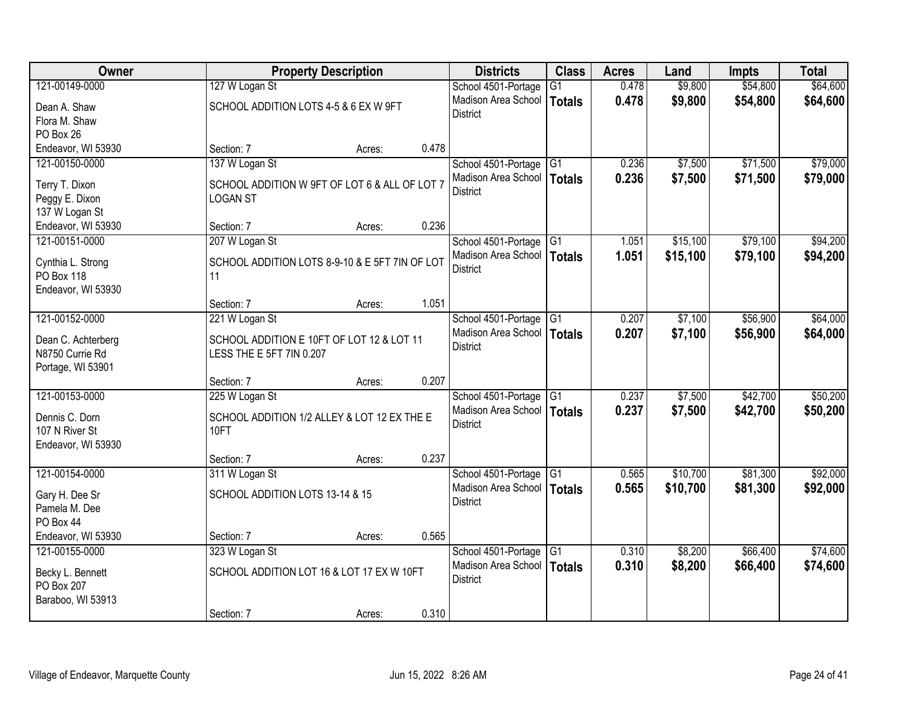| Owner              |                                                | <b>Property Description</b> |       |                              | <b>Class</b>    | <b>Acres</b> | Land     | <b>Impts</b> | <b>Total</b> |
|--------------------|------------------------------------------------|-----------------------------|-------|------------------------------|-----------------|--------------|----------|--------------|--------------|
| 121-00149-0000     | 127 W Logan St                                 |                             |       | School 4501-Portage          | $\overline{G1}$ | 0.478        | \$9,800  | \$54,800     | \$64,600     |
| Dean A. Shaw       | SCHOOL ADDITION LOTS 4-5 & 6 EX W 9FT          |                             |       | Madison Area School          | <b>Totals</b>   | 0.478        | \$9,800  | \$54,800     | \$64,600     |
| Flora M. Shaw      |                                                |                             |       | <b>District</b>              |                 |              |          |              |              |
| PO Box 26          |                                                |                             |       |                              |                 |              |          |              |              |
| Endeavor, WI 53930 | Section: 7                                     | Acres:                      | 0.478 |                              |                 |              |          |              |              |
| 121-00150-0000     | 137 W Logan St                                 |                             |       | School 4501-Portage          | G1              | 0.236        | \$7,500  | \$71,500     | \$79,000     |
| Terry T. Dixon     | SCHOOL ADDITION W 9FT OF LOT 6 & ALL OF LOT 7  |                             |       | Madison Area School          | Totals          | 0.236        | \$7,500  | \$71,500     | \$79,000     |
| Peggy E. Dixon     | <b>LOGAN ST</b>                                |                             |       | <b>District</b>              |                 |              |          |              |              |
| 137 W Logan St     |                                                |                             |       |                              |                 |              |          |              |              |
| Endeavor, WI 53930 | Section: 7                                     | Acres:                      | 0.236 |                              |                 |              |          |              |              |
| 121-00151-0000     | 207 W Logan St                                 |                             |       | School 4501-Portage G1       |                 | 1.051        | \$15,100 | \$79,100     | \$94,200     |
| Cynthia L. Strong  | SCHOOL ADDITION LOTS 8-9-10 & E 5FT 7IN OF LOT |                             |       | Madison Area School          | <b>Totals</b>   | 1.051        | \$15,100 | \$79,100     | \$94,200     |
| PO Box 118         | 11                                             |                             |       | <b>District</b>              |                 |              |          |              |              |
| Endeavor, WI 53930 |                                                |                             |       |                              |                 |              |          |              |              |
|                    | Section: 7                                     | Acres:                      | 1.051 |                              |                 |              |          |              |              |
| 121-00152-0000     | 221 W Logan St                                 |                             |       | School 4501-Portage          | G1              | 0.207        | \$7,100  | \$56,900     | \$64,000     |
| Dean C. Achterberg | SCHOOL ADDITION E 10FT OF LOT 12 & LOT 11      |                             |       | Madison Area School          | <b>Totals</b>   | 0.207        | \$7,100  | \$56,900     | \$64,000     |
| N8750 Currie Rd    | LESS THE E 5FT 7IN 0.207                       |                             |       | <b>District</b>              |                 |              |          |              |              |
| Portage, WI 53901  |                                                |                             |       |                              |                 |              |          |              |              |
|                    | Section: 7                                     | Acres:                      | 0.207 |                              |                 |              |          |              |              |
| 121-00153-0000     | 225 W Logan St                                 |                             |       | School 4501-Portage          | $\overline{G1}$ | 0.237        | \$7,500  | \$42,700     | \$50,200     |
| Dennis C. Dorn     | SCHOOL ADDITION 1/2 ALLEY & LOT 12 EX THE E    |                             |       | Madison Area School   Totals |                 | 0.237        | \$7,500  | \$42,700     | \$50,200     |
| 107 N River St     | 10FT                                           |                             |       | <b>District</b>              |                 |              |          |              |              |
| Endeavor, WI 53930 |                                                |                             |       |                              |                 |              |          |              |              |
|                    | Section: 7                                     | Acres:                      | 0.237 |                              |                 |              |          |              |              |
| 121-00154-0000     | 311 W Logan St                                 |                             |       | School 4501-Portage          | G1              | 0.565        | \$10,700 | \$81,300     | \$92,000     |
| Gary H. Dee Sr     | SCHOOL ADDITION LOTS 13-14 & 15                |                             |       | Madison Area School          | <b>Totals</b>   | 0.565        | \$10,700 | \$81,300     | \$92,000     |
| Pamela M. Dee      |                                                |                             |       | <b>District</b>              |                 |              |          |              |              |
| PO Box 44          |                                                |                             |       |                              |                 |              |          |              |              |
| Endeavor, WI 53930 | Section: 7                                     | Acres:                      | 0.565 |                              |                 |              |          |              |              |
| 121-00155-0000     | 323 W Logan St                                 |                             |       | School 4501-Portage          | $\overline{G1}$ | 0.310        | \$8,200  | \$66,400     | \$74,600     |
| Becky L. Bennett   | SCHOOL ADDITION LOT 16 & LOT 17 EX W 10FT      |                             |       | Madison Area School          | <b>Totals</b>   | 0.310        | \$8,200  | \$66,400     | \$74,600     |
| PO Box 207         |                                                |                             |       | <b>District</b>              |                 |              |          |              |              |
| Baraboo, WI 53913  |                                                |                             |       |                              |                 |              |          |              |              |
|                    | Section: 7                                     | Acres:                      | 0.310 |                              |                 |              |          |              |              |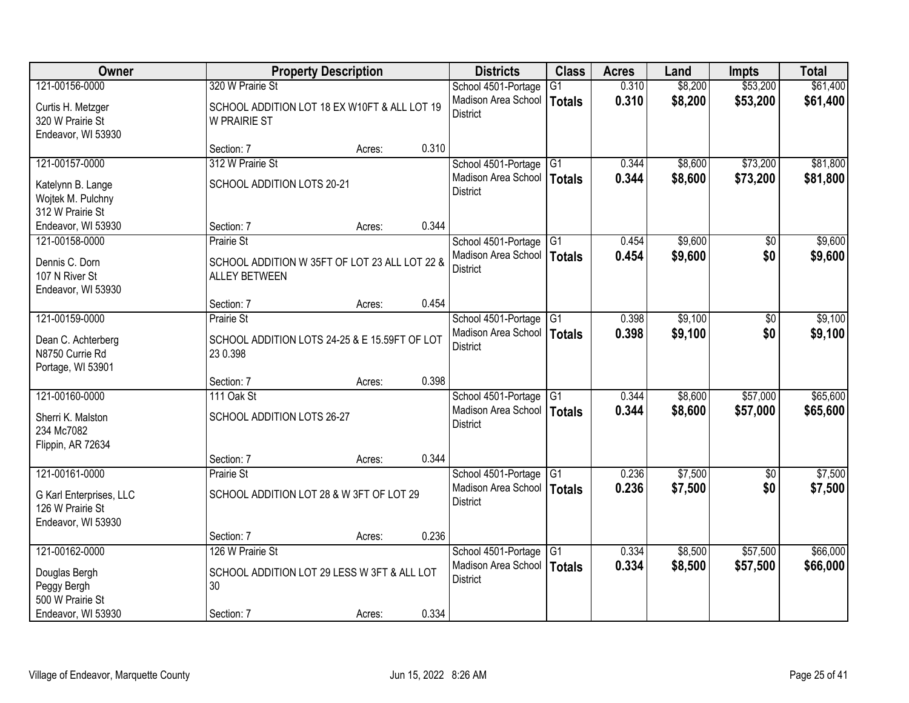| Owner                                                             |                                                                       | <b>Property Description</b> |       | <b>Districts</b>                       | <b>Class</b>    | <b>Acres</b> | Land    | <b>Impts</b>   | <b>Total</b> |
|-------------------------------------------------------------------|-----------------------------------------------------------------------|-----------------------------|-------|----------------------------------------|-----------------|--------------|---------|----------------|--------------|
| 121-00156-0000                                                    | 320 W Prairie St                                                      |                             |       | School 4501-Portage                    | $\overline{G1}$ | 0.310        | \$8,200 | \$53,200       | \$61,400     |
| Curtis H. Metzger<br>320 W Prairie St<br>Endeavor, WI 53930       | SCHOOL ADDITION LOT 18 EX W10FT & ALL LOT 19<br><b>W PRAIRIE ST</b>   |                             |       | Madison Area School<br><b>District</b> | Totals          | 0.310        | \$8,200 | \$53,200       | \$61,400     |
|                                                                   | Section: 7                                                            | Acres:                      | 0.310 |                                        |                 |              |         |                |              |
| 121-00157-0000                                                    | 312 W Prairie St                                                      |                             |       | School 4501-Portage                    | G1              | 0.344        | \$8,600 | \$73,200       | \$81,800     |
| Katelynn B. Lange<br>Wojtek M. Pulchny<br>312 W Prairie St        | SCHOOL ADDITION LOTS 20-21                                            |                             |       | Madison Area School<br><b>District</b> | Totals          | 0.344        | \$8,600 | \$73,200       | \$81,800     |
| Endeavor, WI 53930                                                | Section: 7                                                            | Acres:                      | 0.344 |                                        |                 |              |         |                |              |
| 121-00158-0000                                                    | <b>Prairie St</b>                                                     |                             |       | School 4501-Portage                    | G1              | 0.454        | \$9,600 | $\sqrt[6]{30}$ | \$9,600      |
| Dennis C. Dorn<br>107 N River St<br>Endeavor, WI 53930            | SCHOOL ADDITION W 35FT OF LOT 23 ALL LOT 22 &<br><b>ALLEY BETWEEN</b> |                             |       | Madison Area School<br><b>District</b> | Totals          | 0.454        | \$9,600 | \$0            | \$9,600      |
|                                                                   | Section: 7                                                            | Acres:                      | 0.454 |                                        |                 |              |         |                |              |
| 121-00159-0000                                                    | <b>Prairie St</b>                                                     |                             |       | School 4501-Portage                    | G <sub>1</sub>  | 0.398        | \$9,100 | \$0            | \$9,100      |
| Dean C. Achterberg<br>N8750 Currie Rd<br>Portage, WI 53901        | SCHOOL ADDITION LOTS 24-25 & E 15.59FT OF LOT<br>23 0.398             |                             |       | Madison Area School<br><b>District</b> | <b>Totals</b>   | 0.398        | \$9,100 | \$0            | \$9,100      |
|                                                                   | Section: 7                                                            | Acres:                      | 0.398 |                                        |                 |              |         |                |              |
| 121-00160-0000                                                    | 111 Oak St                                                            |                             |       | School 4501-Portage                    | G <sub>1</sub>  | 0.344        | \$8,600 | \$57,000       | \$65,600     |
| Sherri K. Malston<br>234 Mc7082<br>Flippin, AR 72634              | SCHOOL ADDITION LOTS 26-27                                            |                             |       | Madison Area School<br><b>District</b> | Totals          | 0.344        | \$8,600 | \$57,000       | \$65,600     |
|                                                                   | Section: 7                                                            | Acres:                      | 0.344 |                                        |                 |              |         |                |              |
| 121-00161-0000                                                    | Prairie St                                                            |                             |       | School 4501-Portage                    | $\overline{G1}$ | 0.236        | \$7,500 | \$0            | \$7,500      |
| G Karl Enterprises, LLC<br>126 W Prairie St<br>Endeavor, WI 53930 | SCHOOL ADDITION LOT 28 & W 3FT OF LOT 29                              |                             |       | Madison Area School<br><b>District</b> | Totals          | 0.236        | \$7,500 | \$0            | \$7,500      |
|                                                                   | Section: 7                                                            | Acres:                      | 0.236 |                                        |                 |              |         |                |              |
| 121-00162-0000                                                    | 126 W Prairie St                                                      |                             |       | School 4501-Portage                    | $\overline{G1}$ | 0.334        | \$8,500 | \$57,500       | \$66,000     |
| Douglas Bergh<br>Peggy Bergh<br>500 W Prairie St                  | SCHOOL ADDITION LOT 29 LESS W 3FT & ALL LOT<br>30                     |                             |       | Madison Area School<br><b>District</b> | Totals          | 0.334        | \$8,500 | \$57,500       | \$66,000     |
| Endeavor, WI 53930                                                | Section: 7                                                            | Acres:                      | 0.334 |                                        |                 |              |         |                |              |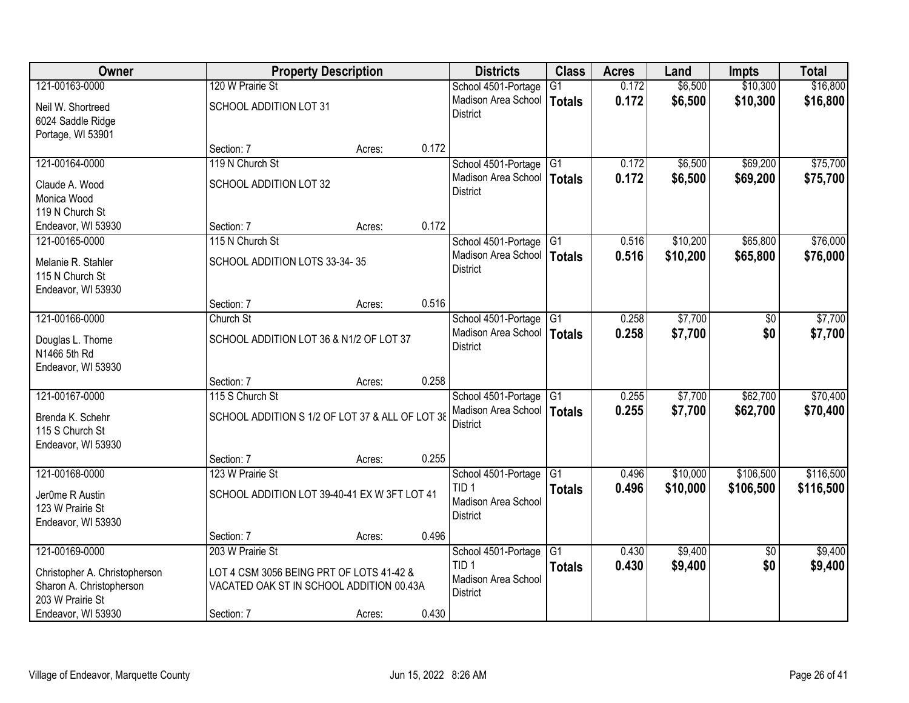| Owner                                  |                                                 | <b>Property Description</b> |       | <b>Districts</b>                       | <b>Class</b>    | <b>Acres</b> | Land     | Impts           | <b>Total</b> |
|----------------------------------------|-------------------------------------------------|-----------------------------|-------|----------------------------------------|-----------------|--------------|----------|-----------------|--------------|
| 121-00163-0000                         | 120 W Prairie St                                |                             |       | School 4501-Portage                    | G <sub>1</sub>  | 0.172        | \$6,500  | \$10,300        | \$16,800     |
| Neil W. Shortreed<br>6024 Saddle Ridge | SCHOOL ADDITION LOT 31                          |                             |       | Madison Area School<br><b>District</b> | <b>Totals</b>   | 0.172        | \$6,500  | \$10,300        | \$16,800     |
| Portage, WI 53901                      |                                                 |                             |       |                                        |                 |              |          |                 |              |
|                                        | Section: 7                                      | Acres:                      | 0.172 |                                        |                 |              |          |                 |              |
| 121-00164-0000                         | 119 N Church St                                 |                             |       | School 4501-Portage                    | G1              | 0.172        | \$6,500  | \$69,200        | \$75,700     |
| Claude A. Wood                         | SCHOOL ADDITION LOT 32                          |                             |       | Madison Area School                    | <b>Totals</b>   | 0.172        | \$6,500  | \$69,200        | \$75,700     |
| Monica Wood                            |                                                 |                             |       | <b>District</b>                        |                 |              |          |                 |              |
| 119 N Church St                        |                                                 |                             |       |                                        |                 |              |          |                 |              |
| Endeavor, WI 53930                     | Section: 7                                      | Acres:                      | 0.172 |                                        |                 |              |          |                 |              |
| 121-00165-0000                         | 115 N Church St                                 |                             |       | School 4501-Portage G1                 |                 | 0.516        | \$10,200 | \$65,800        | \$76,000     |
| Melanie R. Stahler                     | SCHOOL ADDITION LOTS 33-34-35                   |                             |       | Madison Area School                    | <b>Totals</b>   | 0.516        | \$10,200 | \$65,800        | \$76,000     |
| 115 N Church St                        |                                                 |                             |       | <b>District</b>                        |                 |              |          |                 |              |
| Endeavor, WI 53930                     |                                                 |                             |       |                                        |                 |              |          |                 |              |
|                                        | Section: 7                                      | Acres:                      | 0.516 |                                        |                 |              |          |                 |              |
| 121-00166-0000                         | Church St                                       |                             |       | School 4501-Portage                    | G1              | 0.258        | \$7,700  | $\sqrt[6]{}$    | \$7,700      |
| Douglas L. Thome                       | SCHOOL ADDITION LOT 36 & N1/2 OF LOT 37         |                             |       | Madison Area School                    | <b>Totals</b>   | 0.258        | \$7,700  | \$0             | \$7,700      |
| N1466 5th Rd                           |                                                 |                             |       | <b>District</b>                        |                 |              |          |                 |              |
| Endeavor, WI 53930                     |                                                 |                             |       |                                        |                 |              |          |                 |              |
|                                        | Section: 7                                      | Acres:                      | 0.258 |                                        |                 |              |          |                 |              |
| 121-00167-0000                         | 115 S Church St                                 |                             |       | School 4501-Portage                    | $\overline{G1}$ | 0.255        | \$7,700  | \$62,700        | \$70,400     |
| Brenda K. Schehr                       | SCHOOL ADDITION S 1/2 OF LOT 37 & ALL OF LOT 38 |                             |       | Madison Area School   Totals           |                 | 0.255        | \$7,700  | \$62,700        | \$70,400     |
| 115 S Church St                        |                                                 |                             |       | <b>District</b>                        |                 |              |          |                 |              |
| Endeavor, WI 53930                     |                                                 |                             |       |                                        |                 |              |          |                 |              |
|                                        | Section: 7                                      | Acres:                      | 0.255 |                                        |                 |              |          |                 |              |
| 121-00168-0000                         | 123 W Prairie St                                |                             |       | School 4501-Portage G1                 |                 | 0.496        | \$10,000 | \$106,500       | \$116,500    |
| Jer0me R Austin                        | SCHOOL ADDITION LOT 39-40-41 EX W 3FT LOT 41    |                             |       | TID <sub>1</sub>                       | <b>Totals</b>   | 0.496        | \$10,000 | \$106,500       | \$116,500    |
| 123 W Prairie St                       |                                                 |                             |       | Madison Area School<br><b>District</b> |                 |              |          |                 |              |
| Endeavor, WI 53930                     |                                                 |                             |       |                                        |                 |              |          |                 |              |
|                                        | Section: 7                                      | Acres:                      | 0.496 |                                        |                 |              |          |                 |              |
| 121-00169-0000                         | 203 W Prairie St                                |                             |       | School 4501-Portage                    | G1              | 0.430        | \$9,400  | $\overline{50}$ | \$9,400      |
| Christopher A. Christopherson          | LOT 4 CSM 3056 BEING PRT OF LOTS 41-42 &        |                             |       | TID 1                                  | <b>Totals</b>   | 0.430        | \$9,400  | \$0             | \$9,400      |
| Sharon A. Christopherson               | VACATED OAK ST IN SCHOOL ADDITION 00.43A        |                             |       | Madison Area School<br><b>District</b> |                 |              |          |                 |              |
| 203 W Prairie St                       |                                                 |                             |       |                                        |                 |              |          |                 |              |
| Endeavor, WI 53930                     | Section: 7                                      | Acres:                      | 0.430 |                                        |                 |              |          |                 |              |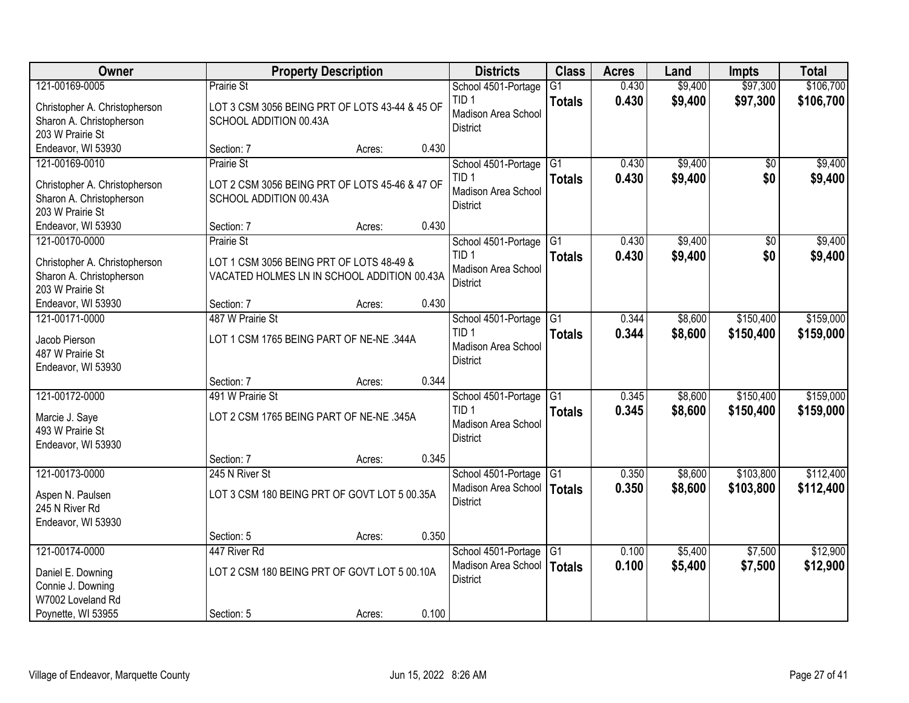| Owner                                |                                 | <b>Property Description</b>                    |       | <b>Districts</b>                           | <b>Class</b>    | <b>Acres</b>   | Land               | <b>Impts</b>           | <b>Total</b> |
|--------------------------------------|---------------------------------|------------------------------------------------|-------|--------------------------------------------|-----------------|----------------|--------------------|------------------------|--------------|
| 121-00169-0005                       | Prairie St                      |                                                |       | School 4501-Portage                        | $\overline{G1}$ | 0.430          | \$9,400            | \$97,300               | \$106,700    |
| Christopher A. Christopherson        |                                 | LOT 3 CSM 3056 BEING PRT OF LOTS 43-44 & 45 OF |       | TID <sub>1</sub><br>Madison Area School    | <b>Totals</b>   | 0.430          | \$9,400            | \$97,300               | \$106,700    |
| Sharon A. Christopherson             | SCHOOL ADDITION 00.43A          |                                                |       | <b>District</b>                            |                 |                |                    |                        |              |
| 203 W Prairie St                     |                                 |                                                |       |                                            |                 |                |                    |                        |              |
| Endeavor, WI 53930                   | Section: 7                      | Acres:                                         | 0.430 |                                            |                 |                |                    |                        |              |
| 121-00169-0010                       | Prairie St                      |                                                |       | School 4501-Portage<br>TID <sub>1</sub>    | G1              | 0.430<br>0.430 | \$9,400<br>\$9,400 | $\overline{50}$<br>\$0 | \$9,400      |
| Christopher A. Christopherson        |                                 | LOT 2 CSM 3056 BEING PRT OF LOTS 45-46 & 47 OF |       | Madison Area School                        | <b>Totals</b>   |                |                    |                        | \$9,400      |
| Sharon A. Christopherson             | SCHOOL ADDITION 00.43A          |                                                |       | District                                   |                 |                |                    |                        |              |
| 203 W Prairie St                     |                                 |                                                |       |                                            |                 |                |                    |                        |              |
| Endeavor, WI 53930<br>121-00170-0000 | Section: 7<br><b>Prairie St</b> | Acres:                                         | 0.430 |                                            |                 | 0.430          | \$9,400            |                        | \$9,400      |
|                                      |                                 |                                                |       | School 4501-Portage G1<br>TID <sub>1</sub> |                 | 0.430          | \$9,400            | \$0<br>\$0             | \$9,400      |
| Christopher A. Christopherson        |                                 | LOT 1 CSM 3056 BEING PRT OF LOTS 48-49 &       |       | Madison Area School                        | <b>Totals</b>   |                |                    |                        |              |
| Sharon A. Christopherson             |                                 | VACATED HOLMES LN IN SCHOOL ADDITION 00.43A    |       | <b>District</b>                            |                 |                |                    |                        |              |
| 203 W Prairie St                     |                                 |                                                |       |                                            |                 |                |                    |                        |              |
| Endeavor, WI 53930<br>121-00171-0000 | Section: 7<br>487 W Prairie St  | Acres:                                         | 0.430 | School 4501-Portage                        | G1              | 0.344          | \$8,600            | \$150,400              | \$159,000    |
|                                      |                                 |                                                |       | TID <sub>1</sub>                           | <b>Totals</b>   | 0.344          | \$8,600            | \$150,400              | \$159,000    |
| Jacob Pierson                        |                                 | LOT 1 CSM 1765 BEING PART OF NE-NE .344A       |       | Madison Area School                        |                 |                |                    |                        |              |
| 487 W Prairie St                     |                                 |                                                |       | <b>District</b>                            |                 |                |                    |                        |              |
| Endeavor, WI 53930                   |                                 |                                                | 0.344 |                                            |                 |                |                    |                        |              |
| 121-00172-0000                       | Section: 7<br>491 W Prairie St  | Acres:                                         |       |                                            | G1              | 0.345          | \$8,600            | \$150,400              | \$159,000    |
|                                      |                                 |                                                |       | School 4501-Portage<br>TID <sub>1</sub>    | <b>Totals</b>   | 0.345          | \$8,600            | \$150,400              | \$159,000    |
| Marcie J. Saye                       |                                 | LOT 2 CSM 1765 BEING PART OF NE-NE .345A       |       | Madison Area School                        |                 |                |                    |                        |              |
| 493 W Prairie St                     |                                 |                                                |       | <b>District</b>                            |                 |                |                    |                        |              |
| Endeavor, WI 53930                   |                                 |                                                | 0.345 |                                            |                 |                |                    |                        |              |
| 121-00173-0000                       | Section: 7<br>245 N River St    | Acres:                                         |       | School 4501-Portage                        | G1              | 0.350          | \$8,600            | \$103,800              | \$112,400    |
|                                      |                                 |                                                |       | Madison Area School                        | <b>Totals</b>   | 0.350          | \$8,600            | \$103,800              | \$112,400    |
| Aspen N. Paulsen                     |                                 | LOT 3 CSM 180 BEING PRT OF GOVT LOT 5 00.35A   |       | <b>District</b>                            |                 |                |                    |                        |              |
| 245 N River Rd                       |                                 |                                                |       |                                            |                 |                |                    |                        |              |
| Endeavor, WI 53930                   | Section: 5                      |                                                | 0.350 |                                            |                 |                |                    |                        |              |
| 121-00174-0000                       | 447 River Rd                    | Acres:                                         |       | School 4501-Portage                        | G <sub>1</sub>  | 0.100          | \$5,400            | \$7,500                | \$12,900     |
|                                      |                                 |                                                |       | Madison Area School                        | <b>Totals</b>   | 0.100          | \$5,400            | \$7,500                | \$12,900     |
| Daniel E. Downing                    |                                 | LOT 2 CSM 180 BEING PRT OF GOVT LOT 5 00.10A   |       | <b>District</b>                            |                 |                |                    |                        |              |
| Connie J. Downing                    |                                 |                                                |       |                                            |                 |                |                    |                        |              |
| W7002 Loveland Rd                    |                                 |                                                | 0.100 |                                            |                 |                |                    |                        |              |
| Poynette, WI 53955                   | Section: 5                      | Acres:                                         |       |                                            |                 |                |                    |                        |              |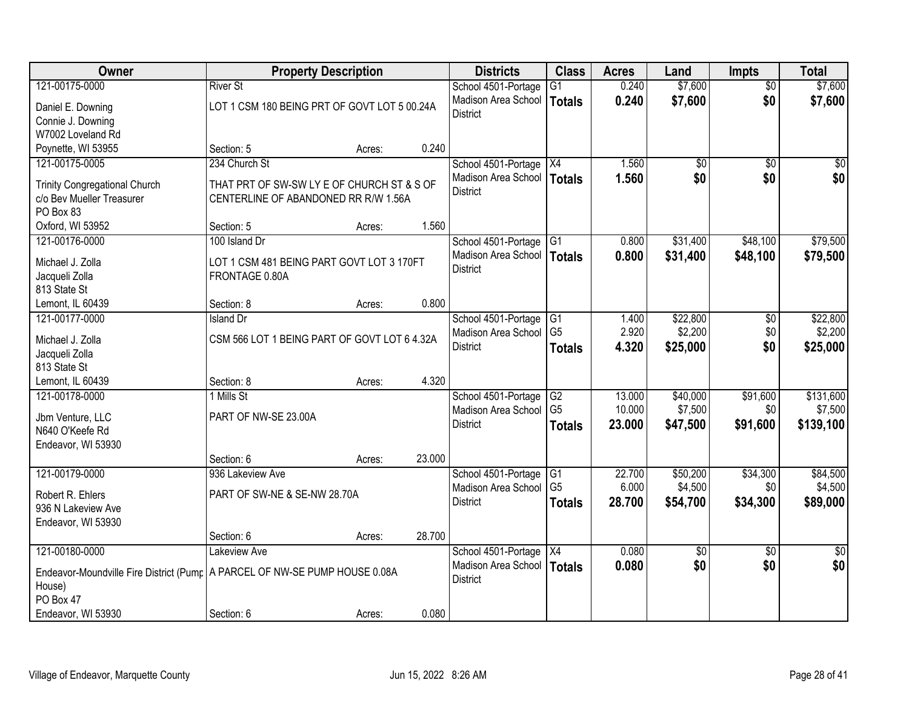| Owner                                                                        |                                              | <b>Property Description</b> |        | <b>Districts</b>    | <b>Class</b>    | <b>Acres</b> | Land            | <b>Impts</b>    | <b>Total</b>    |
|------------------------------------------------------------------------------|----------------------------------------------|-----------------------------|--------|---------------------|-----------------|--------------|-----------------|-----------------|-----------------|
| 121-00175-0000                                                               | <b>River St</b>                              |                             |        | School 4501-Portage | $\overline{G1}$ | 0.240        | \$7,600         | $\overline{50}$ | \$7,600         |
| Daniel E. Downing                                                            | LOT 1 CSM 180 BEING PRT OF GOVT LOT 5 00.24A |                             |        | Madison Area School | Totals          | 0.240        | \$7,600         | \$0             | \$7,600         |
| Connie J. Downing                                                            |                                              |                             |        | <b>District</b>     |                 |              |                 |                 |                 |
| W7002 Loveland Rd                                                            |                                              |                             |        |                     |                 |              |                 |                 |                 |
| Poynette, WI 53955                                                           | Section: 5                                   | Acres:                      | 0.240  |                     |                 |              |                 |                 |                 |
| 121-00175-0005                                                               | 234 Church St                                |                             |        | School 4501-Portage | $\overline{X4}$ | 1.560        | \$0             | $\overline{50}$ | $\overline{50}$ |
| <b>Trinity Congregational Church</b>                                         | THAT PRT OF SW-SW LY E OF CHURCH ST & S OF   |                             |        | Madison Area School | Totals          | 1.560        | \$0             | \$0             | \$0             |
| c/o Bev Mueller Treasurer                                                    | CENTERLINE OF ABANDONED RR R/W 1.56A         |                             |        | <b>District</b>     |                 |              |                 |                 |                 |
| PO Box 83                                                                    |                                              |                             |        |                     |                 |              |                 |                 |                 |
| Oxford, WI 53952                                                             | Section: 5                                   | Acres:                      | 1.560  |                     |                 |              |                 |                 |                 |
| 121-00176-0000                                                               | 100 Island Dr                                |                             |        | School 4501-Portage | G <sub>1</sub>  | 0.800        | \$31,400        | \$48,100        | \$79,500        |
| Michael J. Zolla                                                             | LOT 1 CSM 481 BEING PART GOVT LOT 3 170FT    |                             |        | Madison Area School | Totals          | 0.800        | \$31,400        | \$48,100        | \$79,500        |
| Jacqueli Zolla                                                               | FRONTAGE 0.80A                               |                             |        | <b>District</b>     |                 |              |                 |                 |                 |
| 813 State St                                                                 |                                              |                             |        |                     |                 |              |                 |                 |                 |
| Lemont, IL 60439                                                             | Section: 8                                   | Acres:                      | 0.800  |                     |                 |              |                 |                 |                 |
| 121-00177-0000                                                               | <b>Island Dr</b>                             |                             |        | School 4501-Portage | G1              | 1.400        | \$22,800        | \$0             | \$22,800        |
| Michael J. Zolla                                                             | CSM 566 LOT 1 BEING PART OF GOVT LOT 6 4.32A |                             |        | Madison Area School | G <sub>5</sub>  | 2.920        | \$2,200         | \$0             | \$2,200         |
| Jacqueli Zolla                                                               |                                              |                             |        | <b>District</b>     | <b>Totals</b>   | 4.320        | \$25,000        | \$0             | \$25,000        |
| 813 State St                                                                 |                                              |                             |        |                     |                 |              |                 |                 |                 |
| Lemont, IL 60439                                                             | Section: 8                                   | Acres:                      | 4.320  |                     |                 |              |                 |                 |                 |
| 121-00178-0000                                                               | 1 Mills St                                   |                             |        | School 4501-Portage | G2              | 13.000       | \$40,000        | \$91,600        | \$131,600       |
|                                                                              | PART OF NW-SE 23.00A                         |                             |        | Madison Area School | G <sub>5</sub>  | 10.000       | \$7,500         | \$0             | \$7,500         |
| Jbm Venture, LLC<br>N640 O'Keefe Rd                                          |                                              |                             |        | <b>District</b>     | <b>Totals</b>   | 23.000       | \$47,500        | \$91,600        | \$139,100       |
| Endeavor, WI 53930                                                           |                                              |                             |        |                     |                 |              |                 |                 |                 |
|                                                                              | Section: 6                                   | Acres:                      | 23.000 |                     |                 |              |                 |                 |                 |
| 121-00179-0000                                                               | 936 Lakeview Ave                             |                             |        | School 4501-Portage | G1              | 22.700       | \$50,200        | \$34,300        | \$84,500        |
|                                                                              |                                              |                             |        | Madison Area School | G <sub>5</sub>  | 6.000        | \$4,500         | \$0             | \$4,500         |
| Robert R. Ehlers<br>936 N Lakeview Ave                                       | PART OF SW-NE & SE-NW 28.70A                 |                             |        | <b>District</b>     | <b>Totals</b>   | 28.700       | \$54,700        | \$34,300        | \$89,000        |
| Endeavor, WI 53930                                                           |                                              |                             |        |                     |                 |              |                 |                 |                 |
|                                                                              | Section: 6                                   | Acres:                      | 28.700 |                     |                 |              |                 |                 |                 |
| 121-00180-0000                                                               | Lakeview Ave                                 |                             |        | School 4501-Portage | X4              | 0.080        | $\overline{30}$ | $\overline{30}$ | $\overline{30}$ |
|                                                                              |                                              |                             |        | Madison Area School | Totals          | 0.080        | \$0             | \$0             | \$0             |
| Endeavor-Moundville Fire District (Pump   A PARCEL OF NW-SE PUMP HOUSE 0.08A |                                              |                             |        | <b>District</b>     |                 |              |                 |                 |                 |
| House)<br>PO Box 47                                                          |                                              |                             |        |                     |                 |              |                 |                 |                 |
| Endeavor, WI 53930                                                           | Section: 6                                   | Acres:                      | 0.080  |                     |                 |              |                 |                 |                 |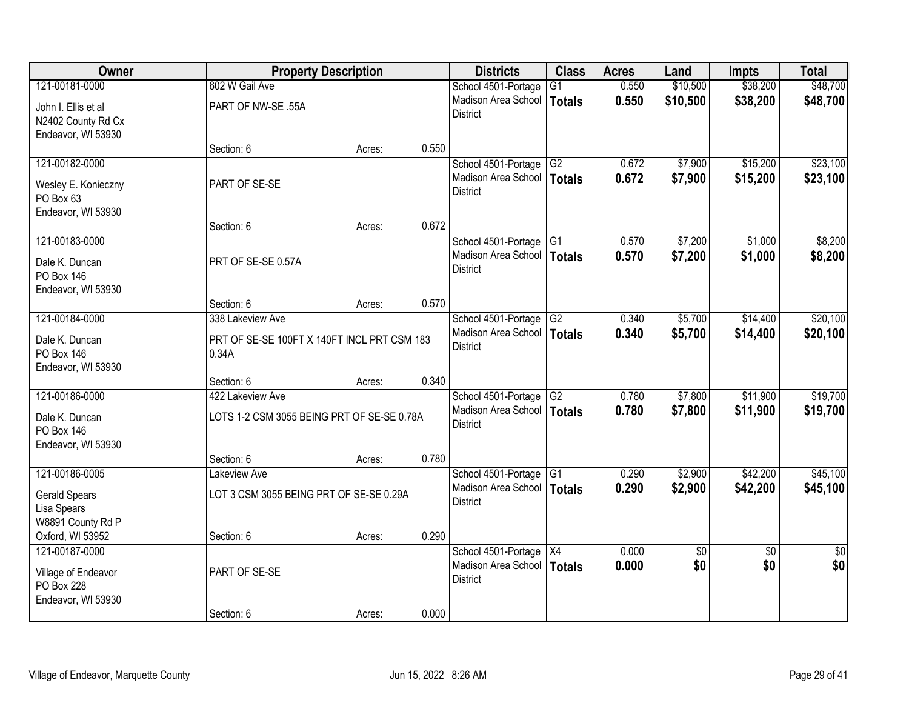| Owner                                                     |                                                      | <b>Property Description</b> |       | <b>Districts</b>                       | <b>Class</b>    | <b>Acres</b> | Land     | <b>Impts</b>    | <b>Total</b>    |
|-----------------------------------------------------------|------------------------------------------------------|-----------------------------|-------|----------------------------------------|-----------------|--------------|----------|-----------------|-----------------|
| 121-00181-0000                                            | 602 W Gail Ave                                       |                             |       | School 4501-Portage                    | $\overline{G1}$ | 0.550        | \$10,500 | \$38,200        | \$48,700        |
| John I. Ellis et al<br>N2402 County Rd Cx                 | PART OF NW-SE .55A                                   |                             |       | Madison Area School<br><b>District</b> | <b>Totals</b>   | 0.550        | \$10,500 | \$38,200        | \$48,700        |
| Endeavor, WI 53930                                        | Section: 6                                           | Acres:                      | 0.550 |                                        |                 |              |          |                 |                 |
| 121-00182-0000                                            |                                                      |                             |       | School 4501-Portage                    | G2              | 0.672        | \$7,900  | \$15,200        | \$23,100        |
| Wesley E. Konieczny<br>PO Box 63<br>Endeavor, WI 53930    | PART OF SE-SE                                        |                             |       | Madison Area School<br><b>District</b> | Totals          | 0.672        | \$7,900  | \$15,200        | \$23,100        |
|                                                           | Section: 6                                           | Acres:                      | 0.672 |                                        |                 |              |          |                 |                 |
| 121-00183-0000                                            |                                                      |                             |       | School 4501-Portage G1                 |                 | 0.570        | \$7,200  | \$1,000         | \$8,200         |
| Dale K. Duncan<br><b>PO Box 146</b><br>Endeavor, WI 53930 | PRT OF SE-SE 0.57A                                   |                             |       | Madison Area School<br><b>District</b> | <b>Totals</b>   | 0.570        | \$7,200  | \$1,000         | \$8,200         |
|                                                           | Section: 6                                           | Acres:                      | 0.570 |                                        |                 |              |          |                 |                 |
| 121-00184-0000                                            | 338 Lakeview Ave                                     |                             |       | School 4501-Portage                    | G2              | 0.340        | \$5,700  | \$14,400        | \$20,100        |
| Dale K. Duncan<br><b>PO Box 146</b><br>Endeavor, WI 53930 | PRT OF SE-SE 100FT X 140FT INCL PRT CSM 183<br>0.34A |                             |       | Madison Area School<br><b>District</b> | <b>Totals</b>   | 0.340        | \$5,700  | \$14,400        | \$20,100        |
|                                                           | Section: 6                                           | Acres:                      | 0.340 |                                        |                 |              |          |                 |                 |
| 121-00186-0000                                            | 422 Lakeview Ave                                     |                             |       | School 4501-Portage                    | G2              | 0.780        | \$7,800  | \$11,900        | \$19,700        |
| Dale K. Duncan<br><b>PO Box 146</b><br>Endeavor, WI 53930 | LOTS 1-2 CSM 3055 BEING PRT OF SE-SE 0.78A           |                             |       | Madison Area School<br><b>District</b> | <b>Totals</b>   | 0.780        | \$7,800  | \$11,900        | \$19,700        |
|                                                           | Section: 6                                           | Acres:                      | 0.780 |                                        |                 |              |          |                 |                 |
| 121-00186-0005                                            | Lakeview Ave                                         |                             |       | School 4501-Portage                    | G1              | 0.290        | \$2,900  | \$42,200        | \$45,100        |
| <b>Gerald Spears</b><br>Lisa Spears<br>W8891 County Rd P  | LOT 3 CSM 3055 BEING PRT OF SE-SE 0.29A              |                             |       | Madison Area School<br><b>District</b> | <b>Totals</b>   | 0.290        | \$2,900  | \$42,200        | \$45,100        |
| Oxford, WI 53952                                          | Section: 6                                           | Acres:                      | 0.290 |                                        |                 |              |          |                 |                 |
| 121-00187-0000                                            |                                                      |                             |       | School 4501-Portage                    | X4              | 0.000        | \$0      | $\overline{50}$ | $\overline{30}$ |
| Village of Endeavor<br>PO Box 228                         | PART OF SE-SE                                        |                             |       | Madison Area School<br><b>District</b> | <b>Totals</b>   | 0.000        | \$0      | \$0             | \$0             |
| Endeavor, WI 53930                                        | Section: 6                                           | Acres:                      | 0.000 |                                        |                 |              |          |                 |                 |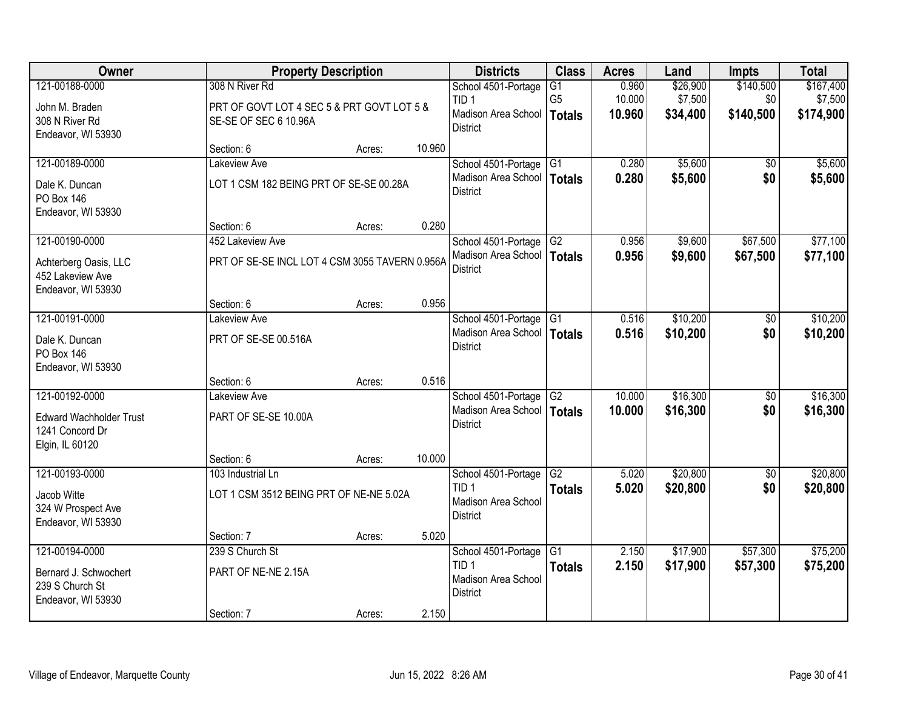| Owner                                                                |                                                                     | <b>Property Description</b> |        | <b>Districts</b>                                           | <b>Class</b>                    | <b>Acres</b>     | Land                | <b>Impts</b>     | <b>Total</b>         |
|----------------------------------------------------------------------|---------------------------------------------------------------------|-----------------------------|--------|------------------------------------------------------------|---------------------------------|------------------|---------------------|------------------|----------------------|
| 121-00188-0000                                                       | 308 N River Rd                                                      |                             |        | School 4501-Portage                                        | $\overline{G1}$                 | 0.960            | \$26,900            | \$140,500        | \$167,400            |
| John M. Braden<br>308 N River Rd<br>Endeavor, WI 53930               | PRT OF GOVT LOT 4 SEC 5 & PRT GOVT LOT 5 &<br>SE-SE OF SEC 6 10.96A |                             |        | TID <sub>1</sub><br>Madison Area School<br><b>District</b> | G <sub>5</sub><br><b>Totals</b> | 10.000<br>10.960 | \$7,500<br>\$34,400 | \$0<br>\$140,500 | \$7,500<br>\$174,900 |
|                                                                      | Section: 6                                                          | Acres:                      | 10.960 |                                                            |                                 |                  |                     |                  |                      |
| 121-00189-0000                                                       | <b>Lakeview Ave</b>                                                 |                             |        | School 4501-Portage                                        | G1                              | 0.280            | \$5,600             | $\overline{50}$  | \$5,600              |
| Dale K. Duncan<br><b>PO Box 146</b><br>Endeavor, WI 53930            | LOT 1 CSM 182 BEING PRT OF SE-SE 00.28A                             |                             |        | Madison Area School<br><b>District</b>                     | <b>Totals</b>                   | 0.280            | \$5,600             | \$0              | \$5,600              |
|                                                                      | Section: 6                                                          | Acres:                      | 0.280  |                                                            |                                 |                  |                     |                  |                      |
| 121-00190-0000                                                       | 452 Lakeview Ave                                                    |                             |        | School 4501-Portage G2                                     |                                 | 0.956            | \$9,600             | \$67,500         | \$77,100             |
| Achterberg Oasis, LLC<br>452 Lakeview Ave<br>Endeavor, WI 53930      | PRT OF SE-SE INCL LOT 4 CSM 3055 TAVERN 0.956A                      |                             |        | Madison Area School<br><b>District</b>                     | <b>Totals</b>                   | 0.956            | \$9,600             | \$67,500         | \$77,100             |
|                                                                      | Section: 6                                                          | Acres:                      | 0.956  |                                                            |                                 |                  |                     |                  |                      |
| 121-00191-0000                                                       | <b>Lakeview Ave</b>                                                 |                             |        | School 4501-Portage                                        | $\overline{G1}$                 | 0.516            | \$10,200            | \$0              | \$10,200             |
| Dale K. Duncan<br><b>PO Box 146</b><br>Endeavor, WI 53930            | PRT OF SE-SE 00.516A                                                |                             |        | Madison Area School<br><b>District</b>                     | <b>Totals</b>                   | 0.516            | \$10,200            | \$0              | \$10,200             |
|                                                                      | Section: 6                                                          | Acres:                      | 0.516  |                                                            |                                 |                  |                     |                  |                      |
| 121-00192-0000                                                       | Lakeview Ave                                                        |                             |        | School 4501-Portage                                        | G2                              | 10.000           | \$16,300            | \$0              | \$16,300             |
| <b>Edward Wachholder Trust</b><br>1241 Concord Dr<br>Elgin, IL 60120 | PART OF SE-SE 10.00A                                                |                             |        | Madison Area School   Totals<br><b>District</b>            |                                 | 10,000           | \$16,300            | \$0              | \$16,300             |
|                                                                      | Section: 6                                                          | Acres:                      | 10.000 |                                                            |                                 |                  |                     |                  |                      |
| 121-00193-0000                                                       | 103 Industrial Ln                                                   |                             |        | School 4501-Portage                                        | G <sub>2</sub>                  | 5.020            | \$20,800            | $\overline{50}$  | \$20,800             |
| Jacob Witte<br>324 W Prospect Ave<br>Endeavor, WI 53930              | LOT 1 CSM 3512 BEING PRT OF NE-NE 5.02A                             |                             |        | TID <sub>1</sub><br>Madison Area School<br><b>District</b> | <b>Totals</b>                   | 5.020            | \$20,800            | \$0              | \$20,800             |
|                                                                      | Section: 7                                                          | Acres:                      | 5.020  |                                                            |                                 |                  |                     |                  |                      |
| 121-00194-0000                                                       | 239 S Church St                                                     |                             |        | School 4501-Portage                                        | G1                              | 2.150            | \$17,900            | \$57,300         | \$75,200             |
| Bernard J. Schwochert<br>239 S Church St<br>Endeavor, WI 53930       | PART OF NE-NE 2.15A                                                 |                             |        | TID <sub>1</sub><br>Madison Area School<br><b>District</b> | <b>Totals</b>                   | 2.150            | \$17,900            | \$57,300         | \$75,200             |
|                                                                      | Section: 7                                                          | Acres:                      | 2.150  |                                                            |                                 |                  |                     |                  |                      |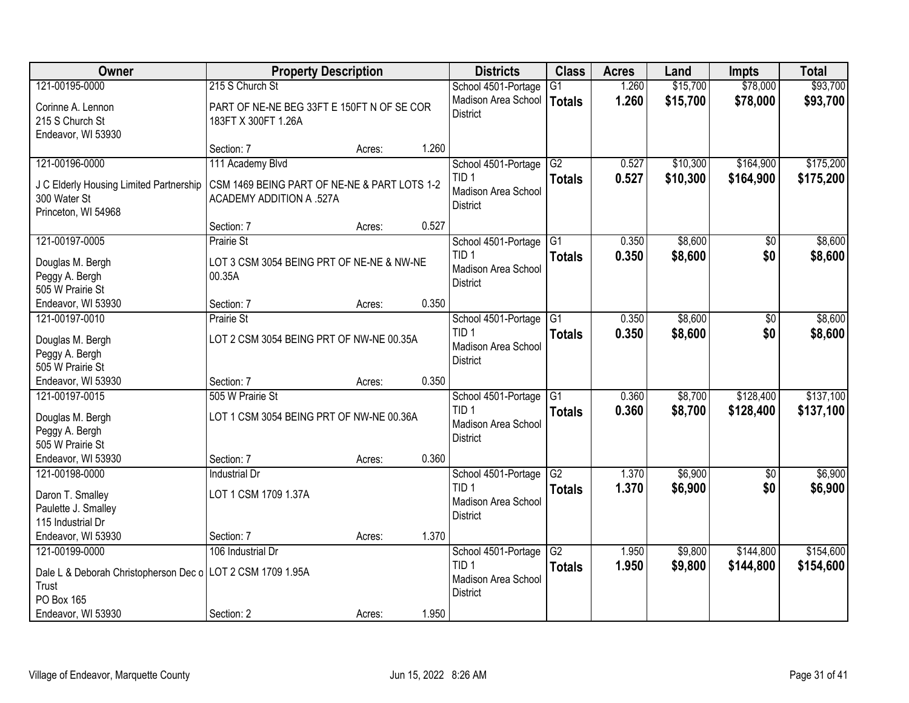| Owner                                                               | <b>Property Description</b>                  |        |       | <b>Districts</b>       | <b>Class</b>  | <b>Acres</b> | Land     | <b>Impts</b> | <b>Total</b> |
|---------------------------------------------------------------------|----------------------------------------------|--------|-------|------------------------|---------------|--------------|----------|--------------|--------------|
| 121-00195-0000                                                      | 215 S Church St                              |        |       | School 4501-Portage    | G1            | 1.260        | \$15,700 | \$78,000     | \$93,700     |
| Corinne A. Lennon                                                   | PART OF NE-NE BEG 33FT E 150FT N OF SE COR   |        |       | Madison Area School    | <b>Totals</b> | 1.260        | \$15,700 | \$78,000     | \$93,700     |
| 215 S Church St                                                     | 183FT X 300FT 1.26A                          |        |       | <b>District</b>        |               |              |          |              |              |
| Endeavor, WI 53930                                                  |                                              |        |       |                        |               |              |          |              |              |
|                                                                     | Section: 7                                   | Acres: | 1.260 |                        |               |              |          |              |              |
| 121-00196-0000                                                      | 111 Academy Blvd                             |        |       | School 4501-Portage    | G2            | 0.527        | \$10,300 | \$164,900    | \$175,200    |
| J C Elderly Housing Limited Partnership                             | CSM 1469 BEING PART OF NE-NE & PART LOTS 1-2 |        |       | TID <sub>1</sub>       | <b>Totals</b> | 0.527        | \$10,300 | \$164,900    | \$175,200    |
| 300 Water St                                                        | <b>ACADEMY ADDITION A .527A</b>              |        |       | Madison Area School    |               |              |          |              |              |
| Princeton, WI 54968                                                 |                                              |        |       | <b>District</b>        |               |              |          |              |              |
|                                                                     | Section: 7                                   | Acres: | 0.527 |                        |               |              |          |              |              |
| 121-00197-0005                                                      | <b>Prairie St</b>                            |        |       | School 4501-Portage G1 |               | 0.350        | \$8,600  | \$0          | \$8,600      |
| Douglas M. Bergh                                                    | LOT 3 CSM 3054 BEING PRT OF NE-NE & NW-NE    |        |       | TID <sub>1</sub>       | <b>Totals</b> | 0.350        | \$8,600  | \$0          | \$8,600      |
| Peggy A. Bergh                                                      | 00.35A                                       |        |       | Madison Area School    |               |              |          |              |              |
| 505 W Prairie St                                                    |                                              |        |       | <b>District</b>        |               |              |          |              |              |
| Endeavor, WI 53930                                                  | Section: 7                                   | Acres: | 0.350 |                        |               |              |          |              |              |
| 121-00197-0010                                                      | <b>Prairie St</b>                            |        |       | School 4501-Portage    | G1            | 0.350        | \$8,600  | \$0          | \$8,600      |
| Douglas M. Bergh                                                    | LOT 2 CSM 3054 BEING PRT OF NW-NE 00.35A     |        |       | TID <sub>1</sub>       | <b>Totals</b> | 0.350        | \$8,600  | \$0          | \$8,600      |
| Peggy A. Bergh                                                      |                                              |        |       | Madison Area School    |               |              |          |              |              |
| 505 W Prairie St                                                    |                                              |        |       | <b>District</b>        |               |              |          |              |              |
| Endeavor, WI 53930                                                  | Section: 7                                   | Acres: | 0.350 |                        |               |              |          |              |              |
| 121-00197-0015                                                      | 505 W Prairie St                             |        |       | School 4501-Portage    | G1            | 0.360        | \$8,700  | \$128,400    | \$137,100    |
| Douglas M. Bergh                                                    | LOT 1 CSM 3054 BEING PRT OF NW-NE 00.36A     |        |       | TID <sub>1</sub>       | <b>Totals</b> | 0.360        | \$8,700  | \$128,400    | \$137,100    |
| Peggy A. Bergh                                                      |                                              |        |       | Madison Area School    |               |              |          |              |              |
| 505 W Prairie St                                                    |                                              |        |       | <b>District</b>        |               |              |          |              |              |
| Endeavor, WI 53930                                                  | Section: 7                                   | Acres: | 0.360 |                        |               |              |          |              |              |
| 121-00198-0000                                                      | <b>Industrial Dr</b>                         |        |       | School 4501-Portage    | G2            | 1.370        | \$6,900  | \$0          | \$6,900      |
| Daron T. Smalley                                                    | LOT 1 CSM 1709 1.37A                         |        |       | TID <sub>1</sub>       | <b>Totals</b> | 1.370        | \$6,900  | \$0          | \$6,900      |
| Paulette J. Smalley                                                 |                                              |        |       | Madison Area School    |               |              |          |              |              |
| 115 Industrial Dr                                                   |                                              |        |       | <b>District</b>        |               |              |          |              |              |
| Endeavor, WI 53930                                                  | Section: 7                                   | Acres: | 1.370 |                        |               |              |          |              |              |
| 121-00199-0000                                                      | 106 Industrial Dr                            |        |       | School 4501-Portage    | G2            | 1.950        | \$9,800  | \$144,800    | \$154,600    |
|                                                                     |                                              |        |       | TID <sub>1</sub>       | <b>Totals</b> | 1.950        | \$9,800  | \$144,800    | \$154,600    |
| Dale L & Deborah Christopherson Dec o LOT 2 CSM 1709 1.95A<br>Trust |                                              |        |       | Madison Area School    |               |              |          |              |              |
| <b>PO Box 165</b>                                                   |                                              |        |       | <b>District</b>        |               |              |          |              |              |
| Endeavor, WI 53930                                                  | Section: 2                                   | Acres: | 1.950 |                        |               |              |          |              |              |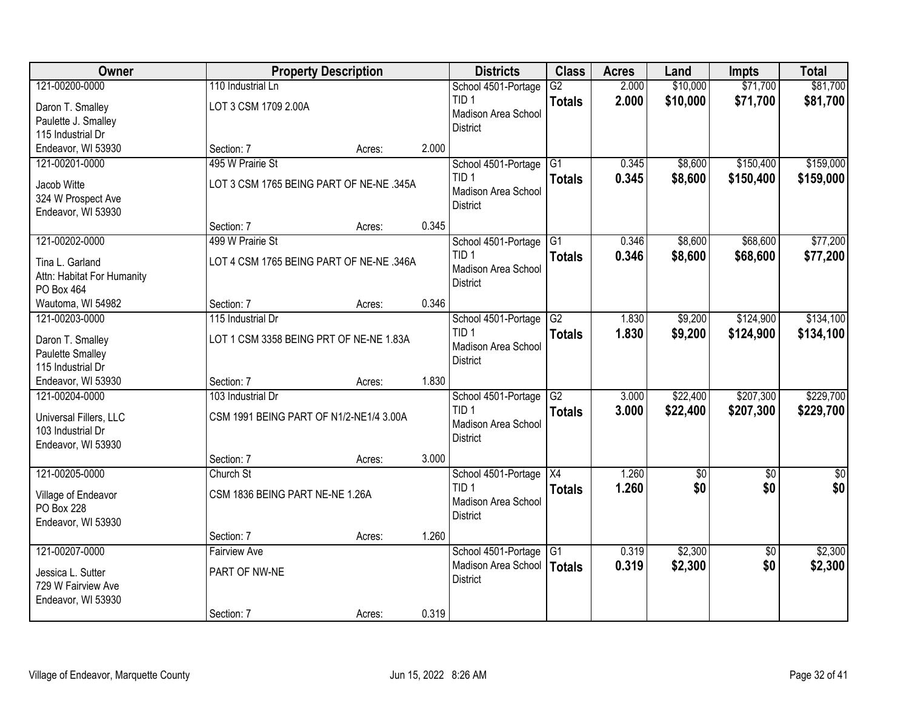| Owner                      |                                          | <b>Property Description</b> |       | <b>Districts</b>       | <b>Class</b>    | <b>Acres</b> | Land     | <b>Impts</b>    | <b>Total</b> |
|----------------------------|------------------------------------------|-----------------------------|-------|------------------------|-----------------|--------------|----------|-----------------|--------------|
| 121-00200-0000             | 110 Industrial Ln                        |                             |       | School 4501-Portage    | $\overline{G2}$ | 2.000        | \$10,000 | \$71,700        | \$81,700     |
| Daron T. Smalley           | LOT 3 CSM 1709 2.00A                     |                             |       | TID <sub>1</sub>       | <b>Totals</b>   | 2.000        | \$10,000 | \$71,700        | \$81,700     |
| Paulette J. Smalley        |                                          |                             |       | Madison Area School    |                 |              |          |                 |              |
| 115 Industrial Dr          |                                          |                             |       | <b>District</b>        |                 |              |          |                 |              |
| Endeavor, WI 53930         | Section: 7                               | Acres:                      | 2.000 |                        |                 |              |          |                 |              |
| 121-00201-0000             | 495 W Prairie St                         |                             |       | School 4501-Portage    | G1              | 0.345        | \$8,600  | \$150,400       | \$159,000    |
| Jacob Witte                | LOT 3 CSM 1765 BEING PART OF NE-NE .345A |                             |       | TID <sub>1</sub>       | <b>Totals</b>   | 0.345        | \$8,600  | \$150,400       | \$159,000    |
| 324 W Prospect Ave         |                                          |                             |       | Madison Area School    |                 |              |          |                 |              |
| Endeavor, WI 53930         |                                          |                             |       | <b>District</b>        |                 |              |          |                 |              |
|                            | Section: 7                               | Acres:                      | 0.345 |                        |                 |              |          |                 |              |
| 121-00202-0000             | 499 W Prairie St                         |                             |       | School 4501-Portage G1 |                 | 0.346        | \$8,600  | \$68,600        | \$77,200     |
| Tina L. Garland            | LOT 4 CSM 1765 BEING PART OF NE-NE .346A |                             |       | TID <sub>1</sub>       | <b>Totals</b>   | 0.346        | \$8,600  | \$68,600        | \$77,200     |
| Attn: Habitat For Humanity |                                          |                             |       | Madison Area School    |                 |              |          |                 |              |
| PO Box 464                 |                                          |                             |       | <b>District</b>        |                 |              |          |                 |              |
| Wautoma, WI 54982          | Section: 7                               | Acres:                      | 0.346 |                        |                 |              |          |                 |              |
| 121-00203-0000             | 115 Industrial Dr                        |                             |       | School 4501-Portage    | $\overline{G2}$ | 1.830        | \$9,200  | \$124,900       | \$134,100    |
| Daron T. Smalley           | LOT 1 CSM 3358 BEING PRT OF NE-NE 1.83A  |                             |       | TID <sub>1</sub>       | <b>Totals</b>   | 1.830        | \$9,200  | \$124,900       | \$134,100    |
| Paulette Smalley           |                                          |                             |       | Madison Area School    |                 |              |          |                 |              |
| 115 Industrial Dr          |                                          |                             |       | <b>District</b>        |                 |              |          |                 |              |
| Endeavor, WI 53930         | Section: 7                               | Acres:                      | 1.830 |                        |                 |              |          |                 |              |
| 121-00204-0000             | 103 Industrial Dr                        |                             |       | School 4501-Portage    | $\overline{G2}$ | 3.000        | \$22,400 | \$207,300       | \$229,700    |
| Universal Fillers, LLC     | CSM 1991 BEING PART OF N1/2-NE1/4 3.00A  |                             |       | TID <sub>1</sub>       | <b>Totals</b>   | 3.000        | \$22,400 | \$207,300       | \$229,700    |
| 103 Industrial Dr          |                                          |                             |       | Madison Area School    |                 |              |          |                 |              |
| Endeavor, WI 53930         |                                          |                             |       | <b>District</b>        |                 |              |          |                 |              |
|                            | Section: 7                               | Acres:                      | 3.000 |                        |                 |              |          |                 |              |
| 121-00205-0000             | Church St                                |                             |       | School 4501-Portage X4 |                 | 1.260        | \$0      | \$0             | \$0          |
| Village of Endeavor        | CSM 1836 BEING PART NE-NE 1.26A          |                             |       | TID <sub>1</sub>       | <b>Totals</b>   | 1.260        | \$0      | \$0             | \$0          |
| PO Box 228                 |                                          |                             |       | Madison Area School    |                 |              |          |                 |              |
| Endeavor, WI 53930         |                                          |                             |       | <b>District</b>        |                 |              |          |                 |              |
|                            | Section: 7                               | Acres:                      | 1.260 |                        |                 |              |          |                 |              |
| 121-00207-0000             | <b>Fairview Ave</b>                      |                             |       | School 4501-Portage    | $\overline{G1}$ | 0.319        | \$2,300  | $\overline{50}$ | \$2,300      |
| Jessica L. Sutter          | PART OF NW-NE                            |                             |       | Madison Area School    | Totals          | 0.319        | \$2,300  | \$0             | \$2,300      |
| 729 W Fairview Ave         |                                          |                             |       | <b>District</b>        |                 |              |          |                 |              |
| Endeavor, WI 53930         |                                          |                             |       |                        |                 |              |          |                 |              |
|                            | Section: 7                               | Acres:                      | 0.319 |                        |                 |              |          |                 |              |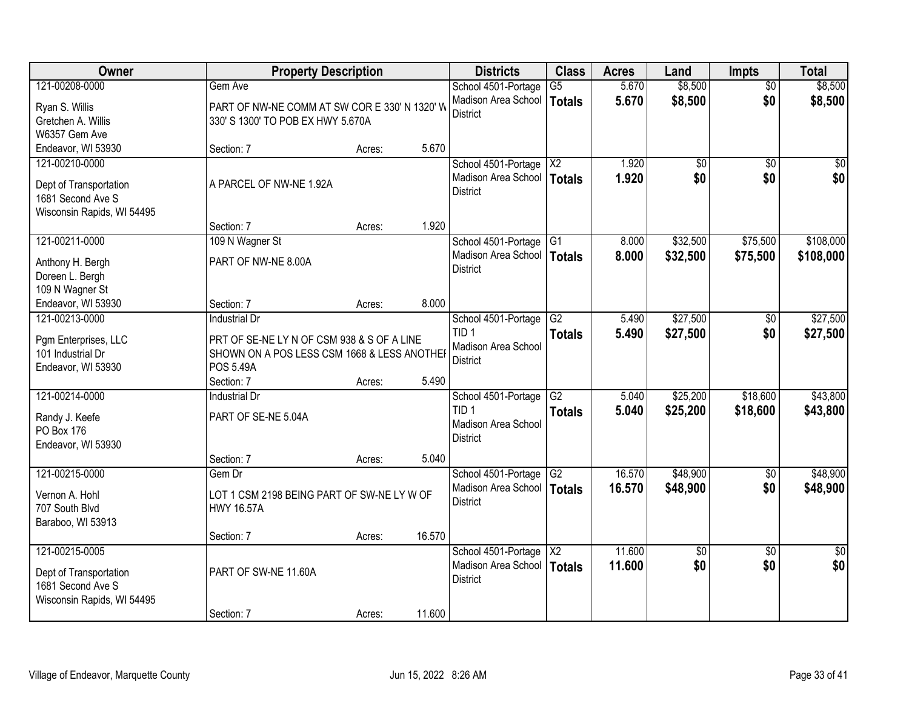| Owner                                       | <b>Property Description</b>                   |        |        | <b>Districts</b>           | <b>Class</b>    | <b>Acres</b> | Land     | <b>Impts</b>    | <b>Total</b>    |
|---------------------------------------------|-----------------------------------------------|--------|--------|----------------------------|-----------------|--------------|----------|-----------------|-----------------|
| 121-00208-0000                              | Gem Ave                                       |        |        | School 4501-Portage        | $\overline{G5}$ | 5.670        | \$8,500  | $\overline{50}$ | \$8,500         |
| Ryan S. Willis                              | PART OF NW-NE COMM AT SW COR E 330' N 1320' W |        |        | Madison Area School        | <b>Totals</b>   | 5.670        | \$8,500  | \$0             | \$8,500         |
| Gretchen A. Willis                          | 330' S 1300' TO POB EX HWY 5.670A             |        |        | <b>District</b>            |                 |              |          |                 |                 |
| W6357 Gem Ave                               |                                               |        |        |                            |                 |              |          |                 |                 |
| Endeavor, WI 53930                          | Section: 7                                    | Acres: | 5.670  |                            |                 |              |          |                 |                 |
| 121-00210-0000                              |                                               |        |        | School 4501-Portage        | $\overline{X2}$ | 1.920        | \$0      | $\overline{50}$ | \$0             |
|                                             |                                               |        |        | Madison Area School        | <b>Totals</b>   | 1.920        | \$0      | \$0             | \$0             |
| Dept of Transportation<br>1681 Second Ave S | A PARCEL OF NW-NE 1.92A                       |        |        | <b>District</b>            |                 |              |          |                 |                 |
| Wisconsin Rapids, WI 54495                  |                                               |        |        |                            |                 |              |          |                 |                 |
|                                             | Section: 7                                    | Acres: | 1.920  |                            |                 |              |          |                 |                 |
| 121-00211-0000                              | 109 N Wagner St                               |        |        | School 4501-Portage G1     |                 | 8.000        | \$32,500 | \$75,500        | \$108,000       |
|                                             |                                               |        |        | Madison Area School        | Totals          | 8.000        | \$32,500 | \$75,500        | \$108,000       |
| Anthony H. Bergh                            | PART OF NW-NE 8.00A                           |        |        | <b>District</b>            |                 |              |          |                 |                 |
| Doreen L. Bergh                             |                                               |        |        |                            |                 |              |          |                 |                 |
| 109 N Wagner St                             |                                               |        |        |                            |                 |              |          |                 |                 |
| Endeavor, WI 53930                          | Section: 7                                    | Acres: | 8.000  |                            |                 |              |          |                 |                 |
| 121-00213-0000                              | <b>Industrial Dr</b>                          |        |        | School 4501-Portage        | G2              | 5.490        | \$27,500 | \$0             | \$27,500        |
| Pgm Enterprises, LLC                        | PRT OF SE-NE LY N OF CSM 938 & S OF A LINE    |        |        | TID <sub>1</sub>           | <b>Totals</b>   | 5.490        | \$27,500 | \$0             | \$27,500        |
| 101 Industrial Dr                           | SHOWN ON A POS LESS CSM 1668 & LESS ANOTHER   |        |        | <b>Madison Area School</b> |                 |              |          |                 |                 |
| Endeavor, WI 53930                          | <b>POS 5.49A</b>                              |        |        | District                   |                 |              |          |                 |                 |
|                                             | Section: 7                                    | Acres: | 5.490  |                            |                 |              |          |                 |                 |
| 121-00214-0000                              | <b>Industrial Dr</b>                          |        |        | School 4501-Portage        | $\overline{G2}$ | 5.040        | \$25,200 | \$18,600        | \$43,800        |
| Randy J. Keefe                              | PART OF SE-NE 5.04A                           |        |        | TID <sub>1</sub>           | <b>Totals</b>   | 5.040        | \$25,200 | \$18,600        | \$43,800        |
| <b>PO Box 176</b>                           |                                               |        |        | Madison Area School        |                 |              |          |                 |                 |
| Endeavor, WI 53930                          |                                               |        |        | <b>District</b>            |                 |              |          |                 |                 |
|                                             | Section: 7                                    | Acres: | 5.040  |                            |                 |              |          |                 |                 |
| 121-00215-0000                              | Gem Dr                                        |        |        | School 4501-Portage        | G <sub>2</sub>  | 16.570       | \$48,900 | $\overline{60}$ | \$48,900        |
|                                             |                                               |        |        | Madison Area School        | <b>Totals</b>   | 16.570       | \$48,900 | \$0             | \$48,900        |
| Vernon A. Hohl                              | LOT 1 CSM 2198 BEING PART OF SW-NE LY W OF    |        |        | <b>District</b>            |                 |              |          |                 |                 |
| 707 South Blvd                              | <b>HWY 16.57A</b>                             |        |        |                            |                 |              |          |                 |                 |
| Baraboo, WI 53913                           | Section: 7                                    | Acres: | 16.570 |                            |                 |              |          |                 |                 |
| 121-00215-0005                              |                                               |        |        | School 4501-Portage        | X2              | 11.600       | \$0      | $\overline{30}$ | $\overline{50}$ |
|                                             |                                               |        |        | Madison Area School        | <b>Totals</b>   | 11.600       | \$0      | \$0             | \$0             |
| Dept of Transportation                      | PART OF SW-NE 11.60A                          |        |        | <b>District</b>            |                 |              |          |                 |                 |
| 1681 Second Ave S                           |                                               |        |        |                            |                 |              |          |                 |                 |
| Wisconsin Rapids, WI 54495                  |                                               |        |        |                            |                 |              |          |                 |                 |
|                                             | Section: 7                                    | Acres: | 11.600 |                            |                 |              |          |                 |                 |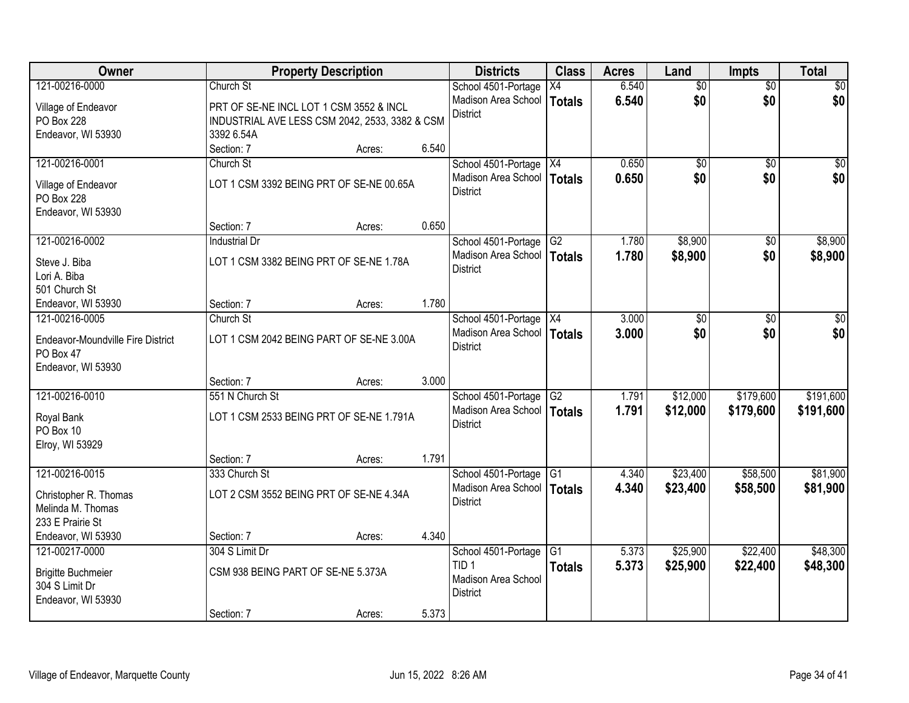| Owner                                       |                                                | <b>Property Description</b> |       | <b>Districts</b>             | <b>Class</b>    | <b>Acres</b> | Land            | <b>Impts</b>    | <b>Total</b>    |
|---------------------------------------------|------------------------------------------------|-----------------------------|-------|------------------------------|-----------------|--------------|-----------------|-----------------|-----------------|
| 121-00216-0000                              | Church St                                      |                             |       | School 4501-Portage          | X4              | 6.540        | $\overline{50}$ | $\overline{50}$ | $\overline{30}$ |
| Village of Endeavor                         | PRT OF SE-NE INCL LOT 1 CSM 3552 & INCL        |                             |       | Madison Area School          | <b>Totals</b>   | 6.540        | \$0             | \$0             | \$0             |
| PO Box 228                                  | INDUSTRIAL AVE LESS CSM 2042, 2533, 3382 & CSM |                             |       | <b>District</b>              |                 |              |                 |                 |                 |
| Endeavor, WI 53930                          | 3392 6.54A                                     |                             |       |                              |                 |              |                 |                 |                 |
|                                             | Section: 7                                     | Acres:                      | 6.540 |                              |                 |              |                 |                 |                 |
| 121-00216-0001                              | Church St                                      |                             |       | School 4501-Portage   X4     |                 | 0.650        | \$0             | $\overline{50}$ | $\overline{50}$ |
| Village of Endeavor                         | LOT 1 CSM 3392 BEING PRT OF SE-NE 00.65A       |                             |       | Madison Area School          | Totals          | 0.650        | \$0             | \$0             | \$0             |
| <b>PO Box 228</b>                           |                                                |                             |       | <b>District</b>              |                 |              |                 |                 |                 |
| Endeavor, WI 53930                          |                                                |                             |       |                              |                 |              |                 |                 |                 |
|                                             | Section: 7                                     | Acres:                      | 0.650 |                              |                 |              |                 |                 |                 |
| 121-00216-0002                              | <b>Industrial Dr</b>                           |                             |       | School 4501-Portage          | G <sub>2</sub>  | 1.780        | \$8,900         | \$0             | \$8,900         |
| Steve J. Biba                               | LOT 1 CSM 3382 BEING PRT OF SE-NE 1.78A        |                             |       | Madison Area School          | Totals          | 1.780        | \$8,900         | \$0             | \$8,900         |
| Lori A. Biba                                |                                                |                             |       | <b>District</b>              |                 |              |                 |                 |                 |
| 501 Church St                               |                                                |                             |       |                              |                 |              |                 |                 |                 |
| Endeavor, WI 53930                          | Section: 7                                     | Acres:                      | 1.780 |                              |                 |              |                 |                 |                 |
| 121-00216-0005                              | Church St                                      |                             |       | School 4501-Portage X4       |                 | 3.000        | \$0             | \$0             | \$0             |
| Endeavor-Moundville Fire District           | LOT 1 CSM 2042 BEING PART OF SE-NE 3.00A       |                             |       | Madison Area School          | Totals          | 3.000        | \$0             | \$0             | \$0             |
| PO Box 47                                   |                                                |                             |       | <b>District</b>              |                 |              |                 |                 |                 |
| Endeavor, WI 53930                          |                                                |                             |       |                              |                 |              |                 |                 |                 |
|                                             | Section: 7                                     | Acres:                      | 3.000 |                              |                 |              |                 |                 |                 |
| 121-00216-0010                              | 551 N Church St                                |                             |       | School 4501-Portage          | $\overline{G2}$ | 1.791        | \$12,000        | \$179,600       | \$191,600       |
| Royal Bank                                  | LOT 1 CSM 2533 BEING PRT OF SE-NE 1.791A       |                             |       | Madison Area School   Totals |                 | 1.791        | \$12,000        | \$179,600       | \$191,600       |
| PO Box 10                                   |                                                |                             |       | <b>District</b>              |                 |              |                 |                 |                 |
| Elroy, WI 53929                             |                                                |                             |       |                              |                 |              |                 |                 |                 |
|                                             | Section: 7                                     | Acres:                      | 1.791 |                              |                 |              |                 |                 |                 |
| 121-00216-0015                              | 333 Church St                                  |                             |       | School 4501-Portage          | $\overline{G1}$ | 4.340        | \$23,400        | \$58,500        | \$81,900        |
| Christopher R. Thomas                       | LOT 2 CSM 3552 BEING PRT OF SE-NE 4.34A        |                             |       | Madison Area School          | Totals          | 4.340        | \$23,400        | \$58,500        | \$81,900        |
| Melinda M. Thomas                           |                                                |                             |       | <b>District</b>              |                 |              |                 |                 |                 |
| 233 E Prairie St                            |                                                |                             |       |                              |                 |              |                 |                 |                 |
| Endeavor, WI 53930                          | Section: 7                                     | Acres:                      | 4.340 |                              |                 |              |                 |                 |                 |
| 121-00217-0000                              | 304 S Limit Dr                                 |                             |       | School 4501-Portage          | G1              | 5.373        | \$25,900        | \$22,400        | \$48,300        |
|                                             | CSM 938 BEING PART OF SE-NE 5.373A             |                             |       | TID <sub>1</sub>             | <b>Totals</b>   | 5.373        | \$25,900        | \$22,400        | \$48,300        |
| <b>Brigitte Buchmeier</b><br>304 S Limit Dr |                                                |                             |       | Madison Area School          |                 |              |                 |                 |                 |
| Endeavor, WI 53930                          |                                                |                             |       | <b>District</b>              |                 |              |                 |                 |                 |
|                                             | Section: 7                                     | Acres:                      | 5.373 |                              |                 |              |                 |                 |                 |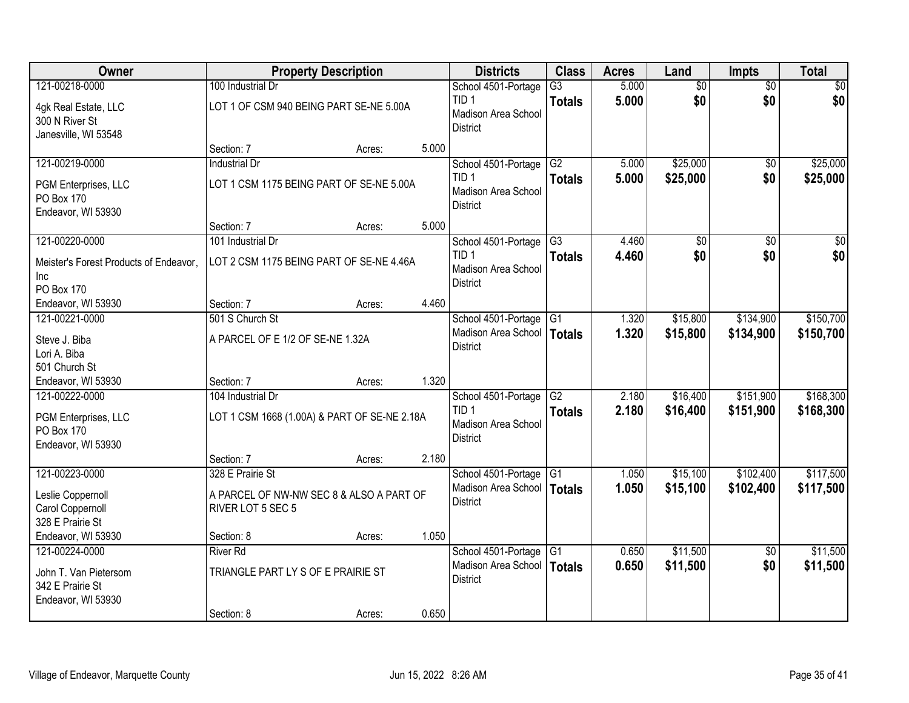| Owner                                  | <b>Property Description</b>                  |        |       | <b>Districts</b>                        | <b>Class</b>    | <b>Acres</b> | Land            | <b>Impts</b>    | <b>Total</b>    |
|----------------------------------------|----------------------------------------------|--------|-------|-----------------------------------------|-----------------|--------------|-----------------|-----------------|-----------------|
| 121-00218-0000                         | 100 Industrial Dr                            |        |       | School 4501-Portage                     | $\overline{G3}$ | 5.000        | $\overline{50}$ | $\overline{50}$ | $\overline{30}$ |
| 4gk Real Estate, LLC<br>300 N River St | LOT 1 OF CSM 940 BEING PART SE-NE 5.00A      |        |       | TID <sub>1</sub><br>Madison Area School | <b>Totals</b>   | 5.000        | \$0             | \$0             | \$0             |
| Janesville, WI 53548                   |                                              |        |       | <b>District</b>                         |                 |              |                 |                 |                 |
|                                        | Section: 7                                   | Acres: | 5.000 |                                         |                 |              |                 |                 |                 |
| 121-00219-0000                         | <b>Industrial Dr</b>                         |        |       | School 4501-Portage                     | G2              | 5.000        | \$25,000        | $\overline{50}$ | \$25,000        |
| PGM Enterprises, LLC                   | LOT 1 CSM 1175 BEING PART OF SE-NE 5.00A     |        |       | TID <sub>1</sub>                        | <b>Totals</b>   | 5.000        | \$25,000        | \$0             | \$25,000        |
| <b>PO Box 170</b>                      |                                              |        |       | Madison Area School                     |                 |              |                 |                 |                 |
| Endeavor, WI 53930                     |                                              |        |       | <b>District</b>                         |                 |              |                 |                 |                 |
|                                        | Section: 7                                   | Acres: | 5.000 |                                         |                 |              |                 |                 |                 |
| 121-00220-0000                         | 101 Industrial Dr                            |        |       | School 4501-Portage                     | $\overline{G}3$ | 4.460        | \$0             | \$0             | $\overline{30}$ |
| Meister's Forest Products of Endeavor, | LOT 2 CSM 1175 BEING PART OF SE-NE 4.46A     |        |       | TID <sub>1</sub>                        | <b>Totals</b>   | 4.460        | \$0             | \$0             | \$0             |
| Inc                                    |                                              |        |       | Madison Area School                     |                 |              |                 |                 |                 |
| PO Box 170                             |                                              |        |       | <b>District</b>                         |                 |              |                 |                 |                 |
| Endeavor, WI 53930                     | Section: 7                                   | Acres: | 4.460 |                                         |                 |              |                 |                 |                 |
| 121-00221-0000                         | 501 S Church St                              |        |       | School 4501-Portage                     | G1              | 1.320        | \$15,800        | \$134,900       | \$150,700       |
| Steve J. Biba                          | A PARCEL OF E 1/2 OF SE-NE 1.32A             |        |       | Madison Area School                     | Totals          | 1.320        | \$15,800        | \$134,900       | \$150,700       |
| Lori A. Biba                           |                                              |        |       | <b>District</b>                         |                 |              |                 |                 |                 |
| 501 Church St                          |                                              |        |       |                                         |                 |              |                 |                 |                 |
| Endeavor, WI 53930                     | Section: 7                                   | Acres: | 1.320 |                                         |                 |              |                 |                 |                 |
| 121-00222-0000                         | 104 Industrial Dr                            |        |       | School 4501-Portage                     | $\overline{G2}$ | 2.180        | \$16,400        | \$151,900       | \$168,300       |
| PGM Enterprises, LLC                   | LOT 1 CSM 1668 (1.00A) & PART OF SE-NE 2.18A |        |       | TID <sub>1</sub>                        | <b>Totals</b>   | 2.180        | \$16,400        | \$151,900       | \$168,300       |
| <b>PO Box 170</b>                      |                                              |        |       | Madison Area School                     |                 |              |                 |                 |                 |
| Endeavor, WI 53930                     |                                              |        |       | <b>District</b>                         |                 |              |                 |                 |                 |
|                                        | Section: 7                                   | Acres: | 2.180 |                                         |                 |              |                 |                 |                 |
| 121-00223-0000                         | 328 E Prairie St                             |        |       | School 4501-Portage                     | G1              | 1.050        | \$15,100        | \$102,400       | \$117,500       |
| Leslie Coppernoll                      | A PARCEL OF NW-NW SEC 8 & ALSO A PART OF     |        |       | Madison Area School   Totals            |                 | 1.050        | \$15,100        | \$102,400       | \$117,500       |
| Carol Coppernoll                       | RIVER LOT 5 SEC 5                            |        |       | <b>District</b>                         |                 |              |                 |                 |                 |
| 328 E Prairie St                       |                                              |        |       |                                         |                 |              |                 |                 |                 |
| Endeavor, WI 53930                     | Section: 8                                   | Acres: | 1.050 |                                         |                 |              |                 |                 |                 |
| 121-00224-0000                         | <b>River Rd</b>                              |        |       | School 4501-Portage                     | G1              | 0.650        | \$11,500        | $\overline{50}$ | \$11,500        |
| John T. Van Pietersom                  | TRIANGLE PART LY S OF E PRAIRIE ST           |        |       | Madison Area School                     | Totals          | 0.650        | \$11,500        | \$0             | \$11,500        |
| 342 E Prairie St                       |                                              |        |       | <b>District</b>                         |                 |              |                 |                 |                 |
| Endeavor, WI 53930                     |                                              |        |       |                                         |                 |              |                 |                 |                 |
|                                        | Section: 8                                   | Acres: | 0.650 |                                         |                 |              |                 |                 |                 |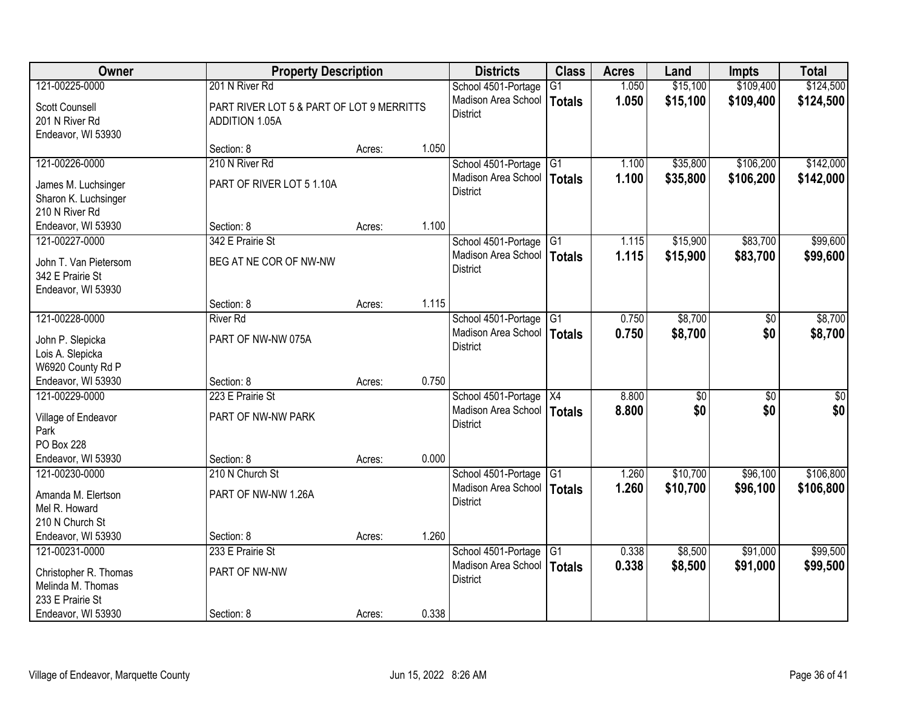| Owner                                                           | <b>Property Description</b>                                        |        |       | <b>Districts</b>                                | <b>Class</b>    | <b>Acres</b> | Land            | <b>Impts</b>    | <b>Total</b>    |
|-----------------------------------------------------------------|--------------------------------------------------------------------|--------|-------|-------------------------------------------------|-----------------|--------------|-----------------|-----------------|-----------------|
| 121-00225-0000                                                  | 201 N River Rd                                                     |        |       | School 4501-Portage                             | G1              | 1.050        | \$15,100        | \$109,400       | \$124,500       |
| <b>Scott Counsell</b><br>201 N River Rd<br>Endeavor, WI 53930   | PART RIVER LOT 5 & PART OF LOT 9 MERRITTS<br><b>ADDITION 1.05A</b> |        |       | Madison Area School<br><b>District</b>          | <b>Totals</b>   | 1.050        | \$15,100        | \$109,400       | \$124,500       |
|                                                                 | Section: 8                                                         | Acres: | 1.050 |                                                 |                 |              |                 |                 |                 |
| 121-00226-0000                                                  | 210 N River Rd                                                     |        |       | School 4501-Portage                             | G1              | 1.100        | \$35,800        | \$106,200       | \$142,000       |
| James M. Luchsinger<br>Sharon K. Luchsinger<br>210 N River Rd   | PART OF RIVER LOT 5 1.10A                                          |        |       | Madison Area School<br><b>District</b>          | <b>Totals</b>   | 1.100        | \$35,800        | \$106,200       | \$142,000       |
| Endeavor, WI 53930                                              | Section: 8                                                         | Acres: | 1.100 |                                                 |                 |              |                 |                 |                 |
| 121-00227-0000                                                  | 342 E Prairie St                                                   |        |       | School 4501-Portage G1                          |                 | 1.115        | \$15,900        | \$83,700        | \$99,600        |
| John T. Van Pietersom<br>342 E Prairie St<br>Endeavor, WI 53930 | BEG AT NE COR OF NW-NW                                             |        |       | Madison Area School<br><b>District</b>          | <b>Totals</b>   | 1.115        | \$15,900        | \$83,700        | \$99,600        |
|                                                                 | Section: 8                                                         | Acres: | 1.115 |                                                 |                 |              |                 |                 |                 |
| 121-00228-0000                                                  | <b>River Rd</b>                                                    |        |       | School 4501-Portage                             | $\overline{G1}$ | 0.750        | \$8,700         | \$0             | \$8,700         |
| John P. Slepicka<br>Lois A. Slepicka<br>W6920 County Rd P       | PART OF NW-NW 075A                                                 |        |       | Madison Area School<br><b>District</b>          | <b>Totals</b>   | 0.750        | \$8,700         | \$0             | \$8,700         |
| Endeavor, WI 53930                                              | Section: 8                                                         | Acres: | 0.750 |                                                 |                 |              |                 |                 |                 |
| 121-00229-0000                                                  | 223 E Prairie St                                                   |        |       | School 4501-Portage   X4                        |                 | 8.800        | $\overline{50}$ | $\overline{50}$ | $\overline{50}$ |
| Village of Endeavor<br>Park<br>PO Box 228                       | PART OF NW-NW PARK                                                 |        |       | Madison Area School   Totals<br><b>District</b> |                 | 8.800        | \$0             | \$0             | \$0             |
| Endeavor, WI 53930                                              | Section: 8                                                         | Acres: | 0.000 |                                                 |                 |              |                 |                 |                 |
| 121-00230-0000                                                  | 210 N Church St                                                    |        |       | School 4501-Portage                             | $\overline{G1}$ | 1.260        | \$10,700        | \$96,100        | \$106,800       |
| Amanda M. Elertson<br>Mel R. Howard<br>210 N Church St          | PART OF NW-NW 1.26A                                                |        |       | Madison Area School<br><b>District</b>          | <b>Totals</b>   | 1.260        | \$10,700        | \$96,100        | \$106,800       |
| Endeavor, WI 53930                                              | Section: 8                                                         | Acres: | 1.260 |                                                 |                 |              |                 |                 |                 |
| 121-00231-0000                                                  | 233 E Prairie St                                                   |        |       | School 4501-Portage                             | $\overline{G1}$ | 0.338        | \$8,500         | \$91,000        | \$99,500        |
| Christopher R. Thomas<br>Melinda M. Thomas<br>233 E Prairie St  | PART OF NW-NW                                                      |        |       | Madison Area School<br><b>District</b>          | <b>Totals</b>   | 0.338        | \$8,500         | \$91,000        | \$99,500        |
| Endeavor, WI 53930                                              | Section: 8                                                         | Acres: | 0.338 |                                                 |                 |              |                 |                 |                 |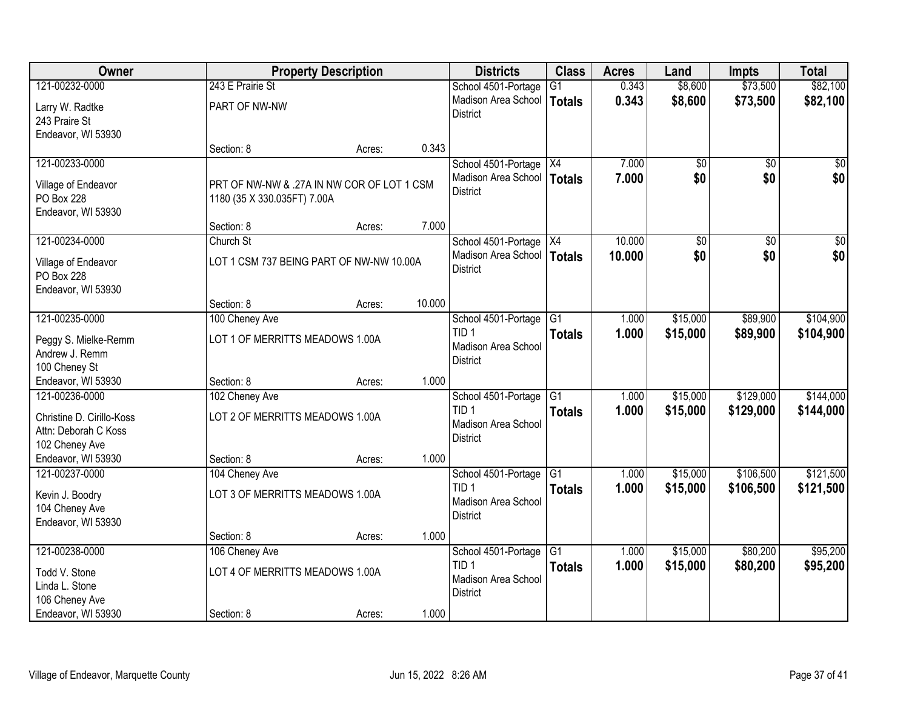| Owner                     |                                            | <b>Property Description</b> |        | <b>Districts</b>                        | <b>Class</b>     | <b>Acres</b> | Land     | <b>Impts</b>    | <b>Total</b> |
|---------------------------|--------------------------------------------|-----------------------------|--------|-----------------------------------------|------------------|--------------|----------|-----------------|--------------|
| 121-00232-0000            | 243 E Prairie St                           |                             |        | School 4501-Portage                     | $\overline{G1}$  | 0.343        | \$8,600  | \$73,500        | \$82,100     |
| Larry W. Radtke           | PART OF NW-NW                              |                             |        | Madison Area School                     | <b>Totals</b>    | 0.343        | \$8,600  | \$73,500        | \$82,100     |
| 243 Praire St             |                                            |                             |        | <b>District</b>                         |                  |              |          |                 |              |
| Endeavor, WI 53930        |                                            |                             |        |                                         |                  |              |          |                 |              |
|                           | Section: 8                                 | Acres:                      | 0.343  |                                         |                  |              |          |                 |              |
| 121-00233-0000            |                                            |                             |        | School 4501-Portage                     | $\overline{)X4}$ | 7.000        | \$0      | $\overline{50}$ | \$0          |
| Village of Endeavor       | PRT OF NW-NW & .27A IN NW COR OF LOT 1 CSM |                             |        | Madison Area School                     | <b>Totals</b>    | 7.000        | \$0      | \$0             | \$0          |
| PO Box 228                | 1180 (35 X 330.035FT) 7.00A                |                             |        | <b>District</b>                         |                  |              |          |                 |              |
| Endeavor, WI 53930        |                                            |                             |        |                                         |                  |              |          |                 |              |
|                           | Section: 8                                 | Acres:                      | 7.000  |                                         |                  |              |          |                 |              |
| 121-00234-0000            | Church St                                  |                             |        | School 4501-Portage X4                  |                  | 10.000       | \$0      | $\overline{50}$ | $\sqrt{50}$  |
| Village of Endeavor       | LOT 1 CSM 737 BEING PART OF NW-NW 10.00A   |                             |        | Madison Area School                     | <b>Totals</b>    | 10.000       | \$0      | \$0             | \$0          |
| PO Box 228                |                                            |                             |        | <b>District</b>                         |                  |              |          |                 |              |
| Endeavor, WI 53930        |                                            |                             |        |                                         |                  |              |          |                 |              |
|                           | Section: 8                                 | Acres:                      | 10.000 |                                         |                  |              |          |                 |              |
| 121-00235-0000            | 100 Cheney Ave                             |                             |        | School 4501-Portage                     | $\overline{G1}$  | 1.000        | \$15,000 | \$89,900        | \$104,900    |
| Peggy S. Mielke-Remm      | LOT 1 OF MERRITTS MEADOWS 1.00A            |                             |        | TID <sub>1</sub>                        | <b>Totals</b>    | 1.000        | \$15,000 | \$89,900        | \$104,900    |
| Andrew J. Remm            |                                            |                             |        | Madison Area School<br><b>District</b>  |                  |              |          |                 |              |
| 100 Cheney St             |                                            |                             |        |                                         |                  |              |          |                 |              |
| Endeavor, WI 53930        | Section: 8                                 | Acres:                      | 1.000  |                                         |                  |              |          |                 |              |
| 121-00236-0000            | 102 Cheney Ave                             |                             |        | School 4501-Portage                     | $\overline{G1}$  | 1.000        | \$15,000 | \$129,000       | \$144,000    |
| Christine D. Cirillo-Koss | LOT 2 OF MERRITTS MEADOWS 1.00A            |                             |        | TID <sub>1</sub><br>Madison Area School | <b>Totals</b>    | 1.000        | \$15,000 | \$129,000       | \$144,000    |
| Attn: Deborah C Koss      |                                            |                             |        | <b>District</b>                         |                  |              |          |                 |              |
| 102 Cheney Ave            |                                            |                             |        |                                         |                  |              |          |                 |              |
| Endeavor, WI 53930        | Section: 8                                 | Acres:                      | 1.000  |                                         |                  |              |          |                 |              |
| 121-00237-0000            | 104 Cheney Ave                             |                             |        | School 4501-Portage                     | $\overline{G1}$  | 1.000        | \$15,000 | \$106,500       | \$121,500    |
| Kevin J. Boodry           | LOT 3 OF MERRITTS MEADOWS 1.00A            |                             |        | TID <sub>1</sub><br>Madison Area School | <b>Totals</b>    | 1.000        | \$15,000 | \$106,500       | \$121,500    |
| 104 Cheney Ave            |                                            |                             |        | <b>District</b>                         |                  |              |          |                 |              |
| Endeavor, WI 53930        |                                            |                             |        |                                         |                  |              |          |                 |              |
|                           | Section: 8                                 | Acres:                      | 1.000  |                                         |                  |              |          |                 |              |
| 121-00238-0000            | 106 Cheney Ave                             |                             |        | School 4501-Portage<br>TID <sub>1</sub> | G1               | 1.000        | \$15,000 | \$80,200        | \$95,200     |
| Todd V. Stone             | LOT 4 OF MERRITTS MEADOWS 1.00A            |                             |        | Madison Area School                     | <b>Totals</b>    | 1.000        | \$15,000 | \$80,200        | \$95,200     |
| Linda L. Stone            |                                            |                             |        | <b>District</b>                         |                  |              |          |                 |              |
| 106 Cheney Ave            |                                            |                             |        |                                         |                  |              |          |                 |              |
| Endeavor, WI 53930        | Section: 8                                 | Acres:                      | 1.000  |                                         |                  |              |          |                 |              |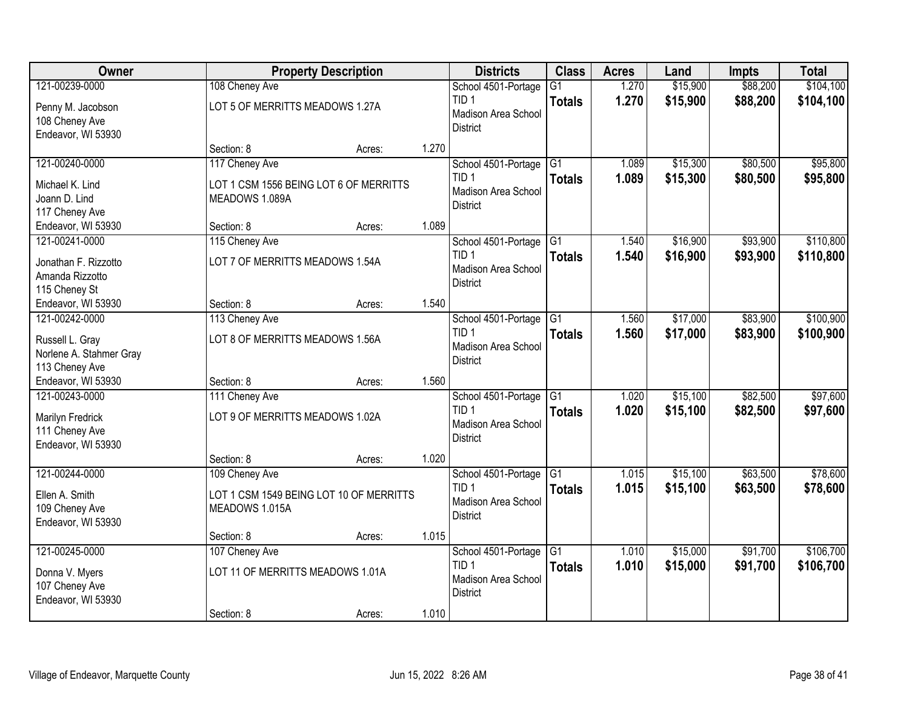| Owner                                     |                                  | <b>Property Description</b>             |       | <b>Districts</b>                           | <b>Class</b>    | <b>Acres</b>   | Land                 | <b>Impts</b> | <b>Total</b> |
|-------------------------------------------|----------------------------------|-----------------------------------------|-------|--------------------------------------------|-----------------|----------------|----------------------|--------------|--------------|
| 121-00239-0000                            | 108 Cheney Ave                   |                                         |       | School 4501-Portage                        | $\overline{G1}$ | 1.270          | \$15,900             | \$88,200     | \$104,100    |
| Penny M. Jacobson                         | LOT 5 OF MERRITTS MEADOWS 1.27A  |                                         |       | TID 1                                      | <b>Totals</b>   | 1.270          | \$15,900             | \$88,200     | \$104,100    |
| 108 Cheney Ave                            |                                  |                                         |       | Madison Area School<br><b>District</b>     |                 |                |                      |              |              |
| Endeavor, WI 53930                        |                                  |                                         |       |                                            |                 |                |                      |              |              |
|                                           | Section: 8                       | Acres:                                  | 1.270 |                                            |                 |                |                      |              |              |
| 121-00240-0000                            | 117 Cheney Ave                   |                                         |       | School 4501-Portage                        | G1              | 1.089          | \$15,300             | \$80,500     | \$95,800     |
| Michael K. Lind                           |                                  | LOT 1 CSM 1556 BEING LOT 6 OF MERRITTS  |       | TID <sub>1</sub><br>Madison Area School    | <b>Totals</b>   | 1.089          | \$15,300             | \$80,500     | \$95,800     |
| Joann D. Lind                             | MEADOWS 1.089A                   |                                         |       | <b>District</b>                            |                 |                |                      |              |              |
| 117 Cheney Ave                            |                                  |                                         |       |                                            |                 |                |                      |              |              |
| Endeavor, WI 53930                        | Section: 8                       | Acres:                                  | 1.089 |                                            |                 |                |                      |              |              |
| 121-00241-0000                            | 115 Cheney Ave                   |                                         |       | School 4501-Portage G1<br>TID <sub>1</sub> |                 | 1.540<br>1.540 | \$16,900<br>\$16,900 | \$93,900     | \$110,800    |
| Jonathan F. Rizzotto                      | LOT 7 OF MERRITTS MEADOWS 1.54A  |                                         |       | Madison Area School                        | <b>Totals</b>   |                |                      | \$93,900     | \$110,800    |
| Amanda Rizzotto                           |                                  |                                         |       | <b>District</b>                            |                 |                |                      |              |              |
| 115 Cheney St                             | Section: 8                       |                                         | 1.540 |                                            |                 |                |                      |              |              |
| Endeavor, WI 53930<br>121-00242-0000      | 113 Cheney Ave                   | Acres:                                  |       | School 4501-Portage                        | $\overline{G1}$ | 1.560          | \$17,000             | \$83,900     | \$100,900    |
|                                           |                                  |                                         |       | TID <sub>1</sub>                           | <b>Totals</b>   | 1.560          | \$17,000             | \$83,900     | \$100,900    |
| Russell L. Gray                           | LOT 8 OF MERRITTS MEADOWS 1.56A  |                                         |       | Madison Area School                        |                 |                |                      |              |              |
| Norlene A. Stahmer Gray<br>113 Cheney Ave |                                  |                                         |       | <b>District</b>                            |                 |                |                      |              |              |
| Endeavor, WI 53930                        | Section: 8                       | Acres:                                  | 1.560 |                                            |                 |                |                      |              |              |
| 121-00243-0000                            | 111 Cheney Ave                   |                                         |       | School 4501-Portage                        | $\overline{G1}$ | 1.020          | \$15,100             | \$82,500     | \$97,600     |
|                                           |                                  |                                         |       | TID <sub>1</sub>                           | <b>Totals</b>   | 1.020          | \$15,100             | \$82,500     | \$97,600     |
| Marilyn Fredrick<br>111 Cheney Ave        | LOT 9 OF MERRITTS MEADOWS 1.02A  |                                         |       | Madison Area School                        |                 |                |                      |              |              |
| Endeavor, WI 53930                        |                                  |                                         |       | <b>District</b>                            |                 |                |                      |              |              |
|                                           | Section: 8                       | Acres:                                  | 1.020 |                                            |                 |                |                      |              |              |
| 121-00244-0000                            | 109 Cheney Ave                   |                                         |       | School 4501-Portage                        | $\overline{G1}$ | 1.015          | \$15,100             | \$63,500     | \$78,600     |
| Ellen A. Smith                            |                                  | LOT 1 CSM 1549 BEING LOT 10 OF MERRITTS |       | TID <sub>1</sub>                           | <b>Totals</b>   | 1.015          | \$15,100             | \$63,500     | \$78,600     |
| 109 Cheney Ave                            | MEADOWS 1.015A                   |                                         |       | Madison Area School                        |                 |                |                      |              |              |
| Endeavor, WI 53930                        |                                  |                                         |       | <b>District</b>                            |                 |                |                      |              |              |
|                                           | Section: 8                       | Acres:                                  | 1.015 |                                            |                 |                |                      |              |              |
| 121-00245-0000                            | 107 Cheney Ave                   |                                         |       | School 4501-Portage                        | G1              | 1.010          | \$15,000             | \$91,700     | \$106,700    |
| Donna V. Myers                            | LOT 11 OF MERRITTS MEADOWS 1.01A |                                         |       | TID <sub>1</sub>                           | <b>Totals</b>   | 1.010          | \$15,000             | \$91,700     | \$106,700    |
| 107 Cheney Ave                            |                                  |                                         |       | Madison Area School<br><b>District</b>     |                 |                |                      |              |              |
| Endeavor, WI 53930                        |                                  |                                         |       |                                            |                 |                |                      |              |              |
|                                           | Section: 8                       | Acres:                                  | 1.010 |                                            |                 |                |                      |              |              |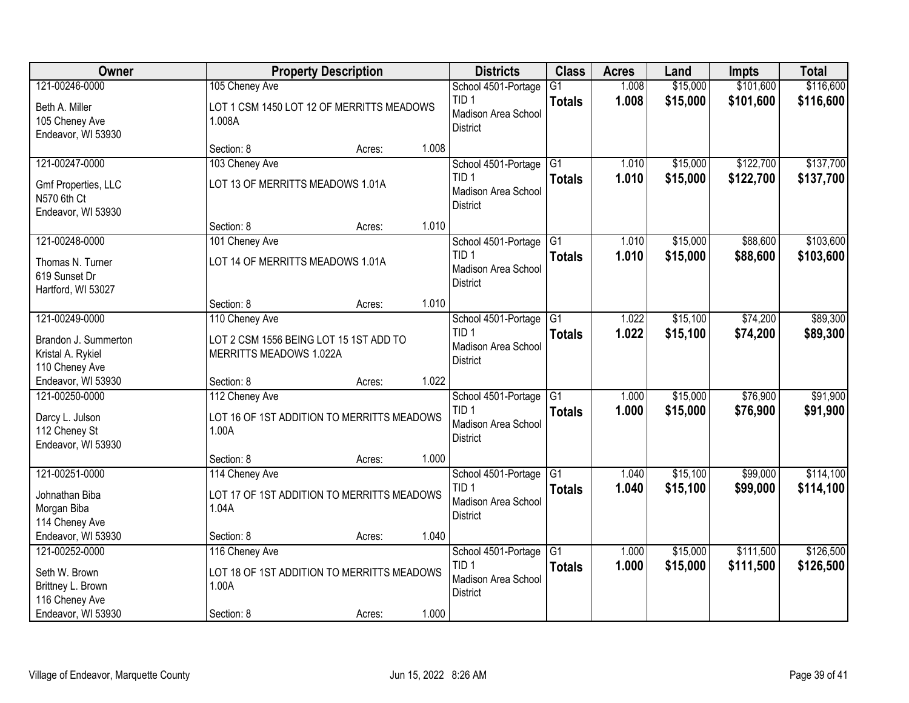| Owner                                                             |                                                                       | <b>Property Description</b> |       | <b>Districts</b>                                                                     | <b>Class</b>                     | <b>Acres</b>   | Land                 | Impts                | <b>Total</b>           |
|-------------------------------------------------------------------|-----------------------------------------------------------------------|-----------------------------|-------|--------------------------------------------------------------------------------------|----------------------------------|----------------|----------------------|----------------------|------------------------|
| 121-00246-0000                                                    | 105 Cheney Ave                                                        |                             |       | School 4501-Portage                                                                  | G <sub>1</sub>                   | 1.008          | \$15,000             | \$101,600            | \$116,600              |
| Beth A. Miller<br>105 Cheney Ave<br>Endeavor, WI 53930            | LOT 1 CSM 1450 LOT 12 OF MERRITTS MEADOWS<br>1.008A                   |                             |       | TID <sub>1</sub><br>Madison Area School<br><b>District</b>                           | <b>Totals</b>                    | 1.008          | \$15,000             | \$101,600            | \$116,600              |
|                                                                   | Section: 8                                                            | Acres:                      | 1.008 |                                                                                      |                                  |                |                      |                      |                        |
| 121-00247-0000                                                    | 103 Cheney Ave                                                        |                             |       | School 4501-Portage                                                                  | $\overline{G1}$                  | 1.010          | \$15,000             | \$122,700            | \$137,700              |
| Gmf Properties, LLC<br>N570 6th Ct<br>Endeavor, WI 53930          | LOT 13 OF MERRITTS MEADOWS 1.01A                                      |                             |       | TID <sub>1</sub><br>Madison Area School<br><b>District</b>                           | <b>Totals</b>                    | 1.010          | \$15,000             | \$122,700            | \$137,700              |
|                                                                   | Section: 8                                                            | Acres:                      | 1.010 |                                                                                      |                                  |                |                      |                      |                        |
| 121-00248-0000                                                    | 101 Cheney Ave                                                        |                             |       | School 4501-Portage G1                                                               |                                  | 1.010          | \$15,000             | \$88,600             | \$103,600              |
| Thomas N. Turner<br>619 Sunset Dr<br>Hartford, WI 53027           | LOT 14 OF MERRITTS MEADOWS 1.01A                                      |                             |       | TID <sub>1</sub><br>Madison Area School<br><b>District</b>                           | <b>Totals</b>                    | 1.010          | \$15,000             | \$88,600             | \$103,600              |
|                                                                   | Section: 8                                                            | Acres:                      | 1.010 |                                                                                      |                                  |                |                      |                      |                        |
| 121-00249-0000                                                    | 110 Cheney Ave                                                        |                             |       | School 4501-Portage                                                                  | G1                               | 1.022          | \$15,100             | \$74,200             | \$89,300               |
| Brandon J. Summerton<br>Kristal A. Rykiel<br>110 Cheney Ave       | LOT 2 CSM 1556 BEING LOT 15 1ST ADD TO<br>MERRITTS MEADOWS 1.022A     |                             |       | TID <sub>1</sub><br>Madison Area School<br><b>District</b>                           | <b>Totals</b>                    | 1.022          | \$15,100             | \$74,200             | \$89,300               |
| Endeavor, WI 53930                                                | Section: 8                                                            | Acres:                      | 1.022 |                                                                                      |                                  |                |                      |                      |                        |
| 121-00250-0000<br>Darcy L. Julson<br>112 Cheney St                | 112 Cheney Ave<br>LOT 16 OF 1ST ADDITION TO MERRITTS MEADOWS<br>1.00A |                             |       | School 4501-Portage<br>TID <sub>1</sub><br>Madison Area School                       | $\overline{G1}$<br><b>Totals</b> | 1.000<br>1.000 | \$15,000<br>\$15,000 | \$76,900<br>\$76,900 | \$91,900<br>\$91,900   |
| Endeavor, WI 53930                                                |                                                                       |                             |       | <b>District</b>                                                                      |                                  |                |                      |                      |                        |
|                                                                   | Section: 8                                                            | Acres:                      | 1.000 |                                                                                      |                                  |                |                      |                      |                        |
| 121-00251-0000<br>Johnathan Biba<br>Morgan Biba<br>114 Cheney Ave | 114 Cheney Ave<br>LOT 17 OF 1ST ADDITION TO MERRITTS MEADOWS<br>1.04A |                             |       | School 4501-Portage G1<br>TID <sub>1</sub><br>Madison Area School<br><b>District</b> | <b>Totals</b>                    | 1.040<br>1.040 | \$15,100<br>\$15,100 | \$99,000<br>\$99,000 | \$114,100<br>\$114,100 |
| Endeavor, WI 53930                                                | Section: 8                                                            | Acres:                      | 1.040 |                                                                                      |                                  |                |                      |                      |                        |
| 121-00252-0000                                                    | 116 Cheney Ave                                                        |                             |       | School 4501-Portage                                                                  | G1                               | 1.000          | \$15,000             | \$111,500            | \$126,500              |
| Seth W. Brown<br>Brittney L. Brown<br>116 Cheney Ave              | LOT 18 OF 1ST ADDITION TO MERRITTS MEADOWS<br>1.00A                   |                             |       | TID <sub>1</sub><br>Madison Area School<br><b>District</b>                           | <b>Totals</b>                    | 1.000          | \$15,000             | \$111,500            | \$126,500              |
| Endeavor, WI 53930                                                | Section: 8                                                            | Acres:                      | 1.000 |                                                                                      |                                  |                |                      |                      |                        |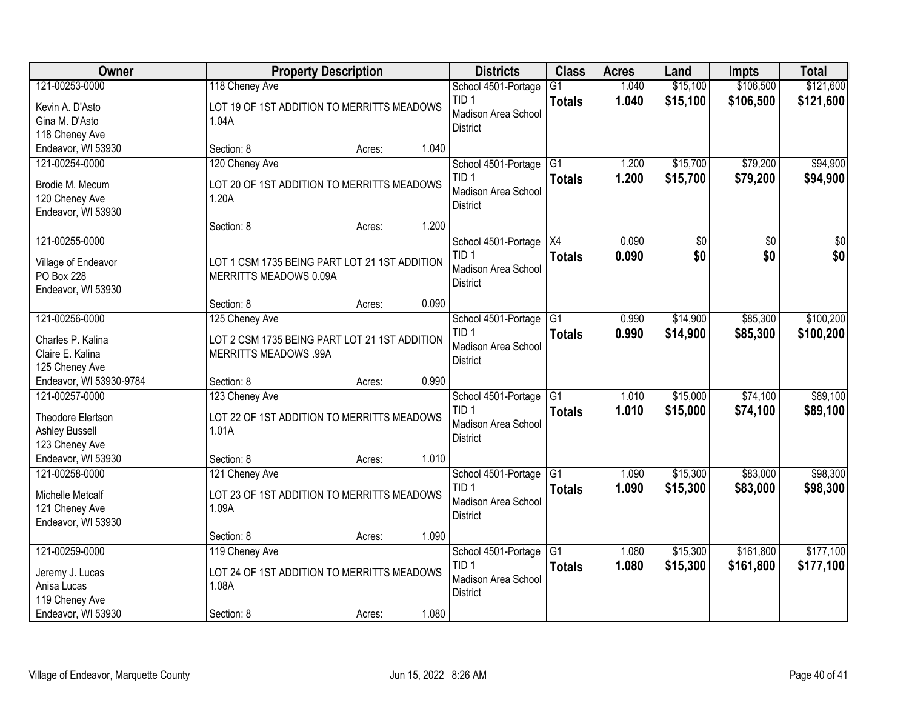| Owner                                   |                                               | <b>Property Description</b> |       | <b>Districts</b>                        | <b>Class</b>    | <b>Acres</b> | Land     | <b>Impts</b> | <b>Total</b>     |
|-----------------------------------------|-----------------------------------------------|-----------------------------|-------|-----------------------------------------|-----------------|--------------|----------|--------------|------------------|
| 121-00253-0000                          | 118 Cheney Ave                                |                             |       | School 4501-Portage                     | $\overline{G1}$ | 1.040        | \$15,100 | \$106,500    | \$121,600        |
| Kevin A. D'Asto                         | LOT 19 OF 1ST ADDITION TO MERRITTS MEADOWS    |                             |       | TID <sub>1</sub>                        | <b>Totals</b>   | 1.040        | \$15,100 | \$106,500    | \$121,600        |
| Gina M. D'Asto                          | 1.04A                                         |                             |       | Madison Area School                     |                 |              |          |              |                  |
| 118 Cheney Ave                          |                                               |                             |       | <b>District</b>                         |                 |              |          |              |                  |
| Endeavor, WI 53930                      | Section: 8                                    | Acres:                      | 1.040 |                                         |                 |              |          |              |                  |
| 121-00254-0000                          | 120 Cheney Ave                                |                             |       | School 4501-Portage                     | G1              | 1.200        | \$15,700 | \$79,200     | \$94,900         |
| Brodie M. Mecum                         | LOT 20 OF 1ST ADDITION TO MERRITTS MEADOWS    |                             |       | TID <sub>1</sub>                        | <b>Totals</b>   | 1.200        | \$15,700 | \$79,200     | \$94,900         |
| 120 Cheney Ave                          | 1.20A                                         |                             |       | Madison Area School                     |                 |              |          |              |                  |
| Endeavor, WI 53930                      |                                               |                             |       | <b>District</b>                         |                 |              |          |              |                  |
|                                         | Section: 8                                    | Acres:                      | 1.200 |                                         |                 |              |          |              |                  |
| 121-00255-0000                          |                                               |                             |       | School 4501-Portage   X4                |                 | 0.090        | \$0      | \$0          | $\overline{\$0}$ |
| Village of Endeavor                     | LOT 1 CSM 1735 BEING PART LOT 21 1ST ADDITION |                             |       | TID <sub>1</sub>                        | <b>Totals</b>   | 0.090        | \$0      | \$0          | \$0              |
| PO Box 228                              | MERRITTS MEADOWS 0.09A                        |                             |       | Madison Area School                     |                 |              |          |              |                  |
| Endeavor, WI 53930                      |                                               |                             |       | <b>District</b>                         |                 |              |          |              |                  |
|                                         | Section: 8                                    | Acres:                      | 0.090 |                                         |                 |              |          |              |                  |
| 121-00256-0000                          | 125 Cheney Ave                                |                             |       | School 4501-Portage                     | $\overline{G1}$ | 0.990        | \$14,900 | \$85,300     | \$100,200        |
| Charles P. Kalina                       | LOT 2 CSM 1735 BEING PART LOT 21 1ST ADDITION |                             |       | TID <sub>1</sub>                        | <b>Totals</b>   | 0.990        | \$14,900 | \$85,300     | \$100,200        |
| Claire E. Kalina                        | <b>MERRITTS MEADOWS .99A</b>                  |                             |       | Madison Area School                     |                 |              |          |              |                  |
| 125 Cheney Ave                          |                                               |                             |       | <b>District</b>                         |                 |              |          |              |                  |
| Endeavor, WI 53930-9784                 | Section: 8                                    | Acres:                      | 0.990 |                                         |                 |              |          |              |                  |
| 121-00257-0000                          | 123 Cheney Ave                                |                             |       | School 4501-Portage                     | $\overline{G1}$ | 1.010        | \$15,000 | \$74,100     | \$89,100         |
|                                         |                                               |                             |       | TID <sub>1</sub>                        | <b>Totals</b>   | 1.010        | \$15,000 | \$74,100     | \$89,100         |
| Theodore Elertson                       | LOT 22 OF 1ST ADDITION TO MERRITTS MEADOWS    |                             |       | Madison Area School                     |                 |              |          |              |                  |
| <b>Ashley Bussell</b><br>123 Cheney Ave | 1.01A                                         |                             |       | <b>District</b>                         |                 |              |          |              |                  |
| Endeavor, WI 53930                      | Section: 8                                    | Acres:                      | 1.010 |                                         |                 |              |          |              |                  |
| 121-00258-0000                          | 121 Cheney Ave                                |                             |       | School 4501-Portage                     | G1              | 1.090        | \$15,300 | \$83,000     | \$98,300         |
|                                         |                                               |                             |       | TID <sub>1</sub>                        | <b>Totals</b>   | 1.090        | \$15,300 | \$83,000     | \$98,300         |
| Michelle Metcalf                        | LOT 23 OF 1ST ADDITION TO MERRITTS MEADOWS    |                             |       | Madison Area School                     |                 |              |          |              |                  |
| 121 Cheney Ave                          | 1.09A                                         |                             |       | <b>District</b>                         |                 |              |          |              |                  |
| Endeavor, WI 53930                      |                                               |                             |       |                                         |                 |              |          |              |                  |
|                                         | Section: 8                                    | Acres:                      | 1.090 |                                         |                 |              |          |              |                  |
| 121-00259-0000                          | 119 Cheney Ave                                |                             |       | School 4501-Portage<br>TID <sub>1</sub> | G1              | 1.080        | \$15,300 | \$161,800    | \$177,100        |
| Jeremy J. Lucas                         | LOT 24 OF 1ST ADDITION TO MERRITTS MEADOWS    |                             |       | Madison Area School                     | <b>Totals</b>   | 1.080        | \$15,300 | \$161,800    | \$177,100        |
| Anisa Lucas                             | 1.08A                                         |                             |       | <b>District</b>                         |                 |              |          |              |                  |
| 119 Cheney Ave                          |                                               |                             |       |                                         |                 |              |          |              |                  |
| Endeavor, WI 53930                      | Section: 8                                    | Acres:                      | 1.080 |                                         |                 |              |          |              |                  |